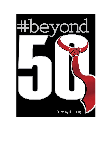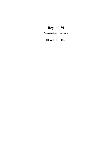# **Beyond 50**

**An Anthology of Excerpts**

**Edited by D. L. King**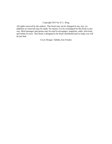# Copyright 2015 by D. L. King

All rights reserved by the authors. This book may not be changed in any way: no additions or removals may be made. No money is to be exchanged for this book in any way. Brief passages and quotes may be used in newspaper, magazine, radio, television and online reviews. This book is designed to be freely distributed and we hope you will do just that.

Cover Design: Tabitha Arie Fischer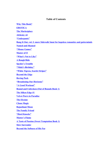# <span id="page-3-0"></span>**Table of Contents**

**[Why This Book?](#page-5-0) [EROTICA](#page-7-0) [The Marketplace](#page-11-0) [Alchemy xii](#page-15-0) ["Underpants"](#page-20-0) [Bang It Out, vol. 2: more Sidewalk Smut for hopeless romantics and gutterminds](#page-25-0) [Named and Shamed](#page-26-0) ["Mouse Games"](#page-31-0) [Master of O](#page-35-0) ["What's Not to Like"](#page-40-0) [A Rough Ride](#page-45-0) [Spyder's Trouble](#page-49-0) ["Nikki's Birthday"](#page-54-0) ["White Tigress, Scarlet Stripes"](#page-58-0) [Beyond the Edge](#page-63-0) [Roving Pack](#page-68-0) ["Broadening Our Horizons"](#page-72-0) ["A Good Workout"](#page-76-0) [Bound and Unbroken \(Out of Bounds Book 1\)](#page-80-0) [The Silken Edge #1](#page-84-0) [Velvet Purrs in Paradise](#page-88-0) [The Elysian](#page-93-0) [Chaos Magic](#page-97-0) [Rajasthani Moon](#page-100-0) [The Family Friend](#page-106-0) ["Hard Knocks"](#page-109-0) [Master's Flame](#page-113-0) [A Taste of Passion \(Sweet Temptation Book 1\)](#page-118-0) [Slow Surrender](#page-122-0) [Beyond the Softness of His Fur](#page-127-0)**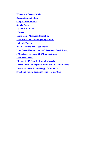**[Welcome to Serpent's Kiss](#page-132-0) [Redemption and Glory](#page-137-0) [Caught in the Middle](#page-142-0) [Stately Pleasures](#page-147-0) [To Serve Is Divine](#page-152-0) ["Others"](#page-157-0) [Going Deep: Mustangs Baseball #2](#page-161-0) [Tales From the Arena: Opening Gambit](#page-166-0) [Hold Me Together](#page-170-0) [Brie Learns the Art of Submission](#page-175-0) [Love Beyond Boundaries: A Collection of Erotic Poetry](#page-180-0) [50 Shades of Curious: BDSM for Beginners](#page-184-0) ["The Train Trip"](#page-188-0) [Girlfag: A Life Told In Sex and Musicals](#page-192-0) [Sacred Kink: The Eightfold Paths of BDSM and Beyond](#page-195-0) [How to be a Healthy and Happy Submissive](#page-199-0) [Sweet and Rough: Sixteen Stories of Queer Smut](#page-204-0)**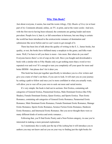#### <span id="page-5-0"></span>**[Why This Book?](#page-3-0)**

Just about everyone, it seems, has read the iconic trilogy, *Fifty Shades of Grey* (or at least part of it). Comments abound, online, on TV, in print, and at the water cooler. And now, with the first movie having been released, the comments are getting louder and more prevalent. People love it, hate it, or fall somewhere in between, but one thing is certain: the world has been introduced to the erotica/erotic romance of domination and submission like never before and we can't seem to get enough of it.

There has been lots of talk about the quality of writing in the E. L. James books, but quality, or not, the books have titillated many a neophyte to the genre, and folks want more. Well, I'm here to tell you there is more—lots more. But where do you start? Everyone knows there's a lot of crap on the web. Have you bought and downloaded a book with a similar title to Fifty Shades only to get nothing more than a word or two repeated over and over? It's enough to turn you completely off your quest for more and better BDSM—but please don't let it deter you.

This book has been put together specifically to introduce you to a few writers and give you a taste of what's out there, if you care to look. It will start you on your journey by setting a path to follow and once you're more confident in what you actually want, will allow you to veer off on your own to seek out more and varied stories.

It's very simple: the book is laid out in sections: first Erotica, containing sub categories of General Erotica, Paranormal Erotica, Male Dominant Erotica (like Fifty Shades), Female Dominant Erotica, Queer Erotica, and Sports Erotica. Then Erotic Romance, containing sub categories of General Erotic Romance, Paranormal Erotic Romance, Male Dominant Erotic Romance, Female Dominant Erotic Romance, Manage Erotic Romance, Sports Erotic Romance, Science Fiction Erotic Romance, Hardcore Erotic Romance, and Interracial Erotic Romance. Bet you never thought there were so many different kinds of erotica and erotic romance…

Following that, you'll find Erotic Poetry and a Non-Fiction category, in case you're interested in making a more personal exploration.

As I mentioned, this is really just the tip of the iceberg but it will introduce you to authors you may not know and set you on your way to finding just the right books for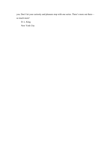you. Don't let your curiosity and pleasure stop with one series. There's more out there so much more!

D. L. King New York City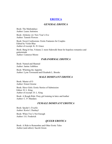# <span id="page-7-0"></span>**[EROTICA](#page-3-0)**

# *GENERAL EROTICA*

Book: The Marketplace Author: Laura Antoniou

Book: Alchemy xii: New Year's Eve Author: Tamsin Flowers

Book: Sweet Confessions: Erotic Fantasies for Couples Edited by Violet Blue Author of excerpt: K. D. Grace

Book: Bang It Out, Volume 2: more Sidewalk Smut for hopeless romantics and gutterminds Author: Cameryn Moore

# *PARANORMAL EROTICA*

Book: Named and Shamed Author: Janine Ashbless

Book: Whetting the Appetite Author: Lynn Townsend and Elizabeth L. Brooks

### *MALE DOMINANT EROTICA*

Book: Master of O Author: Ernest Greene

Book: Slave Girls: Erotic Stories of Submission Editor: D. L. King Author of excerpt: D. L. King

Book: A Rough Ride: Pony girl training in latex and leather Author: C. P. Mandara

# *FEMALE DOMINANT EROTICA*

Book: Spyder's *Trouble* Author: Korin I. Dushayl

Book: When Two's Not Enough Author: I.G. Frederick

# *QUEER EROTICA*

Book: A Ride to Remember and Other Erotic Tales Author (and editor): Sacchi Green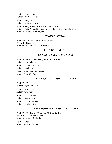Book: Beyond the Edge Author: Elizabeth Lister

Book: Roving Pack Author: Sassafras Lowrey

Book: Broadly Bound: Broad Horizons Book 1 Authors: Beth Wylde, Kathleen Bradean, D. L. King, Syd McGinley Author of excerpt: Beth Wylde

### *SPORTS EROTICA*

Book: Girls Who Score: Hot Lesbian Erotica Editor: Ily Goyanes Author of Excerpt: Sinclair Sexsmith

### **EROTIC ROMANCE**

#### *GENERAL EROTIC ROMANCE*

Book: Bound and Unbroken (Out of Bounds Book 1) Author: Skye Callahan

Book: The Silken Edge #1 Author: Laci Paige

Book: Velvet Purrs in Paradise Author: Leya Wolfgang

### *PARANORMAL EROTIC ROMANCE*

Book: The Elysian Author: Payne Hawthorne

Book: Chaos Magic Author: Jay Lygon

Book: Rajasthani Moon Author: Lisabet Sarai

Book: The Family Friend Author: Penelope Syn

#### *MALE DOMINANT EROTIC ROMANCE*

Book: The Big Book of Orgasms: 69 Sexy Stories Editor: Rachel Kramer Bussel Author of excerpt: Malin James

Book: Master's Flame Author: Annabel Joseph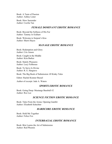Book: A Taste of Passion Author: Ashley Lister

Book: Slow Surrender Author: Cecilia Tan

### *FEMALE DOMINANT EROTIC ROMANCE*

Book: Beyond the Softness of His Fur Author: Tammy Jo Eckhart

Book: Welcome to Serpent's Kiss Author: Sherri Hayes

### *MANAGE EROTIC ROMANCE*

Book: Redemption and Glory Author: Cris Anson

Book: Caught in the Middle Author: Kira Barker

Book: Stately Pleasures Author: Lucy Felthouse

Book: To Serve Is Divine Author: R. E. Hargrave

Book: The Big Book of Submission: 69 Kinky Tales

Editor: Rachel Kramer Bussel

Author of excerpt: Jade A. Waters

### *SPORTS EROTIC ROMANCE*

Book: Going Deep: Mustangs Baseball #2 Author: Roz Lee

### *SCIENCE FICTION EROTIC ROMANCE*

Book: Tales From the Arena: Opening Gambit Author: Elizabeth Schechter

### *HARDCORE EROTIC ROMANCE*

Book: Hold Me Together Author: Felice Fox

## *INTERRACIAL EROTIC ROMANCE*

Book: Brie Learns the Art of Submission Author: Red Phoenix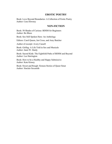### **EROTIC POETRY**

Book: Love Beyond Boundaries: A Collection of Erotic Poetry Author: Cara Downey

## **NON-FICTION**

Book: 50 Shades of Curious: BDSM for Beginners Author: Bo Blaze

Book: Sex Still Spoken Here: An Anthology

Editors: Carol Queen, Jen Cross, and Amy Butcher

Author of excerpt: Avery Cassell

Book: Girlfag: A Life Told in Sex and Musicals Author: Janet W. Hardy

Book: Sacred Kink: The Eightfold Paths of BDSM and Beyond Author: Lee Harrington

Book: How to be a Healthy and Happy Submissive Author: Kate Kinsey

Book: Sweet and Rough: Sixteen Stories of Queer Smut Author: Sinclair Sexsmith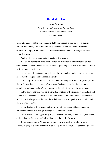### <span id="page-11-0"></span>**[The Marketplace](#page-3-0)**

#### **Laura Antoniou**

*edgy extreme multi gender multi orientation* Book one of the *Marketplace Series Chapter Seven*

Many aficionados of the scene imagine that being trained to be a slave is a journey through a magically erotic kingdom. They envision an endless stream of sensual stimulation ranging from the most common sexual encounters to prolonged sessions of agonizing torture.

With all the participants suitably costumed, of course.

It is disillusioning for these people to realize that masters and mistresses do not often feel constrained to conduct their affairs in gleaming black leather or latex, complete with jackboots or stiletto heels.

Their faces fall in disappointment when they are made to understand that a slave's life is mostly comprised of patience and study.

Yes, study. If not before actual books, then following the example of greater, senior slaves. Or learning every nuance of their owner's character, so that they can more completely and seamlessly offer themselves at the right time and in the right manner.

A true slave, one who will be cherished and valued, will never allow their skills and talents to become stagnant. They will never be satisfied with their level of competence. And they will always be willing to follow their owner's lead, quickly, respectfully, and to the best of their ability.

To be thrilled at the touch of leather, aroused by the sound of harsh words, or satisfied by the security of rigid bondage is the mark of a lover.

To be thrilled at the opportunity to provide useful service, aroused by a pleased nod, and satisfied by the proverbial job well done, is the mark of a slave.

It may sound severe. Almost anti-erotic. Until you see two people, owner and owned, existing in a complementary relationship where each suits the other like balances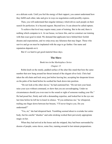on a delicate scale. Until you feel the energy of their rapport, you cannot understand how they fulfill each other, take and give in ways no negotiation could possibly express.

Then, you will understand that singular intimacy which drives such people on their search for perfection. It is beyond orgasm. Beyond love. It can almost be called rapture.

To achieve that level may require many years of training. But in the end, there is nothing which compates to it. At our house, we know this, and we construct our training with that exact goal in mind. We demand that applicants leave behind their foolish dreams and expectations, and we strip away any falseness that may linger. Those who survive and go on must be implanted with the urge to go further. Our name and reputation depends on it.

But it's so hard to get good material these days.

#### **The Slave**

# Book two in the *Marketplace Series Chapter 15*

Robin knelt on the sturdy, padded surface of the altar-like stand that bore the same number that now hung around her throat instead of the elegant silver lock. Chris had taken the old chain and lock away just before leaving her, accepting her desperate kisses on the palm of his hand before he soothed her back down into position.

"Do not look at the other slaves," he had cautioned her. "Do not turn your head, raise your eyes without command, or show that you are eavesdropping. Under no circumstances should you even react to the sound or sight of someone reading your file." He had posed her, firmly and with a demanding expertise, and looked her in the eye one last time before he left her to kneel in silence. "If you embarrass me," he whispered, trailing one finger down between her breasts, "I'll never forgive you. Do you understand?"

"Yes, sir," she had shispered back. Trembling seemed about to overtake her entire body, but his careful "shushes" and calm stroking worked their perversely appropriate magic on her.

When they had arrived at the house and she stripped, they had been surrounded by dozens of people, some slaves, some free, running around in last minute preparations.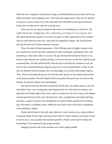Muscular men, stripped to stylized jock straps, wrestled podiums into position and set up tables and chairs in the bidding room. Chris had some paperwork to take care of, and she was given a cursory look-over by the man that Chris identified as the regional director before she was allowed to enter the viewing room.

There she saw the special stands for the slaves to be displayed on, and froze. The reality hit her like a freight train. *How could I have ever believed I was ready for this?* She asked herself this question over and over again as Chris registered her for a number and was told where her spot was. And when he snapped his fingers, she found herself moving forward out of some automatic response.

There, he made th final preparations. After affixing a pair of nipple clamps to her, he examined her for the last time, smelling her body and breath, touching her skin, and smoothing it with lotion where it was dry. He gloved himself and had her bend over so that he could lubricate her asshole, putting a cool salve into her so that she could be easily examined there. He had smiled briefly when he discovered that she needed no such aid for her cunt, which had already begun to open in it's own transformation. In fact, by the time he finished with her asshole, she was thoroughly wet in both of her nether regions. Then, after he discarded the gloves, he fixed her hair, put her on the stand and posed her in the proper position. The last thing he did as he packed the gear away was remove the clamps, leaving her nipples erect and tingling.

She had not been the first slave positioned for the sale. On another stand, to her left and ahead of her, was a young man, dark-skinned and wiry. His head was shaven, and gleamed in the bright light of the room, and he was pierced with silver rings in his nipples and through the head of his cock. He knelt tall, with a straight back and tautly held legs and arms, a study in tension. He reminded her of a track runner, poised for the starting gun. His trainer, or perhaps owner, rubbed his skin down with a soft cloth, as though he were polishing a stature.

Robin had her back to the wall, and within her vision could see tow stands without turning her head. On her right, just beyond her field of vision, making it necessary for her to turn to see it, was a podium that held her portfolio. People could read it without her knowledge, if she remained in the proper position.

Hanging from the side of the podium was a thick leather paddle.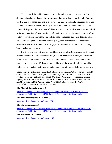The room filled quickly. On one combined stand, a pair of twins posed, paleskinned redheads with dancing bright eyes and playful, wide mouths. To Robin's right, another man was posed, this one in his forties, his hair cut in standard business style and his body a network of decorative body modifications. Tattoos wound up his back and around his legs, and the clean lines of old cuts in his skin showed as pale scars and raised white skin, marking off patterns of a careful, painful artwork. She could see some of the pictures: a woman's leg, wearing thigh-high boots, a chained tiger. Like the man on her left, he was also pierced, but more extravagantly, with two rings in each nipple and several barbells under his cock. With rings placed around his heavy ballsac. His belly button had two rings, one on each side.

But dress him in a suit, and he would look like any other businessman on the street. Robin wondered if he was something dull, like a tax accountant. Or maybe something like a banker, or an estate lawyer. And he would do his work and come home to his master or mistress, strip off his power tie, and have all those wonderful places on his body that were made to be tormented and played with, admired and altered yet again…

**Laura Antoniou** (LAntoniou.com) is best known for her *Marketplace* series of BDSM erotica, the first of which was published over 20 years ago. Book 6, *The Inheritor*, is available from Circlet Press. Her novel, *The Killer Wore Leather*, a comedy murder mystery set within the leather/BDSM world, won the 2013 Rainbow Award for Best LGBT Mystery and the Pauline Reage Award for best novel from the NLA. Friend/follow her on FB, FetLife and Twitter.

#### **The Marketplace (via Amazon)**

[www.amazon.com/Marketplace-Book-One-ebook/dp/B003UV989U/ref=sr\\_1\\_2?](http://www.amazon.com/Marketplace-Book-One-ebook/dp/B003UV989U/ref=sr_1_2?s=books&ie=UTF8&qid=1412021780&sr=1-2&keywords=the+marketplace) [s=books&ie=UTF8&qid=1412021780&sr=1-2&keywords=the+marketplace](http://www.amazon.com/Marketplace-Book-One-ebook/dp/B003UV989U/ref=sr_1_2?s=books&ie=UTF8&qid=1412021780&sr=1-2&keywords=the+marketplace)

#### **The Marketplace (via Smashwords)**

[www.smashwords.com/books/view/17741](https://www.smashwords.com/books/view/17741)

#### **The Slave (via Amazon)**

[www.amazon.com/Slave-Marketplace-Book-2-ebook/dp/B004Q9U51U/ref=sr\\_1\\_1?](http://www.amazon.com/Slave-Marketplace-Book-2-ebook/dp/B004Q9U51U/ref=sr_1_1?s=books&ie=UTF8&qid=1412021904&sr=1-1&keywords=the+marketplace) [s=books&ie=UTF8&qid=1412021904&sr=1-1&keywords=the+marketplace](http://www.amazon.com/Slave-Marketplace-Book-2-ebook/dp/B004Q9U51U/ref=sr_1_1?s=books&ie=UTF8&qid=1412021904&sr=1-1&keywords=the+marketplace)

#### **The Slave (via Smashwords)**

[www.smashwords.com/books/view/49145](https://www.smashwords.com/books/view/49145)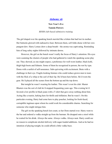### <span id="page-15-0"></span>**[Alchemy xii](#page-3-0)**

**New Year's Eve Tamsin Flowers** *BDSM club-based submissive training*

The girl draped over the spanking bench mewled like a kitten that had lost its mother. Her buttocks glowed with radioactive heat. Between them, soft folds shone with her own pungent dew. Harry Lomax drew a deep breath—the aroma was captivating. Reminding him of long sultry nights followed by intimate dawns.

However, the girl on the bench wasn't really the focus of Harry's attention. His eyes were scanning the clusters of people who had gathered to watch the spanking scene play out. They showed, as one might expect, a preference for well-worn leather, black kohl, thigh-high boots and fishnets. Some of them he recognized in person, the rest by type. Doms with a surfeit of self-assurance. Subs quivering with excitement. Brats with a challenge in their eye. Fragile-looking femmes who could reduce grown men to tears with the flick of a whip or the curl of their lip. He'd been here before. He'd worn the gear. He'd played all the scenes from the bottom up and the top down.

But tonight he wasn't wearing his leather. This wasn't even his club. Master Blasters was the sort of club he'd stopped frequenting years ago. This evening he'd favored a low profile in black jeans with a T-shirt that gave away nothing about him. Acting like a tourist, lurking here for thrills and titillation. But he wasn't. On this particular evening, Harry had come here to play poacher, looking for fresh-faced, corruptible ingénues upon whom he could work his considerable charms. Searching for someone who might intrigue him.

The girl on the spanking bench lost count, so her Dom started over. Harry went to the bar and ordered a vodka straight up from the barman. He dropped onto a stool while he waited for his drink. Always the same. Always vodka. Always neat. Harry could see no reason to complicate alcohol delivery with sugar-loaded additions. And as he had no intention of playing tonight, he could afford a little vodka buzz.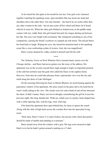As he raised the shot glass to his mouth he saw her. Four girls were clustered together watching the spanking scene, open-mouthed. But one stood out, head and shoulders above the other three. Not only literally—she had to be six inches taller than any other woman in the club—but an aura came off her which told Harry he'd found what he'd come for. When the other girls blinked or looked away as the paddle made contact with raw, ruddy flesh, this girl leaned forward, her tongue darting out between her lips. Her eyes were bright with excitement. She whispered something to one of her companions, causing the friend's eyebrows to catapult up with shock. The tall girl threw her head back to laugh. Wiping her eyes, she turned her attention back to the spanking scene like a vicar confronting a plate of oysters. God, she was magnificent!

Harry Lomax drained his vodka, smiled to himself and left the club.

\*\*\*\*

The Alchemy Tower on West Whacker Drive loomed ninety stories over the Chicago skyline—and Harry had never gotten over the irony of the address. His apartment was on the seventy-second floor, high enough to imply an important position in the club but nowhere near the gods who called the floors in the eighties home. However, from here he could take pleasure from a spectacular view over the city and north along the shore of Lake Michigan.

On the morning following his foray to Master Blasters, he stood leaning against the panoramic window of his apartment. His arms rested on the glass above his head but he wasn't really taking in the view. The clouds were low and a band of rain all but obscured the shore. It didn't matter. Harry was lost in thought, remembering the girl he'd seen the previous night. Her long, blonde hair. Wide-set, cobalt eyes in a pretty, heart-shaped face with a softly tapering chin. And her legs. God, what legs.

If he heard the apartment door open behind him, he chose to ignore the sound. Along with the click of high heels across the wooden floor into his open-plan living room.

"Holy fuck, Harry! I know I've said it before, but anyone with a back that perfect should be made of marble and standing in a museum."

Harry turned away from the window with a grin. His legs were encased in tight black Levis but he hadn't gotten around to putting on a T-shirt.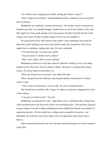"Or cuffed to your whipping post, Bella, feeling the Tuskar's caress?"

"Don't tempt me, boyfriend," said Belladonna Grimm, strutting over to sweep him into an embrace.

Belladonna was Alchemy's premier dominatrix. The Tuskar was her treasured one hundred-year-old, ivory handled flogger, handed down to her by the founder of the club. She might have been small enough to fit in his pocket, but Harry had felt the bite of the Tuskar on his back. He had a healthy respect for the way she handled it.

He gazed down at her elfin features and couldn't resist snatching a kiss from her dark ruby mouth, pulling on her lower lip with his teeth. She twisted one of his silver nipple bars in retaliation, making him yelp. He took a step back.

"I'll finish dressing. You pour me a drink."

"You do realize it's before twelve, Harry?"

"That's why I didn't offer you one, darling."

Belladonna could never resist him when he called her 'darling' in his razor-sharp English accent. She knew where he kept his drinks. She knew everything about Harry Lomax. Or at least Harry let her believe so.

"Don't get dressed on my account," she called after him.

Harry emerged from his bedroom, obscuring his perfect musculature in a black cotton T-shirt.

"I don't need you distracted. I want to talk,' he said, lowering his brow.

She handed him a tumbler with a finger of vodka in it and they congregated in front of the window.

"I can give you half an hour," she said.

Belladonna was dressed for work—tight black corset, a full black skirt, riding boots which stretched above her knee and a black velvet hacking jacket. This had been acquired at great expense from the London establishment that outfitted the British royal family for equestrian pursuits. All she needed was a riding crop to complete the picture—but thankfully she'd left the tools of her trade in her own apartment, three floors above Harry's.

Harry seemed transfixed by the view but rain smeared the glass now and he stared at a grey blur.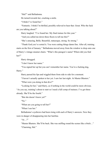"Hal?" said Belladonna.

He turned towards her, cracking a smile.

"I think I've found her."

"Fantastic. I think I'm thrilled, possibly relieved to hear that. Great. Who the fuck are you talking about?"

Harry laughed. "I've found her. My final trainee for this year."

"And you called me down three floors to tell me this?"

"She's amazing, Bella. Beautiful, statuesque, strong. So strong."

"Thank God you've sorted it. You were cutting things damn fine. After all, training starts on the first of January." Belladonna moved away from the window to drop onto one of Harry's vintage steamer chairs. "What's this paragon's name? Where did you find her?"

Harry shrugged.

"I don't know her name."

"You signed her up but you can't remember her name. You're a fucking dog, Harry."

Harry pursed his lips and wiggled them from side to side for a moment.

"I haven't actually spoken to her yet. I saw her last night. At Master Blasters."

"What were you doing in that dive?"

"Looking for her," said Harry, as if nothing in the world could be more obvious. "As you say, training's about to start so I need a full comp of trainees. I've got three already. She'll be the fourth."

"But she doesn't know yet?"

"No."

"When are you going to tell her?"

"When I see her."

Belladonna's eyebrows had been rising with each of Harry's answers. Now they were in danger of disappearing into her hairline.

"At…?"

"Master Blasters. She'll be back. She was sniffing round the scenes like a bitch…" "Charming, Hal."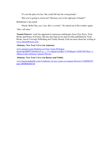"It's not the place for her. She could fall into the wrong hands."

"But you're going to rescue her? Because you're the right pair of hands?"

Belladonna's lip curled.

"Harsh, Bella! But, yes, I am. She's a switch." He stared out of the window again.

"She's all mine."

**Tamsin Flowers'** work has appeared in numerous anthologies from Cleis Press, Xcite Books and House of Erotica. She has also had novels and novellas published by Xcite Books, Secret Cravings Publishing and Totally Bound. Find out more about her writing at [www.tamsinflowers.com](http://www.tamsinflowers.com/)

### **Alchemy: New Year's Eve (via Amazon)**

[www.amazon.com/Alchemy-xii-New-Years-Prologue](http://www.amazon.com/Alchemy-xii-New-Years-Prologue-ebook/dp/B00PT4JG6Q/ref=sr_1_1?s=digital-text&ie=UTF8&qid=1420919857&sr=1-1&keywords=alchemy+tamsin+flowers) $ebook/dp/B00PT4JG6Q/ref=sr_11?s=digital-text&ie=UTF8&qid=1420919857&sr=1-$ [1&keywords=alchemy+tamsin+flowers](http://www.amazon.com/Alchemy-xii-New-Years-Prologue-ebook/dp/B00PT4JG6Q/ref=sr_1_1?s=digital-text&ie=UTF8&qid=1420919857&sr=1-1&keywords=alchemy+tamsin+flowers)

### **Alchemy: New Year's Eve (via Barnes and Noble)**

[www.barnesandnoble.com/w/alchemy-xii-new-years-eve-tamsin-flowers/1120690624?](http://www.barnesandnoble.com/w/alchemy-xii-new-years-eve-tamsin-flowers/1120690624?ean=2940046388756) [ean=2940046388756](http://www.barnesandnoble.com/w/alchemy-xii-new-years-eve-tamsin-flowers/1120690624?ean=2940046388756)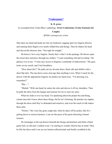# <span id="page-20-0"></span>**["Underpants"](#page-3-0)**

#### **K. D. grace**

# As excerpted from Violet Blue's anthology, **Sweet Confessions: Erotic Fantasies for Couples**

#### *BDSM contemporary urban*

Dan takes my hand and leads me into my bedroom, tugging open my lingerie drawers and running thick fingers over neatly folded bras and thongs. Then he shakes his head and shoved the drawers shut. "Not right for tonight."

He knows I love sexy lingerie. Surely that's what's in the package. He throws open the closet door and paws through my clothes. "I want something soft and revealing." He glances over at me. "I want easy access to disguise a multitude of indiscretions." His gaze locks on my crotch, and I feel breathless.

"How about this?" He pulls out my favorite dress, black silk and chiffon with a short flip skirt. The top shows more cleavage than anything I own. When I reach for the drawer with the appropriate lingerie, he pushes my hand away. "I'm dressing you, remember?"

" $But -$ "

"Shshsh." With one hand, he unties the robe and shoves it off my shoulders. Then he pulls the dress from the hangar and motions for me to raise my arms.

When he slides it over my head, I'm sputtering about the proper bra and thong, certain men don't know about these things, but he isn't listening. He pinches my nipples through the dress until they're distended and sensitive, and even the touch of silk makes them ache.

"Perfect." His voice has gone rough and, when he takes off his jacket, like he's getting down to serious business, I can see the press of his penis distorting Armani trousers.

He rummages in the top drawer beneath the thongs and knickers and finds a black garter belt, sn old ones I seldom wear. I'm starting to wonder what he has in mind. Then he lifts the dress until I can see my bottom reflected pink and freshly scrubbed in the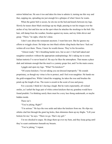mirror behind me. He sees it too and takes his time to admire it, turning me this way and that, cupping me, spreading me just enough for a glimpse of what I know he wants.

When the garter belt is secure, he sits me on the bed and kneels between my legs. Slowly he teases sheer black stockings up my thigh, pausing to run his tongue over the arches of my feet and kiss me on the spot where he attaches the stockings to the belt. His hair, still damp from the weather, brushes against my mons, and my folds shiver and grasp. "There," he sighs, when he's done.

I don't care about the restaurant anymore. I want him now. But he ignores my efforts to wriggle closer. He helps me into black stiletto sling-backs that have 'fuck me' written all over them. Those, I knew he would choose. They're his favourites.

"Almost ready." He's breathing harder now, but so am I. I feel half naked and naughtier somehow without the appropriate underpinnings. He's taking me to some Italian trattoria I've never heard of. He says he likes the atmosphere. That means a place dark and intimate enough that the meal is a yummy grope fest, and I'm the main course.

I giggle and open my legs. "What? No knickers?"

"Of course knickers. I'm not taking you out dressed improperly." He sounds proprietary, as though my virtue is his to protect, and I feel even naughtier. He hands me the gold-wrapped box. While I shred the wrapping, he takes the rose and brushes the petals up the length of me. The room is awash in the scent of rose and pussy.

For a second, I think he's having a laugh. But he waits expectantly, all wicked smiles, as I unfurl the huge pair of white cotton knickers that my grandma would have found prudish. I'm thinking surely there must be a sexy lace thong underneath, or maybe hidden inside.

There isn't.

"You're joking. Right?"

"I'm serious." He lays the rose aside and takes the knickers from me. He slips my stiletto clad feet through the giant leg holes, then shimmies them up my thighs. "Lift your bottom for me," he says. "There we go. That's my girl."

I'm too shocked to argue. He drags them up over my bum, and they keep going until they're scant centimeters beneath my breasts.

"You're joking," I repeat.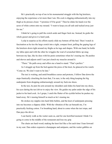He's practically on top of me in his monumental struggle with the big knickers, enjoying the experience a lot more than I am. His cock is digging enthusiastically into my thigh as he presses closer. "I promise it'll be good." Then he slides his hand over the acres of white cotton onto my mound. "I want to keep you all safe and tucked away just for me."

I think he's going to pull the crotch aside and finger fuck me. Instead, he grabs the whole gusset and gives it a hard yank.

I yelp in surprise as his efforts nearly slide my bottom off the bed. Then I watch in fascination as he ties the large crotch into a tight, compact knot, pulling the gaping legs of the knickers down tight around my thighs as he tugs and shapes. With one hand, he holds my labia open and with the other he wriggles the wad of scrunched fabric up snug between my lips, like he does with his penis sometimes when he's teasing me. He pushes and shoves and adjusts until I can just clench my muscles around it.

"There." He pulls away and offers me a hand to stand. "That's perfect."

As I struggle up from the bed against the press of the knot, he glanced at his watch. "Come on. We don't want to be late."

The taxi is waiting, and amid breathless curses and protests, I follow Dan down the steps frantically clenching the knot that, I'm sure, is the only thing keeping the big underpants from dropping embarrassingly around my fuck-me shoes.

In the taxi, he puts his arm around my shoulders and slides his hand into my dress, his eyes daring the taxi driver to enjoy the view. He guides my palm under the edge of his jacket to his hard cock. As I grope, I catch the flutter of his eyelids before he pushes my hand away. He's teasing himself as much as he's teasing me.

He strokes my nipples into hard little bullets, and the knot of underpants pressing into me becomes a slippery dildo. With the vibration of the car beneath me, I'm practically fucking cotton. I'm breathing hard, about to come when the taxi stops, and Dan pays the driver.

I can barely walk as the waiter seats us, and for one horrified moment I think I'm going to come in the middle of the restaurant and lose my grip.

The chairs are hard wood; making the knot feel like a fist each time I lean forward in my seat. Dan orders expensive champagne and antipasto, and the waiter gabbles on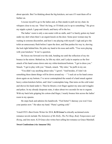about specials. But I'm thinking about the big knickers, not sure if I want them off or further on.

I excuse myself to go to the ladies and, as Dan stands to pull out my chair, he whispers close to my ear. "Don't be long, or I'll think you're up to something." He gives my nipple a pinch. I gasp and clench, and hurry off to the loo.

The ladies' room is only a one-seater with no stalls, and I've barely gotten my hand under my skirt when there's an urgent knock on the door. Some poor woman may be waiting in extreme discomfort, and here's me playing with myself. I sigh and give the toilet an unnecessary flush before I open the door, and Dan pushes his way in, shoving the lock tight behind him. He jerks my hand to his nose and sniffs. "You were playing with your knickers." It isn't a question.

He forces me forward over the sink, bending me until the reflection of my tits bounce in the mirror. Behind me, he lifts my skirt, and I yelp in surprise as the first smack of his hand comes down onto my white-knickered bottom. "I get to dress you." Smack. "I get to play with you." Smack, smack. "My rules," he puffs in my ear.

"You didn't say anything about rules." I growl. "And besides, if I don't do something these damn things will be down around my —" I suck air as his hand comes down again on my bottom. I've never contemplated the sound of a hard smack against heavy cotton knickers before, and I don't contemplate long. Dan turns on the cold water and shoves his hand under it. Then he thrusts a wet finger against my anus and wriggles and pokes. In my already desperate state, it takes about two seconds for me to orgasm. With my back hole gripping his cotton-clad finger, I nearly bounce him across the ladies' room in my spasms.

He steps back and admires his handiwork. "Feel better? I daresay you won't lose your panties now." He takes my hand. "Pasta's getting cold."

Voted ETO's Best Erotic Writer for 2014, **K D Grace's** critically acclaimed erotic romance novels include *The Initiation of Ms Holly*, *The Pet Shop*, *Body Temperature and Rising*, and lots more. K D Grace also writes best selling hot romance as Grace Marshall.

#### **Sweet Confessions (via Amazon UK)**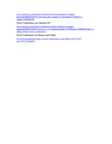[www.amazon.co.uk/Sweet-Confessions-Erotic-Fantasies-Couples](http://www.amazon.co.uk/Sweet-Confessions-Erotic-Fantasies-Couples-ebook/dp/B0055TH4VY/ref=tmm_kin_swatch_0?_encoding=UTF8&sr=1-1&qid=1420920595)[ebook/dp/B0055TH4VY/ref=tmm\\_kin\\_swatch\\_0?\\_encoding=UTF8&sr=1-](http://www.amazon.co.uk/Sweet-Confessions-Erotic-Fantasies-Couples-ebook/dp/B0055TH4VY/ref=tmm_kin_swatch_0?_encoding=UTF8&sr=1-1&qid=1420920595) [1&qid=1420920595](http://www.amazon.co.uk/Sweet-Confessions-Erotic-Fantasies-Couples-ebook/dp/B0055TH4VY/ref=tmm_kin_swatch_0?_encoding=UTF8&sr=1-1&qid=1420920595)

#### **Sweet Confessions (via Amazon US)**

[www.amazon.com/Sweet-Confessions-Erotic-Fantasies-Couples](http://www.amazon.com/Sweet-Confessions-Erotic-Fantasies-Couples-ebook/dp/B0055TH4VY/ref=sr_1_1?s=digital-text&ie=UTF8&qid=1420920657&sr=1-1&keywords=sweet+confessions)[ebook/dp/B0055TH4VY/ref=sr\\_1\\_1?s=digital-text&ie=UTF8&qid=1420920657&sr=1-](http://www.amazon.com/Sweet-Confessions-Erotic-Fantasies-Couples-ebook/dp/B0055TH4VY/ref=sr_1_1?s=digital-text&ie=UTF8&qid=1420920657&sr=1-1&keywords=sweet+confessions) [1&keywords=sweet+confessions](http://www.amazon.com/Sweet-Confessions-Erotic-Fantasies-Couples-ebook/dp/B0055TH4VY/ref=sr_1_1?s=digital-text&ie=UTF8&qid=1420920657&sr=1-1&keywords=sweet+confessions)

#### **Sweet Confessions (via Barnes and Noble)**

[www.barnesandnoble.com/w/sweet-confessions-violet-blue/1102219150?](http://www.barnesandnoble.com/w/sweet-confessions-violet-blue/1102219150?ean=9781573446655) [ean=9781573446655](http://www.barnesandnoble.com/w/sweet-confessions-violet-blue/1102219150?ean=9781573446655)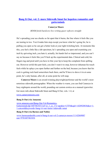# <span id="page-25-0"></span>**[Bang It Out, vol. 2: more Sidewalk Smut for hopeless romantics and](#page-3-0) [gutterminds](#page-3-0)**

#### **Cameryn Moore**

*BDSM fetish hardcore live writing queer softcore straight*

He's spreading your ass cheeks so far apart that it burns, the line where it feels like you are tearing in two. You'd make him stop except you know what he's going for, he is pulling you open so he can get a better look at your tight twitching hole. At moments like this, you feel a little like a lab specimen, he's spreading you open and examining you inch by quivering inch, you hate it, actually, his hands feel so impersonal, and you can't say no because it feels like you'll fuck up the experimental data. Clinical and cold, his fingers tug and prod until you have to bite your lip to keep the complaint from spilling out. However awful this part feels, you don't want it to stop, however inhuman his touch feels while he splays you open further and further on the bed, because you know that his cock is getting rock hard somewhere back there, and he'll have to shove it in at some point, he's only human, after all, at some point he will snap.

**Cameryn Moore** is an award-winning playwright/performer and the world's most notorious sidewalk pornographer. When the weather is warm, you can find Cameryn in busy nightspots around the world, pounding out custom erotica on a manual typewriter. Get more info about Sidewalk Smut and Bang It Out, vols. 1-4, at

[www.camerynmoore.com](http://www.camerynmoore.com/)

#### **Bang It Out (via Amazon)**

[www.amazon.com/Bang-Out-Vol-Romantics-](http://www.amazon.com/Bang-Out-Vol-Romantics-Gutterminds/dp/1607463431/ref=sr_1_cc_1?s=aps&ie=UTF8&qid=1420920836&sr=1-1-catcorr&keywords=bang+it+out+more+sidewalk+smut)[Gutterminds/dp/1607463431/ref=sr\\_1\\_cc\\_1?s=aps&ie=UTF8&qid=1420920836&sr=1-](http://www.amazon.com/Bang-Out-Vol-Romantics-Gutterminds/dp/1607463431/ref=sr_1_cc_1?s=aps&ie=UTF8&qid=1420920836&sr=1-1-catcorr&keywords=bang+it+out+more+sidewalk+smut) [1-catcorr&keywords=bang+it+out+more+sidewalk+smut](http://www.amazon.com/Bang-Out-Vol-Romantics-Gutterminds/dp/1607463431/ref=sr_1_cc_1?s=aps&ie=UTF8&qid=1420920836&sr=1-1-catcorr&keywords=bang+it+out+more+sidewalk+smut)

#### **Bang It Out (via Barnes and Noble)**

[www.barnesandnoble.com/w/bang-it-out-vol-2-cameryn-moore/1114286900?](http://www.barnesandnoble.com/w/bang-it-out-vol-2-cameryn-moore/1114286900?ean=9781607463436) [ean=9781607463436](http://www.barnesandnoble.com/w/bang-it-out-vol-2-cameryn-moore/1114286900?ean=9781607463436)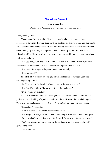### <span id="page-26-0"></span>**[Named and Shamed](#page-3-0)**

#### **Janine Ashbless**

*BDSM fetish hardcore live writing queer softcore straight*

"Are you okay, miss?"

Voices came from behind the light. I held my hand over my eyes as they approached. Two men. I couldn't see anything but their black trouser legs and their boots, but they could undoubtedly see every detail of me: my nakedness, except for that rippedopen T-shirt; my open thighs and grazed knees, skinned by my fall; my bare skin glistening with a slick of pearlescent semen; my face twisted into a peculiar expression of both shock and awe.

"Are you okay? Can you hear me, miss? Can you talk to me? Are you hurt? Do I need to call an ambulance?" Too many questions, repeated over and over.

"I'm okay," I managed to impress upon them eventually.

"Can you stand?"

I nodded. They took my elbows gingerly and helped me to my feet. Cum was dripping off my breasts.

"We'll get you to the hospital. Come on — just into the patrol car."

"I'm fine. I'm not hurt. My purse — it's on the road there."

"Don't worry, we'll get it."

As soon as we were out of the direct glare of the car headlamps, I could see the yellow and blue flashing of a police vehicle, and the uniforms of the men helping me. They wore stab-jackets and carried Tasers. They looked burly and butch and angry.

"Honestly…" I protested.

"You're in shock. You need a doctor to look at you."

"I'm alright!" My legs were like overcooked spaghetti and I wobbled in their grip.

"We saw what he was doing to you, the bastard. Don't worry. You're safe now."

"We'll get a task group down here by daylight and wipe that piece of shit out," growled the other.

"There's no need…"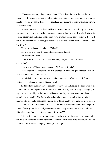"You don't have anything to worry about." They'd got the back door of the car open. One of them reached inside, pulled out a high-visibility waistcoat and held it out to me, to cover up my shame I suppose. I could see him trying to look away from my filthy, dishevelled body.

"I wasn't worried." The devil inside me, the one that sat burning in my cunt, made me speak. I'd had orgasms without cock and a cock without orgasm. I was half-wild with aching desperation. All sense of self-preservation was in shreds now. I knew, as I opened my mouth for the next sentence, just how badly they would take what I had to say. "I was enjoying it."

There was a silence — and then: "What?"

The word was a stone dropped into an ice-crusted pond.

"I went to him. I wanted it."

"You're a troll-fucker?" His voice was cold, cold, cold. "Now I've seen everything."

"Are you high?" the other demanded. "Pills? Coke? Crystal?"

"No!" I squeaked, indignant. But they grabbed my arms and spun me round to flop face-down over the boot of the car.

"Hands behind you," said the officer, slapping a handcuff around my left wrist before I had a chance to react to his command.

He forced my hand roughly to the small of my back, and locked the other wrist to it. I stared into the white paintwork of the car, an inch from my nose, feeling the banging of my heart magnified by the hollow metal beneath me. My bare ass was exposed and completely vulnerable. My feet barely had purchase on the ground, with my weight forward like that and a policeman pinning me with his hand between my shoulder blades.

"Now," he said, breathing hard. "I've come across pervs who like to fuck the pretty kinds of Gentry, and let me tell you we don't take kindly to their sort. But you tell me this: what sort of a dirty cunt goes looking for a *troll?*"

"This sort, officer," I answered humbly, working my ankles apart. The opening of my ass cleft displayed everything that lay between. I knew they were looking, and I heard an intake of breath and a rasping contemptuous laugh.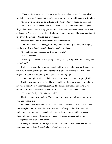"You dirty fucking whore…" he growled, but he touched me and that was what I wanted. He sank his fingers into the puffy wetness of my pussy and I moaned with relief.

"Reckon we can have her on a charge of Bestiality, Andy?" asked the other cop.

"I reckon we can have her any way we want," he answered, ramming a couple of fingers into my cunt. Despite my gasp of shock there was no resistance — I was as wet and open as I'd ever been in my life. "Right now though, this looks like a serious attempt to Pervert the Course of Justice, don't you think?"

I moaned again, half in gratitude and half in humiliation.

Cop Two uttered a harsh snigger as Andy demonstrated, by pumping his fingers, just how wet I was. I could actually hear his hand in my juices.

"Look at that: she's begging for it, the dirty bitch."

"Yes," I groaned.

"Is that right?" His voice was grimly taunting. "Are you a pervert, bitch? Are you a troll-whore?"

I felt the shame of the words strike me like blows and I didn't answer. He punished me by withdrawing his fingers and slapping my pussy hard with his open hand. Pain surged through me like lightning and a yell burst from my lips.

"You've no right to silence, bitch. I want a confession. Tell me how you plead."

Oh God, my pussy was on fire. The sting and burn of the blow seemed to light up my whole body. "Yes!" I moaned, panting. The humiliation was horrible. I'd never submitted to force before today. Never. Yet this was the second time in an hour.

"Yes what? Guilty or Not Guilty, bitch?"

I hesitated a moment too long. The second blow caught me full-on across my wet cunt and swollen clit.

I whined like an angry cat, and the word "Guilty!" erupted from me. I don't know how to explain that. It wasn't the pain. I was afraid of the pain, but that wasn't what broke me. It was nothing that calculated. It was just something about being spanked there, right on my pussy. My surrender was an instinctive response and it was accompanied by a gush of sex-juices.

He laughed and slapped me again, but less brutally this time, then squeezed my mons, and that made the breath boil out of my lungs in sobs.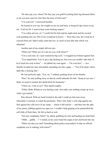"Do they pay you, whore? Do they pay you gold for jerking their big diseased dicks, or are you just a pervert who likes the taste of troll-cum?"

"I'm a pervert," I answered humbly.

He leaned in over me, his weight on my ass and back, to bring his lips closer to my ear. "Call me Sir. I want to hear some fucking respect."

"I'm a dirty pervert, sir." I could feel his belt and his night-stick and his excited cock grinding into me. Part of me wondered in horror — Were they true, the words he'd coerced from me? Had I really sunk that low, to crawl in lust after that which was inhuman?

Another part of me simply did not care.

"What sort? What sort of a slut are you, troll-whore?"

"I'm a cock-slut, sir. I just wanted his big cock." I wriggled my bottom against him.

"You stupid bitch. You've got a big fucking ass, but even you couldn't take that. If he'd stuck his cock in here" — he jabbed my cunt again — "Or even here" — two thumbs invaded my anus and pulled, spreading me into a gape — "You'd be dead, whore. Split like a fucking fish."

He was perfectly right. "Yes, sir," I sobbed, pushing down on his thumbs.

"Pete," he said, pulling away so that he could unbuckle his belt. "Keep an eye out. I think we need to reclaim this dumb bitch for humanity."

"Christ yes. Cunt or ass?" Pete asked roughly.

"Either. Both. Whatever you fucking want. Just make sure nothing creeps up on us while I get started."

Pete obeyed. With my head twisted to the side I could see him turn away, reluctantly it seemed, to watch the perimeter. Then I felt Andy's cock slap against me, first against the cold curve of my rump — where it felt red hot — and then into the split of my pussy, jabbing against my open sex. I couldn't help gasping as he pummelled the soft folds of flesh there. He felt as hard as rock.

"Got any complaints, bitch?" he asked, grabbing my hair and hauling my head back.

"Ohhh… gahhh… !" I wailed, as his cock found the angle at last and bored into me.

"What was that you said? Something about police misconduct? Is that an official complaint you're making, troll-whore?"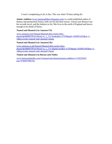I wasn't complaining at all, in fact. This was what I'd been aching for.

**Janine Ashbless** [\(www.janineashbless.blogspot.com\)](http://www.janineashbless.blogspot.com/) is a multi-published author of fantasy and paranormal erotica, both novels and short stories. *Named and Shamed* was her seventh novel, and the kinkiest so far. She lives in the north of England and knows enough to be afraid of fairies.

#### **Named and Shamed (via Amazon US)**

[www.amazon.com/Named-Shamed-dirty-erotic-fairy](http://www.amazon.com/Named-Shamed-dirty-erotic-fairy-ebook/dp/B00HTPU61M/ref=sr_1_1?s=books&ie=UTF8&qid=1420921652&sr=1-1&keywords=named+and+shamed+Janine)[ebook/dp/B00HTPU61M/ref=sr\\_1\\_1?s=books&ie=UTF8&qid=1420921652&sr=1-](http://www.amazon.com/Named-Shamed-dirty-erotic-fairy-ebook/dp/B00HTPU61M/ref=sr_1_1?s=books&ie=UTF8&qid=1420921652&sr=1-1&keywords=named+and+shamed+Janine) [1&keywords=named+and+shamed+Janine](http://www.amazon.com/Named-Shamed-dirty-erotic-fairy-ebook/dp/B00HTPU61M/ref=sr_1_1?s=books&ie=UTF8&qid=1420921652&sr=1-1&keywords=named+and+shamed+Janine)

### **Named and Shamed (via Amazon.UK)**

[www.amazon.co.uk/Named-Shamed-dirty-erotic-fairy](http://www.amazon.co.uk/Named-Shamed-dirty-erotic-fairy-ebook/dp/B00HTPU61M/ref=sr_1_1?s=digital-text&ie=UTF8&qid=1420921692&sr=1-1&keywords=named+and+shamed+Janine)[ebook/dp/B00HTPU61M/ref=sr\\_1\\_1?s=digital-text&ie=UTF8&qid=1420921692&sr=1-](http://www.amazon.co.uk/Named-Shamed-dirty-erotic-fairy-ebook/dp/B00HTPU61M/ref=sr_1_1?s=digital-text&ie=UTF8&qid=1420921692&sr=1-1&keywords=named+and+shamed+Janine) [1&keywords=named+and+shamed+Janine](http://www.amazon.co.uk/Named-Shamed-dirty-erotic-fairy-ebook/dp/B00HTPU61M/ref=sr_1_1?s=digital-text&ie=UTF8&qid=1420921692&sr=1-1&keywords=named+and+shamed+Janine)

#### **Named and Shamed (via Barnes and Noble)**

[www.barnesandnoble.com/w/named-and-shamed-janine-ashbless/1119252943?](http://www.barnesandnoble.com/w/named-and-shamed-janine-ashbless/1119252943?ean=9780957003781) [ean=9780957003781](http://www.barnesandnoble.com/w/named-and-shamed-janine-ashbless/1119252943?ean=9780957003781)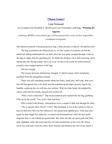### <span id="page-31-0"></span>**["Mouse Games"](#page-3-0)**

#### **Lynn Townsend**

As excerpted from Elizabeth L. Brooks and Lynn Townsend's anthology, **Whetting the Appetite**

*anthology BDSM erotica fantasy gay lesbian paranormal science fiction shapeshifter steampunk transgender*

She darted toward an overturned grocery bag, a false promise of shelter. He had her now!

The bag crunched as he followed her in. For the veriest of instances, he felt the naked tail sliding underneath his toe-pads, then she was gone, escaped through a hole in the bag no larger than his questing paw. He thrust his forepaw out to full extension, claws raking after the fleeing rodent, but to no avail. As fast as he could, he turned himself around in the cramped interior of the bag.

Not fast enough.

The mouse shivered, shimmered, changed. A naked woman, short and plump, unfolded from the changeling creature.

There was still something murine about her looks, small ears, and wide, dark eyes. Her full lips spread into a sly smile and she snatched up the paper grocery bag by the handles, capturing the cat with one easy motion. With the other hand, she popped the cheese cube into her mouth, chewed and swallowed.

"Who's been a bad kitty?" The mouse smirked and reached into the bag, grabbing Ollie up by the scruff. "Yes, such a bad, bad kitty."

Ollie yowled with dismay. Anticipation wove a strand of dark lust through his belly.

"We're agreed, then, Oliver? I win?" She hesitated. It was in her nature to look to him for direction. She was the submissive, his natural and rightful prey. Time and time again, he had caught her, taken her, ravished and dominated her, until she had nearly forgotten how to act without his permission. But when she did, oh, great gods and little pink elephants, when she took back her self and claimed him as her own! He almost never lost, had only worn the collar, been chained and bound to the will of the mouse a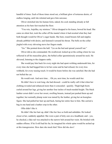handful of times. Each of those times stood out, a brilliant glow of torturous desire, of endless longing, until she relented and gave him surcease.

Oliver stretched into his human form, naked, his cock standing already at full attention as his bare feet touched the floor.

"You win, Anjelika, my mistress." Oliver dropped to his knees, bowed his head. She came on silent feet, took the collar off the mantel where it had awaited what they had both thought would be Oliver's eager hands. She bent, round breasts full and nipples already pebbled with desire, and fastened it around his throat. The bells on the collar jingled with every shivering move her fingers made.

"Go." She pointed down the hall. "Lie on the bed and spread yourself out."

Oliver did as she commanded. He swallowed, looked up at the ceiling where he was reflected in all his masculine glory, the belled collar ignominiously around his neck. He shivered, listening to the clappers rattle.

She would pay him back for every night she had spent writhing underneath him, for every time she had begged him to let her come and he had refused, for every kiss withheld, for every teasing touch. It would be hours before she was satisfied. But she had not belled the cat.

He would wait. And next time… Oh yes, next time, he would catch her.

He didn't have to wait long; she had dressed—could he really call it that when her clothing revealed and enhanced more than it concealed—quickly. Thigh-high boots curled around her legs, giving her another four inches of much-needed height. The black leather corset didn't cover her sweet, swelling breasts, instead just pushed them up and together; her normally plump waist was tamed by the leather, giving her an hourglass figure. She had pulled her hair up and back, baring her entire face to him. She carried a bag in one hand and a leather crop in the other.

Ollie didn't like it.

He didn't like her hair up, didn't like her face so bold and unhidden. He looked closer at her, suddenly appalled. She wore a pair of kitty ears on a headband, and—yes, he checked, a fake tail was attached to the narrow belt around her waist. He bristled with sudden offense. If he'd still had his fur, he imagined his whole spine would be arched up at this transgression. How dare she mock him? How did she *dare*!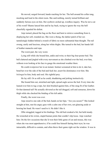He moved, surged forward, hands reaching for her. The bell around his collar rang, mocking and loud in the silent room. She said nothing, merely turned brilliant and suddenly furious eyes on him. Her eyebrow arched up, wordless inquiry. Was he not a cat of his word? Shame lanced him and he lay back, trying to ignore the way the bell cheerfully signaled his defeat.

Anje turned, placed the bag on the floor and bent to retrieve something from it, displaying her soft, rounded ass. She wore a thong, the darker patch of her sex tantalizingly hidden behind a swatch of fabric no more substantial than thought. The tail swung, easily and luscious, along her white thighs. She turned to the bed, her hands full of leather manacles and rope.

The worst part, the very worst.

Lying still while she bound him, ankle and wrist, to their big four-poster bed. The bell clattered and jingled with every movement as she climbed over the bed, over him, without even looking at his face to gauge the emotional weather there.

He could overpower her in an instant. Instinct screamed at him to do it, take her, bend her over the side of the bed and fuck her, assert his dominance over him. She *belonged* to him, body and soul. His rightful prey.

He lay still. Or as still as he could, shuddering and jerking instinctively.

She bound him out, stretched and tight, spread eagle across the bed. Every time she leaned over him to tug a rope, her skin brushed against him, of the snug fit of her leather. Or that damned tail! He actually shivered as the tail dragged, soft and sensuous, down his thigh while she checked the binding of his left ankle.

Finally, the worst was over.

Anje stood to one side of the bed, hands on her hips. "Are you secure?" She looked straight at him, met his angry gaze with a calm one of her own, not glancing aside or bowing her head. He wasn't used to it. He didn't like it.

Ollie struggled, tugged at his bindings. The old bed creaked a bit, but held steady. He wrenched at his wrists, stupid human joints that couldn't slip loose. Anje watched him. On the few occasions that she'd won their little game of cat and mouse, this was when she was most apprehensive; if he could free himself during their tryst, he was intractable, difficult to contain, and often threw their game right out the window. It was in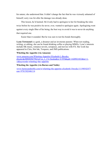his nature; she understood that. It didn't change the fact that he was viciously ashamed of himself; sorry was for after the damage was already done.

This lesson, he'd learned. He'd only had to apologize to her for breaking the rules twice before he was positive he never, ever, wanted to apologize again. Apologizing went against every single fiber of his being; the best way to avoid it was to never do anything that required one.

Easier than it sounded. But he was sure to test his bonds thoroughly.

**Lynn Townsend** is a geek, a dreamer and an inveterate punster. When not reading, writing, or editing, she can be found drinking coffee or playing MMOs. Lynn's interests include filk music, romance novels, octopuses, and movies with FX. Her work has appeared in Cleis, Hot Ink, Torquere, and JMS publications.

### **Whetting the Appetite (via Amazon)**

[www.amazon.com/Whetting-Appetite-Elizabeth-L-Brooks](http://www.amazon.com/Whetting-Appetite-Elizabeth-L-Brooks-ebook/dp/B00JDSI79Q/ref=sr_1_1?s=books&ie=UTF8&qid=1420921832&sr=1-1&keywords=whetting+the+appetite) $ebook/dp/B00JDSI79Q/ref=sr_11?s=books&ie=UTF8&qid=1420921832&sr=1-$ [1&keywords=whetting+the+appetite](http://www.amazon.com/Whetting-Appetite-Elizabeth-L-Brooks-ebook/dp/B00JDSI79Q/ref=sr_1_1?s=books&ie=UTF8&qid=1420921832&sr=1-1&keywords=whetting+the+appetite)

### **Whetting the Appetite (via Barnes and Noble)**

[www.barnesandnoble.com/w/whetting-the-appetite-elizabeth-l-brooks/1119054247?](http://www.barnesandnoble.com/w/whetting-the-appetite-elizabeth-l-brooks/1119054247?ean=9781502446114) [ean=9781502446114](http://www.barnesandnoble.com/w/whetting-the-appetite-elizabeth-l-brooks/1119054247?ean=9781502446114)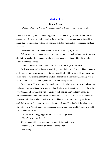# <span id="page-35-0"></span>**[Master of O](#page-3-0)**

#### **Ernest Greene**

*BDSM billionaire dom contemporary female submissive male dominant S/M*

Once inside the playroom, Steven stopped so O could take a good look around. Steven owned everything he wanted, including the warm little package, adorned with nothing more than leather collar, cuffs and skyscraper stilettos, rubbing his cock against her bare backside.

"Please tell me I don't ever have to leave this room again," O said.

Taking a red vinyl cushion shaped to conform to a petite pair of buttocks from a low shelf at the head of the bondage bed, he placed it squarely in the middle of the bed's black rubberized surface.

"Go lie down over there. Settle your tail just off the edge of the cushion."

Still very aware of the invasive steel ringed plug in her ass, O lowered her shoulders and stretched out her arms and legs. Steven locked both of O's wrist cuffs and one of her ankle cuffs to the short chains at the head and foot of the massive altar. Looking over at the mirrored wall, O could see just how sacrificial she appeared.

Steven hoisted himself over O's small body, easily sliding into her with no hands as he lowered his weight carefully on top of her. He took his time getting in, as he did with everything he liked, until she was completely full, packed front and rear, unable to influence his slow, revolving, pistoning penetrations even if she'd wanted to, which she most certainly didn't. The pump had sensitized her to the friction of every stroke and each full insertion depressed the steel bulge at the front of the plug back into her ass in the rudest way. When Steven started to speed up, she knew she wouldn't be able to hold out long and so did he.

"Sir, please Sir. Begging permission to come," O gasped out.

"There'll be a price for it."

O whimpered. She had assumed that but it didn't matter now.

"Please, Sir. Whatever you want to do to me after."

"Fair enough."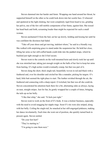Steven slammed into her harder and faster. Wrapping one hand around her throat, he supported himself on the other so he could look down into her scarlet face. O wheezed and sputtered at the light choking, but went completely rigid from head to toe, grinding her pelvis, one of the few still mobile components of her frame, against him. She tossed her head back and forth, screaming louder than might be expected for such a small woman.

Steven unchained O from the bed, sat her up slowly, holding and kissing her until he was confident the dizziness had faded.

"Take off your shoes and get moving, indolent whore," he said in a friendly way. She walked with surprising grace to stand under the suspension bar. He held her close, lifting her arms so her still-cuffed hands could slide into the padded straps, which he buckled just tight enough so she'd feel secure.

Steven went to the controls on the wall-mounted hoist and slowly took her up until she was stretched taut, taking just enough weight on the balls of her feet to keep her arms from hurting. O's high arches would eventually cramp, but that was part of it.

Steven slung the short, thick single-tail, beautifully woven in red and black with a feathered end, over his shoulder and circled her like a matador, picking his targets. O's hard, little butt seemed the right place to start. The leather swished through the air, the feathered end connecting with a sharp report. O twitched, but that was all she could do. Steven concentrated his attention back there for a bit, alternating sides as always, laying on neat, straight stripes. Just for fun, he gently wrapped her a couple of times, bringing the tails up on her belly.

"I like that whip," she said. "It feels just right."

Steven went to work on the front of O's body. It was a trickier business, especially with the need to avoid snagging her nipple rings. Soon O's tits were also striped, along with her belly. Coiling the single-tail, he smacked at her still-engorged pinkness, making her dance involuntarily. Each time she went out of position, she quickly turned back to present again. Steven smiled.

"Do your feet hurt?

"They're starting to."

"I'm going to cane them next."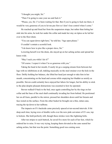"I thought you might, Sir."

"Then I'm going to cane your ass and fuck it."

"Please, yes, Sir. I've been waiting for that. But if you're going to fuck me there, it would be very generous of you to let me pee first so I don't lose control when I come."

He reached up and freed her from the suspension straps, but rather than letting her sink into his arms, he took her under the collar and made her stay on tiptoe as he led her over to the floor drain.

"You can squat down right here," he told her, "legs open please."

O couldn't contain a scornful look.

"I do know how to piss like a proper slave, Sir."

Lowering herself over the drain, she stayed up on her aching arches and spread her knees wide.

"May I suck you while I do it?"

"Of course. I expect it when I'm so generous with you."

Taking the head in her mouth, O easily let go a surging stream from between her legs with no inhibitions at all, tinkling musically on the steel strainer over the hole in the floor. Deftly holding her balance, she lifted her head just enough to take him in her mouth, concentrating on the head and corona while emptying her bladder as noisily as possible. Steven could certainly have enjoyed her labors for longer, but his ability to stick to the plan despite pleasant distractions was essential to how he operated.

Steven walked O back to the bed, once again controlling her by the rings on her collar and the base of the steel shaft continually invading her from behind. He positioned her on all fours, parallel to the mirror, pressed her shoulders down until her breasts and face rested on the surface. From the other basket he brought out a thin, rattan cane, tracing the tip down to her tailbone.

The impacts on O's backside came precisely spaced at ten-second intervals. It bit deep each time, laying rows of double welts over the now pink curvature of O's ass, top to bottom. She held perfectly still, though these strokes were like lightning bolts.

After ten stripes to each buttock, he saved five more for each of her feet, which he ordered her to raise. It was very trying, keeping them elevated as the cane seared her aching arches, but that was the point. Something good was coming soon.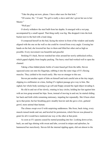"Take the plug out now, please. I have other uses for that hole."

"Of course, Sir, " O said. "No girl is really a slave until she's given her ass to her Master."

"Well put."

O slowly withdrew the steel bulb from her depths. It emerged with a wet pop, accompanied by a small squeal. That thing really was big. She dropped it into the kick bucket next to the bed with a loud clang.

O composed herself on the bed, facing the mirror in front of the window and neatly aligned with the one on the wall so she could be viewed from every angle. Crossing her hands on the bed, she lowered her face to them and lifted her other end as high as possible. Every movement was beautiful and graceful.

Stroking O's back, Steven watched her relax around her newly unblocked orifice, which gaped slightly from lengthy packing. The heavy steel had worked well to open the channel.

Taking a blue-lidded plastic bottle of water-based gel from the table, Steven squeezed some out onto his fingertips, rubbing it into the outer rings of O's flexing muscles. They yielded to his touch easily. She was no stranger to this use.

Steven put another squirt of lube on himself and took careful aim at the tiny target, slipping in a millimeter at a time, feeling O's tightest passage give way to him. She sighed, her whole body seeming to go soft and floppy around the rigid object invading it.

He slid in and out of her slowly, rotating in lazy circles, holding her fast against him with an iron grasp around her hips. Soon, instead of moving in and out, he started sliding her back and forth while remaining stationary, impaling her repeatedly. She'd been silent up to that point, but her breathing grew steadily heavier and she gave a low, guttural growl, more animal than human.

The climax swept over O with surprising suddenness. She froze, back rising, every muscle tensed inside and out, and howled for permission, which Steven was pleased to grant for all it would have mattered one way or the other at that point.

As soon as O's spasms ceased he started pounding into her. Looking down at her, back, ass and legs shining with sweat and lube, covered in stripes and splotches, he hammered her mercilessly. Steven felt the internal rippling again, slid out almost to the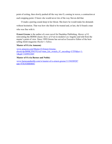point of exiting, then slowly pushed all the way into O, coming in waves, a contraction at each stopping point. O knew she would never tire of the way Steven did that.

O made a purring sound deep in her throat. She knew he would make his demands without hesitation. That was how she liked to be treated and, at last, she'd found a man who was fine with it.

**Ernest Greene** is the author of a new novel for Daedalus Publishing, *Master of O*, reinventing the BDSM classic *Story of O* set in modern Los Angeles and told from the master's point of view. Since 1999 Greene has served as Executive Editor of the bestselling fetish magazine *Hustler's Taboo*.

### **Master of O (via Amazon)**

[www.amazon.com/Master-O-Ernest-Greene](http://www.amazon.com/Master-O-Ernest-Greene-ebook/dp/B00K2INO7G/ref=tmm_kin_swatch_0?_encoding=UTF8&sr=1-1&qid=1420922465)[ebook/dp/B00K2INO7G/ref=tmm\\_kin\\_swatch\\_0?\\_encoding=UTF8&sr=1-](http://www.amazon.com/Master-O-Ernest-Greene-ebook/dp/B00K2INO7G/ref=tmm_kin_swatch_0?_encoding=UTF8&sr=1-1&qid=1420922465) [1&qid=1420922465](http://www.amazon.com/Master-O-Ernest-Greene-ebook/dp/B00K2INO7G/ref=tmm_kin_swatch_0?_encoding=UTF8&sr=1-1&qid=1420922465)

### **Master of O (via Barnes and Noble)**

[www.barnesandnoble.com/w/master-of-o-ernest-greene/1119438928?](http://www.barnesandnoble.com/w/master-of-o-ernest-greene/1119438928?ean=9781938884047) [ean=9781938884047](http://www.barnesandnoble.com/w/master-of-o-ernest-greene/1119438928?ean=9781938884047)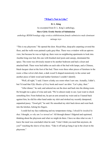### **["What's Not to Like"](#page-3-0)**

### **D. L. King**

As excerpted from D. L. King's anthology, **Slave Girls: Erotic Stories of Submission**

*anthology BDSM bondage edgy erotica exhibitionism female submissive male dominant ménage toys*

"This is my playroom." He opened the door. Royal-blue, deep-pile carpeting covered the floor, and the walls were painted a pale gray-blue. There was a window with an uptown view, but because he was so high up, there were no neighboring apartments to look into. Another king-size bed, this one with brushed steel posts and canopy, dominated the space. The room was obviously meant to be another bedroom and had a closet and attached bath. There were bed tables on each side of the bed with lamps, and a Chinese, black-lacquer chest at the foot of the bed. There were three other pieces of furniture in the room: a blue-velvet club chair, a dark wood X-shaped monstrosity in the corner and another piece of dark wood and leather furniture I couldn't identify.

"Well, all right," I said. I knew a kinky sex room when I saw one. Actually, I didn't, but I'd read that *Fifty Shades of Grey* book and wasn't an idiot. "Let's play, then."

"After dinner," he said, and ushered me out the door and back into the dining room. He brought me a glass of wine and said, "We're almost ready to eat, I just want to check something first. From behind me, he put an arm around my waist and as I leaned back against him, he slid his other hand under my skirt and stroked my recently dampened, unpantied pussy. "Good girl," he said. He smoothed my skirt back down and went back into the kitchen, licking his fingers.

I could feel my face reddening and my temperature rising. *I should be insulted by that,* I thought, *so why am I so turned on?* All through dinner I fidgeted and squirmed, thinking about the playroom and what we might do there. I have no idea what we ate. I knew the meal was concluded when he said, "I don't think you need that anymore, do you?" touching the sleeve of my dress. "Take it off and go hang it up in the closet in the playroom."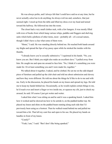He was always polite, and I always felt that I could have said no at any time, but he never actually *asked* me to do anything; he always *told* me and, somehow, that just seemed right. I stood up from the table and lifted my dress over my head and turned toward the hallway. He followed me into the room.

The closet had a very small clothes rack, with a few hangers. It was mostly filled with rows of hooks from which hung various whips, paddles and floggers and shelving units which held a plethora of other items, most—probably all—of a sexual nature, though I didn't have a clue what some of them were.

"Hmm," I said. He was standing directly behind me. He reached both hands around my thighs and spread the lips of my pussy open while he stroked the insides with his thumbs.

"I already know you're sexually submissive." I squirmed in his hands. "No, you know you are. But I think you might also make an excellent slave." I pulled away from him. He caught me and spun me around to face him. "No, I think it's something you were made for. Or at least something you and I were made for, together."

We talked about it together, I naked, and he clothed. He sat me on the odd-shaped piece of furniture and pulled up the club chair and told me about submission and slavery and how they were different. He told me about the things he'd like to do to me and with me. Early in the discussion, he placed his hands on my knees and spread my legs. He told me to keep my hands behind me. Occasionally, as he would explain certain things to me, he'd reach over and insert a finger or two inside me, or squeeze my clit, just to check my arousal, he said. Of course I just got wetter and wetter.

I asked him what I was sitting on and he said it was a spanking bench. I asked him how it worked and he showed me how to lie astride it, on the padded-leather top. He placed my knees and shins on the padded beam running along each side that I'd previously been using as a footrest. Then he walked round behind me and pulled me toward him a bit. That left my cunt free and open to his use. He placed my hands on handles in front of my knees.

"Comfy?"

"Yeah, I am," I said. "But I don't like being spanked."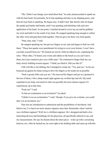"Oh, I think I can change your mind about that," he said, and proceeded to spank me with his bare hand. Occasionally, he'd stop spanking and play in my dripping pussy, and then he'd go back to spanking. He began easy. It didn't hurt. But shortly after he began the spanks got harder and harder, until I was grunting and shrieking with each new application of his hand. At one point, I reached around to cover my ass and he grabbed my wrist and held it to the small of my back. He stopped spanking long enough to collect the other wrist and grip them both together. Then he gave me three very hard spanks.

"Stop, stop, stop," I said.

He stopped spanking me, but put two fingers in my cunt and began to fuck me with them. "Those last spanks were punishment for trying to cover your bottom. I won't have you hide yourself from me." He fucked me slowly while he talked to me, explaining the rules. "Most often, I'll fasten your wrists and ankles to the bench so you can't move them, but I just wanted to give you a little taste." He continued to finger-fuck me, my body slowly building toward orgasm. "I think you liked it. Did you like it?"

I felt a bit like a wet dishrag, but I managed to croak out, "Yes, god yes," as my ass bounced up against his hand, trying to drive his fingers as far inside me as possible.

"Such a greedy little cunt you are." He removed his fingers and just as I groaned at the loss of them, I felt a sharp smack right against my swollen lips and clit. My mind exploded as my body convulsed in what was possibly the most intense orgasm I'd experienced, up to that time.

"Fuck me!" I said.

"Is that an exclamation or an invitation?" he asked.

"I think it was an exclamation," I said, "though, if you give me a minute, you could take it as an invitation, too."

That was my introduction to submission and the possibilities of slavehood. And believe me, I've had even more intense orgasms since then. Remember when I said he was a brilliant engineer? Well, he *is* a brilliant engineer. He's designed and built a few interesting devices and furnishings for his playroom, all specifically tailored to me, and my measurements. He says he dreamt about the latest piece—woke up with a screaming hard-on, too. After he fucked me, he went right to his drafting table and came up with this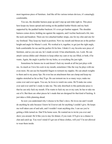most ingenious piece of furniture. And like all his various torture devices, it's amazingly comfortable.

You see, the shoulder harness pops up and I step up and slide right in. This piece here keeps my knees spread and resting on the padded leather blocks and my back supported by the padded leather backrest. It's even got lumbar support. The shoulder harness comes down, holding me against the supports, and I recline backward a bit, into the neck and headrest. There are two attached leather straps, one for my chin and one for my forehead. They keep my head in position. Now my mouth and throat are at the perfect height and angle for Master's cock. We worked at it, together, to get just the right angle, both comfortable for me and the perfect fit for him. I think it's my favorite new piece of furniture, and as you can see, he's made several. It has attachments, too. Look. He can attach various dildos and vibrators to keep either my cunt or my ass filled, or both, if he wants. Again, the angle is perfect for my holes, so everything fits just right.

Sometimes he fastens me in and doesn't fuck my mouth at all but just plays with me. As much as I love his cock in my mouth, sometimes I like the way he plays with me even more. He can use his beautiful fingers to torment my nipples. He can attach weights to them and to my pussy lips. He even has an attachment that can clamp and keep my nipples stretched as far as they'll go. He can torment me in so many ways; make me come over and over again. You see, he loves to watch me come. He'll make me come over and over until he's ready to take me. The only drawback to this particular piece is that he can only fuck my mouth. If he wants to fuck my ass or my cunt, he has to take me out of it. But there are other pieces he's made that are designed for that kind of fucking. It just takes a little planning ahead.

So now you understand why I choose to be Dan's slave. He loves me and I would do anything he asks because I know he'd never ask for anything I couldn't give. He keeps me well taken care of and safe, and I wouldn't want anything else. I can see you're getting a little turned on. Dan'll be home soon. He wanted me to invite you over and show you around. He'd like you to stay for dinner, if you want. It'll give us a chance to chat and catch up. You won't mind if I get out of these clothes, will you? I'm not allowed to wear them inside.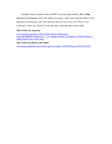Lambda Literary Award winner and IPPY two-time gold medalist, **D. L. King**

(dlkingerotica.blogspot.com) is the author of seventy+ short stories and the editor of *The Big Book of Domination, She Who Must Be Obeyed, Slave Girls, Her Wish is Your Command, Under Her Thumb, Carnal Machines*, and other provocative titles.

# **Slave Girls (via Amazon)**

[www.amazon.com/Slave-Girls-Erotic-Stories-Submission](http://www.amazon.com/Slave-Girls-Erotic-Stories-Submission-ebook/dp/B00H6UOIJQ/ref=sr_1_3?s=digital-text&ie=UTF8&qid=1420922636&sr=1-3&keywords=slave+girls+king) $ebook/dp/B00H6UOIO/ref=sr-1-3?s=digital-text&ie=UTF8&qid=1420922636&sr=1-$ [3&keywords=slave+girls+king](http://www.amazon.com/Slave-Girls-Erotic-Stories-Submission-ebook/dp/B00H6UOIJQ/ref=sr_1_3?s=digital-text&ie=UTF8&qid=1420922636&sr=1-3&keywords=slave+girls+king)

# **Slave Girls (via Barnes and Noble)**

[www.barnesandnoble.com/w/slave-girls-d-l-king/1116842704?ean=9781627780322](http://www.barnesandnoble.com/w/slave-girls-d-l-king/1116842704?ean=9781627780322)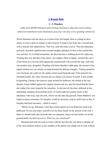## **[A Rough Ride](#page-3-0)**

### **C. P. Mandara**

*alpha male BDSM billionaire dom bondage dominance edge play erotica female submission humiliation male domination pony play role play series spanking submission*

When Marianna tried the dress on in front of her full-length, floor to ceiling art deco mirror, it wasn't quite as opaque as she'd feared. It clung to her body like a second skin, with a tenacity that surprised her. That was, until she made a move. Then the diamonds quivered, stretched, sparkled and revealed naughty glimpses of skin as they pulled this way and that. As it shifted around her, the dress became a walking advert for indecency. Twisting this way and that in the mirror, she caught a flash of nipple, watched the curve of her breast as it moved softly against the material and if she moved her legs, well, that was another story altogether. Standing with them shoulder width apart, the mound of her naked, hairless sex was clearly revealed beneath the delicate triangles. Turning around to view the back, she could see the outline of her toned backside and, if the material was stretched further, the valley between her ass cheeks was clearly revealed. It felt sinfully invigorating. Taking a few practice steps around her bedroom, she smiled as the tiny threads of rope rubbed against her nipples, breasts and sex, and she found that the faster she walked, the more exquisite the sensation. As she moved, the dress slithered in tiny, stimulating whispers all around her body. It would make her acutely aware of her nakedness with every step she took, which was the idea she guessed. Mark Matthews was indeed a master tormentor. No foreplay would be necessary with an outfit such as this, if foreplay had been necessary - which it wasn't.

"Before we go, Marianna, I feel that certain aspects of your behaviour need to be addressed. So you may place yourself over my knee, hands on the armrest of the sofa. I think we should make that backside take on a pleasant, cherry-red hue before we let the general public lay their eyes on it. What say you, sweetness?"

Marianna had still not come to terms with the fact that she was about to display all of her most intimate charms to any member of the public who might care to look at them,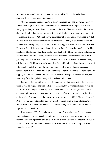so it took a moment before her eyes connected with his. Her pupils had dilated dramatically and she was running scared.

"Now, Marianna. I am not a patient man." His sharp tone had her rushing to obey. She laid her slight body over his thighs and he felt his trousers crumple beneath her. Splaying her body forward, her cheek rested on the arm of her sofa, tilted to the left and she draped both of her arms either side of her head. He let her rest there for a moment in contemplative silence. Anticipation was the mother of desire, and he would see to it that she had more than her fair share of the fickle creature. She began squirming before he had laid even a single finger upon her. He let her wriggle. It served to arouse him as well. He watched the little, glistening diamonds as they danced sinuously upon her body. His hand itched to slam into her flesh, but he waited patiently. There was a time and place for everything and he valued every last little aspect of control. Another twist of her groin, grinding into his pants made him catch his breath, but still he waited. When she finally cried out, a muffled little gasp of arousal that she could no longer keep inside her, he took pity upon her and slowly slid the pathetic wisps of silk covering her ass cheeks up towards her waist. Her sharp intake of breath was delightful. He could see her fingernails digging into the soft suede of the sofa and her heels scrape against the carpet. Yes, she was ready for a little pain he thought. She had certainly earned it.

Letting his fingers slide over the soft mounds of her buttocks, he felt the taut muscle there. It was no surprise she was a little apprehensive, but he wondered if she would be wet for him. His fingers walked a path down her butt cheeks. Hearing Marianna moan at even that light pressure, he was pretty much assured of the outcome of his exploration, and when his fingers reached the base of her sex they almost skidded. She was drenched. Perhaps it was a good thing that there wouldn't be much dress to soak. Plunging two fingers forth into her core, he watched as her back strung itself tight as a bow and her hips bucked against him.

He whispered, "You're ready for my hand, aren't you Marianna?" There was no immediate response. To make his point clear, his hand grasped an ass cheek with a fearsome grip and squeezed. She gave out a high pitched yelp and whimpered, "Yes, Sir." Well, that was a bit more like it. He raised his hand in the air, palm facing down and unleashed himself.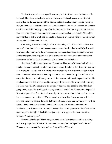The first few smacks were a gentle warm-up both for Marianna's backside and for his hand. The idea was to slowly build up the heat so that each spank was a little bit harder than the last. At the end of this session both his hand and her backside would be sore, but there was no question that she would have the worst end of the deal. To give her credit, she settled into the spanking after the shock of the first two slaps had left her and then raised her buttocks to welcome each new blow as she had been taught. She didn't move her hands or her head, and she kept her dazzling green eyes wide open even though she couldn't look at him with them.

Alternating from side to side, he admired the twin peaks of firm flesh and the first spots of colour that had started to encourage her ass to blush rather beautifully. It would take a good few minutes to develop something half-decent and long lasting, but he was on the right path. Each slap saw a slight quiver as the orbs tried desperately to recover themselves before his hand descended again with another fresh attack.

"I've been thinking about your punishment for this evening's 'panty' debacle. As you have already realised, parading you around central London in that dress will be a part of it. It should help you lose that innate sense of propriety that you seem so keen to hold on to. You need to learn that when I lay down the law, I mean for my instructions to be obeyed to the letter and without question. Failure to do so will result in penalties." As his hand continued to fall, he increased the strength of the stroke. She whimpered in protest, but there was still little movement on her part. "You will be pleased to know that I am going to allow you the privilege of wearing panties to work." He did not miss the puzzled frown that graced her face. She had every right to be confused but he intended to clear up her misunderstanding quickly. "When you arrive at the office, however, you will bend over and push your panties down so that they rest around your ankles. That way, I will be assured that you are not wearing underwear while you are working under my roof." Marianna's jaw dropped in horror and he knew it had nothing to do with the effects of his spanking, even though her backside had just begun to wiggle in the most charming fashion. "You may speak."

Marianna did the goldfish thing again. He hadn't slowed the pace of his spanking, so it was going to be a little hard for her to concentrate, but she'd get there in the end. Women were renowned for their multi-tasking skills he'd heard.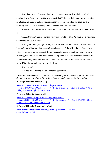"Isn't there some…" a rather loud squeak ensued as a particularly hard whack cracked down, "health-and-safety-law-against-that?" Her words tripped over one another in a breathless manner and her squirming increased. He could feel his cock harden painfully as he watched her body undulate backwards and forwards.

"Against what?" He raised an eyebrow out of habit, but was aware she couldn't see it.

"Against trying," another squeak, "to walk," a yelp of pain, "in high-heels with your panties around your ankles!"

"It's a good job I speak gibberish, Miss Morreau. No, the only laws are those which I set and you will ensure that you walk slowly and carefully within the confines of my office, so as not to injure yourself. If you manage to injure yourself through your own stupidity, you will, of course, be punished." Slap, slap, slap. The metronome beat of his hand was building in tempo. She had to wait a full minute before she could summon a weak, if faintly sarcastic response to his dictate.

"Obviously."

That was the last thing she said for quite some time.

**Christina Mandara** is a UK authoress and currently has five books in print: *The Riding School*, *Learning the Ropes*, *Hot to Trot*, *Named and Shamed*, and *A Rough Ride*.

## **A Rough Ride (via Amazon UK)**

[www.amazon.co.uk/Rough-Ride-training-latex-leather](http://www.amazon.co.uk/Rough-Ride-training-latex-leather-ebook/dp/B00N9BGVUU/ref=sr_1_1?s=digital-text&ie=UTF8&qid=1420922960&sr=1-1&keywords=a+rough+ride+mandara) $ebook/dp/B00N9BGVUU/ref=sr\ 1\ 1?s=digital-text&ie=UTF8&qid=1420922960&sr=1-$ [1&keywords=a+rough+ride+mandara](http://www.amazon.co.uk/Rough-Ride-training-latex-leather-ebook/dp/B00N9BGVUU/ref=sr_1_1?s=digital-text&ie=UTF8&qid=1420922960&sr=1-1&keywords=a+rough+ride+mandara)

## **A Rough Ride (via Amazon US)**

[www.amazon.com/Rough-Ride-training-latex-leather](http://www.amazon.com/Rough-Ride-training-latex-leather-ebook/dp/B00N9BGVUU/ref=sr_1_1?s=digital-text&ie=UTF8&qid=1420923023&sr=1-1&keywords=a+rough+ride+mandara)[ebook/dp/B00N9BGVUU/ref=sr\\_1\\_1?s=digital-text&ie=UTF8&qid=1420923023&sr=1-](http://www.amazon.com/Rough-Ride-training-latex-leather-ebook/dp/B00N9BGVUU/ref=sr_1_1?s=digital-text&ie=UTF8&qid=1420923023&sr=1-1&keywords=a+rough+ride+mandara) [1&keywords=a+rough+ride+mandara](http://www.amazon.com/Rough-Ride-training-latex-leather-ebook/dp/B00N9BGVUU/ref=sr_1_1?s=digital-text&ie=UTF8&qid=1420923023&sr=1-1&keywords=a+rough+ride+mandara)

## **A Rough Ride (via Barnes and Noble)**

[www.barnesandnoble.com/w/a-rough-ride-c-p-mandara/1120326102?](http://www.barnesandnoble.com/w/a-rough-ride-c-p-mandara/1120326102?ean=2940046151732) [ean=2940046151732](http://www.barnesandnoble.com/w/a-rough-ride-c-p-mandara/1120326102?ean=2940046151732)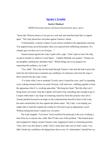## **[Spyder's Trouble](#page-3-0)**

#### **Korin I Dushayl**

*BDSM blood play female dominant female/female space opera*

"Scum like Thonora deserve to be put on a real rack and stretched until they're ripped apart." The Lady placed her soft palm against Tamara's cheek.

"Unfortunately, it doesn't matter if your actions resulted in the appropriate outcome. You angered many powerful people when you exposed their trafficking enterprise. If a whisper gets out that you're on Xoriyan..."

Tamara leaned against the Lady's palm with a sigh. "I don't plan to leave the ship except to transfer to whatever vessel Spyd… Captain Malonds can acquire." Tamara sat up straighter, pushing her shoulders back. "Which brings me to my purpose for requesting this audience, my Lady."

"Yes, child." The Lady ran her hand through Tamara's hair and she had to press her teeth into her bottom lip to maintain any semblance of coherence and resist the urge to throw herself into the Lady's arms.

"I've done what I can to maintain *Trouble* since I joined the crew, and I'm spending every waking moment before we reach Xoriyan, well until now, cobbling together at least the appearance that it's a working spaceship." She hung her head. "But this ship won't bring much, not nearly what the Captain will need to buy something fast enough to get to Creeper while there's any hope of extracting ourselves from this *phalatu* mess alive." Tamara pitched forward at an angle so she could prostrate herself in front of the Lady, her arms outstretched, her face against the plush carpet. "My Lady, I was hoping you might offer to lend the Captain the credits he will need to get an appropriate vessel. Without letting him know I asked you, of course."

The Lady laughed. "You know Varyl would let his pride get in the way of taking a loan from me or anyone else, child. But I'll take care of the problem." She leaned down and wrapped her fingers around Tamara's hair, tugging her back to a kneeling position. "Now, don't you fret about it, child. Varyl's mine and I take care of what's mine. You didn't break any confidence divulging these facts to me. It's information I should have as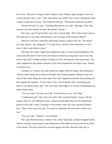his owner." She put two fingers under Tamara's chin, lifting it high enough to force her to look into the Lady's eyes. "Now what about you, child? You've been working too hard without a break for too long." She licked her full lips. "What kind of pain do you like?"

Tamara shivered. *So long.* "Anything that pleases my Lady. Although, if the Lady chooses, the more intense the pain, the deeper I can go."

The Lady's grin lit up her blue eyes with a wicked light. "Don't have much room in here and most of my tools, unfortunately, are in storage at the moment. Blood?"

That one word sent a delicious chill along Tamara's spine to her clit. "Oh, please my Lady, please," she whispered. "I've had all my vaccines. Just somewhere it won't show. I don't want them to know."

This time, the Lady's laugh had a dangerous edge to it and Tamara shuddered. The Lady patted the bed in front of her and Tamara crawled up, lying down next to her, the scent of the Lady's leather perfume wafting over her, infusing her with reassurance. The Lady snapped her long fingers and one of her slaves handed her an aseptic wipe. Tamara closed her eyes.

Leaning over Tamara, the Lady teased her nipple with her tongue, then enclosed it with her teeth, biting down harder and harder until Tamara gasped, lifting her hips, the scent of her musk filling the small cabin. The Lady slapped her mound, hard, pushing her back against the mattress. "If you want to stay, I get to decide what, if anything, gets done to your pretty pussy, girl." Her voice had a hard edge to it, but the commanding tone made Tamara melt.

"Yes, my Lady. I'm sorry, my Lady. It's just been so very, very long."

"I understand, girl." Her voice was softer. She caressed Tamara's breast with the aseptic cloth, the wet chilling her skin. Tamara sensed rather than saw the small knife placed in the Lady's hand. Cleaning it with another wipe, the Lady watched Tamara's face. "Don't close your eyes, girl. You want to experience all your senses when I cut you."

"Yes, my Lady." Tamara's voice hitched.

The Lady lifted her knife, a stiletto with a shiny blade and a leather wrapped handle. Tamara watched, mesmerized, as the sharp point of the blade lowered to the brown flesh of her breast. The point rested for a moment against her skin, then the Lady drew a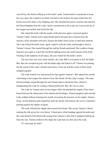curved line, the blood welling up in the knife's path. Tamara had to concentrate to keep her eyes open, she wanted to let them roll back in her head as the pain roiled from her breast across her belly to her dripping cunt. She clenched her pelvic muscles and stared at the blood dripping from the Lady's knife, mesmerized as the Lady ran it across the tip of her tongue and smiled, and licked her lips.

She wiped the knife with the aseptic cloth and once again, it pressed against Tamara's flesh. Tamara took a deep breath and let the pain drive tension from the muscles of her shoulders and neck, tension she hadn't been aware of until that moment. The Lady licked the knife clean, again, wiped it with the cloth, and brought it back to Tamara's breast. Pain seared through her and her breath quickened. She could no longer keep her eyes open to watch the red blood spilling across the small mound of her boob. Floating in the euphoria of sub space, she just waited for the knife's return.

The next four cuts were much smaller, the Lady didn't even pause to lick the blade. But, then she scooped up gore with the blade edge and licked it off. Tamara was panting, but the sound of the Lady's breath came heavy in her ear and the scents of their musk mingled together.

The Lady leaned over and pressed her lips against Tamara's. She opened her mouth, welcoming in the tongue that tasted of iron. Her blood. On the Lady's tongue. The taste, that knowledge surged through her and Tamara had to clench her fists, afraid of disappointing the Lady by coming without permission. But, she was so close.

The Lady let Tamara suck on her tongue while she pinched the nipple of her intact breast between the sharp nails of her thumb and forefinger. Tamara gurgled a plea and the Lady nodded without releasing her mouth, increasing the pressure on her nipple. Tamara let go, let the delicious pain engulf her until she shook with release, the waves of pleasure pushing against the ripples of agony.

The Lady released her nipple and caressed her breast. She sat up, Tamara's blood staining the silk across her own breast. A hand put a white bandage against her palm and the Lady blotted at the blood still oozing from Tamara's skin until it stopped trickling up from the cuts. Tamara looked at the shape the Lady had cut, then up at the Lady.

"It's the kanji for truth."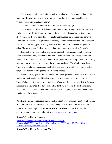Tamara smiled while the Lady put a clean bandage over the wound and taped the four sides. It took Tamara a while to find her voice, but finally she was able to say, "Thank you so very much, my Lady."

The Lady smiled. "You know how to thank me properly, girl."

Tamara reached deep inside herself and found enough strength to sit up. "Yes, my Lady. Thank you for the honor, my Lady." She pushed aside panels of satiny silk until she revealed the Lady's beautiful, spectacular breasts, four times larger than her own. Sobbing with joy and the euphoria of sub space, Tamara licked from the Lady's chest to her dark, puckered nipple, caressing one breast with her palm while she tongued the other. She suckled and the Lady moaned, her aroma now overpowering Tamara's.

Kissing her way through the silks across the Lady's soft, rounded belly, Tamara eased her shaking body backwards. She settled between the Lady's fleshy thighs and pulled apart her tender outer lips, covered in soft, dark curls. Inhaling the mouth-watering fragrance, she dipped her tongue into the scrumptious juices. They both moaned and Tamara plunged deeper, caressing the Lady's engorged clit with her lips, thrusting her tongue into her slit, lapping at the ever-flowing ambrosia.

When the Lady gasped and shuddered, her juices gushed out even faster and Tamara sucked as much as she could into her mouth. The Lady came again, then yanked Tamara's hair, pulling her up to lay in the Lady's arms. "Such a pretty little toy. So very responsive and talented. I do have some ideas for how to resolve the predicament my rescue has caused." She stroked Tamara's hair. "But, I might just ask that ownership of you be part of my payment."

As a FemDom, **I.G. Frederick** knows firsthand the beauty of symbiotic D/s relationships filled with love. As an observer she sees the many ways BDSM turns ugly. She writes about abusive and tragic interactions as *Korin I. Dushayl*. Her work appears in electronic, audio, and print anthologies. [http://transgressivewriter.com](http://transgressivewriter.com/)

### **Spyder's Trouble via Amazon**

[www.amazon.com/Spyders-Trouble-Korin-I-Dushayl](http://www.amazon.com/Spyders-Trouble-Korin-I-Dushayl-ebook/dp/B00S729216/ref=sr_1_1?s=books&ie=UTF8&qid=1424574448&sr=1-1&keywords=spyder) $ebook/dp/B00S729216/ref=sr_11?s=books&ie=UTF8&qid=1424574448&sr=1-$ [1&keywords=spyder%27s+trouble](http://www.amazon.com/Spyders-Trouble-Korin-I-Dushayl-ebook/dp/B00S729216/ref=sr_1_1?s=books&ie=UTF8&qid=1424574448&sr=1-1&keywords=spyder)

**Spyder's Trouble via Barnes and Noble**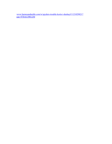[www.barnesandnoble.com/w/spyders-trouble-korin-i-dushayl/1121029821?](http://www.barnesandnoble.com/w/spyders-trouble-korin-i-dushayl/1121029821?ean=9781613901250) [ean=9781613901250](http://www.barnesandnoble.com/w/spyders-trouble-korin-i-dushayl/1121029821?ean=9781613901250)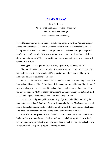### **["Nikki's Birthday"](#page-3-0)**

### **I.G. Frederick**

As excerpted from I.G. Frederick's anthology, **When Two's Not Enough** *BDSM female dominant meange*

I love Mistress very much, but I really miss having a man in my life. Yesterday, for my twenty-eighth birthday, she gave me a most wonderful present. I had asked to go to a local pizza place that has an indoor mini-golf course — a chance to forget my age and indulge in juvenile pursuits. Mistress, who is quite a bit older, took me, but made it clear she would not play golf. When she went to purchase a round of golf, she asked me with whom I would play.

I shrugged. "I know you're not interested, I guess I'll just play by myself."

She looked up at me. At home, when I'm usually on my knees in her presence, it's easy to forget how tiny she is and that I'm almost a foot taller. "You could play with him." She pointed to someone behind me.

I turned and found a friend who I hadn't seen in several weeks standing there with a huge grin on his face. "Liam!" I said with delight and gave him a big hug. Liam is one of Mistress' play partners so I'd seen him naked often enough at parties. I do admit I have the hots for him, but Mistress doesn't permit me to have sex with anyone but her. Still, I was delighted just to have someone my own age to play golf with.

Mistress ordered pizza, paid for two mini golf games, and told them to bring the food out after we played. I enjoyed the game immensely. We got 3D glasses that made it hard to hit the ball accurately, but embellished all the black-lit pirate scenes. I beat Liam by a couple of strokes and Mistress took pictures of us with the "pirates."

After the luscious pizza, Mistress invited Liam to come to the house and visit for a bit before he drove back home — he lives an hour and a half away. When we arrived, Mistress sent me upstairs to strip and take care of some quick chores. I came back down and saw Liam had a great big bow tied around his neck.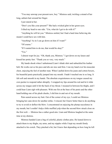"You may unwrap your present now, boy." Mistress said, twirling a strand of her long, auburn hair around her finger.

I just stared at her.

"Don't you like your present?" She had a wicked glint in her green eyes.

I tilted my head to one side. "Um, what do I get to do with it?"

"Anything he will let you." Mistress smiled, but I had a hard time believing she meant I could have sex with him.

"Anything? As in I can go down on him if I want?"

"Of course."

"If I wanted him to do me, that would be okay?"

"Yes."

I almost wept for joy. "Oh, thank you, Mistress." I got down on my knees and kissed her pretty feet. "Thank you so very, very much."

My hands shook when I unbuttoned Liam's khaki shirt and unbuckled his leather belt. He works out so his pecs and abs are nice and firm. I ran my hand over his muscular chest, enjoying the feel of another man. When I pulled down his jeans and cotton boxers, his beautiful penis practically jumped into my mouth. I hadn't touched one in so long. It felt soft and smooth in my hands. The absolute exquisiteness on my tongue caused my own pecker to respond rather abruptly. I wrapped my lips around his rod and let it slide across my tongue until it hit the back of my throat. I moaned in between his thighs, and I could hear Liam sigh with pleasure. With one fist at the base of his penis and the other hand holding one of his plush cheeks, I slid him in and out of my mouth.

Pain seared across my butt. Out of the corner of my eye, I could see Mistress bringing her cane down for another strike. I winced, but I knew better than to do anything to try to avoid or deflect the blow. I concentrated on enjoying the plump succulence in my mouth, but I couldn't help a little muffled yelp when the second blow struck close on the first welt — Mistress has a rather good aim. Liam and Mistress laughed at the same time at my distress.

Mistress handed Liam a bag of colorful, plastic clothes pins. He leaned down to attach them to my thighs, my arms, and my nipples while I kept my mouth firmly attached to his crotch. They pinched a bit, but I knew that depending on how long he left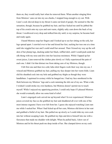them on, they would really hurt when he removed them. When another stinging blow from Mistress' cane cut into my ass cheeks, I stopped long enough to cry out. With Liam's cock shoved deep in my throat it came out kind of gurgly. He seemed to like the sensation, though, because he grabbed my hair, and face fucked me until he jabbed the top of his crotch onto my eyes and sent warm, slightly salty cum down the back of my throat. I swallowed every drop and milked him dry until, to my surprise, he became hard and ready again.

I heard Mistress snap her fingers and I looked up to see her sitting on the sofa, her legs spread apart. I crawled over to her and kissed her feet, sucking her toes one at a time until she wiggled her rear and I could smell her arousal. Then I kissed my way up the soft skin of her plump legs, ducking under her black, ruffled skirt, until I could push aside her silk thong with my nose and dive into her luscious moistness. While I lapped up her sweet juices, Liam removed the clothes pins slowly so I fully experienced the pain of each one. I didn't let that distract me from taking care of my Mistress, though.

I felt first one and then two cold, lube-slick fingers work their way into my ass. I winced and Mistress grabbed my hair, pulling my face deeper into her warm folds. Liam slid his sheathed cock into my hole and grabbed my thighs as though they were handlebars. I squirmed in ecstasy while he banged me. I had my face smothered in the flesh between my Mistress' legs and a cock ramming the shit out of my ass. What a ride. I wished I could stroke my own hardness, but Mistress doesn't permit me to touch myself. While I enjoyed my appetizing position, I could only hope if I pleased Mistress she would eventually allow me some kind of relief.

Liam's engorged cock carved me up beyond what I'd ever experienced. Mistress' juices covered my face as she grabbed my hair and shuddered all over with one of the most intense orgasms I have ever felt from her. I guess she enjoyed watching Liam ram me while I sucked her. When I had licked up all her cum, Mistress slid down in her seat and grabbed a fistful of my hair. She pulled me up slowly so I could slide my own cock into her without escaping Liam. He grabbed my hips and drove himself into me with a fierceness that made me shudder with delight. When he pulled back, I drew out of Mistress and let his thrust push me deep inside of her. She clamped down on my cock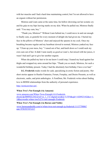with her muscles and I had a hard time maintaining control, but I'm not allowed to have an orgasm without her permission.

Mistress and Liam came at the same time, his bellow drowning out her ecstatic cry and his grip on my hips leaving marks on my skin. When he pulled out, Mistress finally said: "You may cum, boy."

"Thank you, Mistress!" Without Liam behind me, I could move in and out enough to finally cum, so grateful for every moment of delight she had given me. I buried my face in the pillows of Mistress' chest and enjoyed the spasms in my cock. Once my breathing became regular and my heartbeat slowed to normal, Mistress yanked my face up. "Clean up your mess, boy." I eased out of her, and knelt down so I could suck my own cum out of her. It didn't taste nearly as good as Liam's, but mixed with her juices, it wasn't bad and I got to give her another orgasm.

When she pulled my hair to let me know I could stop, I leaned my head against her thighs and wrapped my arms around her hips. "Thank you so much, Mistress, for such a wonderful birthday present. Today I had the absolutely best birthday I have ever had."

**I.G. Frederick** trades words for cash, specializing in erotic fiction and poetry. Her short stories appear in Hustler Fantasies, Forum, Foreplay, and Desire Presents, as well as electronic, audio, and print anthologies. A FemDom, Ms. Frederick writes about finding love in BDSM relationships from the authority of personal experience.

[http://eroticawriter.net/.](http://eroticawriter.net/)

### **When Two's Not Enough (via Amazon)**

[www.amazon.com/When-Twos-Enough-I-G-Frederick](http://www.amazon.com/When-Twos-Enough-I-G-Frederick-ebook/dp/B009ZLE4LQ/ref=sr_1_1?s=digital-text&ie=UTF8&qid=1420923182&sr=1-1&keywords=when+two) $ebook/dp/B009ZLE4LQ/ref=sr\ 1\ 1?s=digital-text&ie=UTF8&qid=1420923182&sr=1-$ [1&keywords=when+two%27s+not+enough+Frederick](http://www.amazon.com/When-Twos-Enough-I-G-Frederick-ebook/dp/B009ZLE4LQ/ref=sr_1_1?s=digital-text&ie=UTF8&qid=1420923182&sr=1-1&keywords=when+two)

#### **When Two's Not Enough (via Barnes and Noble)**

[www.barnesandnoble.com/w/when-twos-not-enough-ig-frederick/1113779806?](http://www.barnesandnoble.com/w/when-twos-not-enough-ig-frederick/1113779806?ean=9781937471217) [ean=9781937471217](http://www.barnesandnoble.com/w/when-twos-not-enough-ig-frederick/1113779806?ean=9781937471217)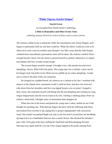# **["White Tigress, Scarlet Stripes"](#page-3-0)**

### **Sacchi Green**

As excerpted from Sacchi Green's anthology,

#### **A Ride to Remember and Other Erotic Tales**

*anthology fantasy historical erotica lesbian erotica science fiction*

My mistress called on me to attend her while she entertained a new Green Dragon, and I began to understand what my role here would be. While the fellow would not wish to be observed at such a time by another man (though I was fully aware that the Jade Dragon watched from concealment,) precautions must still be taken. My mistress could be fierce enough herself, I knew, but she chose to present herself as entirely submissive, to inspire and enhance the flow of male sexual energy.

The session began serenely enough. I brought a tray with jasmine tea and sweet dumplings, *baotzu*, filled with lotus paste. The young man was a scholar, a poor one by his hungry look, but polite in his efforts not too gobble up too many dumplings. I made sure to remove the plate while one remained.

He lounged on a padded bench, my mistress on a cushion at his feet. I watched with interest as she leaned close, murmured words I could not hear, and drew her wine-red robe down from her shoulders until her rose-tipped breasts were revealed. I longed to draw closer, but contented myself with biting into the last dumpling and working my long tongue languorously into the sweet cream at its core, winning a sidelong glance from my mistress which held, I thought, more of amusement than disapproval.

When she rose to her knees and parted the young man's robes, neither he nor I had thought for anything else. With delicate fingers she drew forth his stiffening Jade Stem and stroked from scrotum to tip, urging him to greater engorgement with a practiced touch. Her mouth was painted bright red, and, as she lowered it toward him, his throbbing tip leapt into it as a bumblebee burrows into a scarlet flower. She dictated the intruder's pace with a firm grip at the base, pulling her head back and then plunging forward, drawing away again until the very tip of her tongue lapped at the pearls seeping from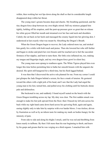within, then working her wet lips down along the shaft so that its considerable length disappeared deep within her throat.

The young man's groans became deep and chaotic. My breathing quickened, and the tiny dragon-force deep between my own thighs stirred. Still my mistress gripped him tightly, holding off his eruption, until the pent-up pressure grew so great that on release his white geyser filled her mouth and streamed over her face and neck and shoulders. Calmly she sat back on her heels and massaged the creamy liquid into her glowing skin. I understood at last exactly what was meant by Absorbing the Dragon's Breath.

When the Green Dragon began to recover, the Lady ordered more tea, and stroked him gently for a while with both touch and praise. Then she lowered her robe still further and began to stroke and pinch her own breasts until he reached out to feel the succulent firmness of her nipples, and bent to taste them. Her little cries inflamed me, too, making my tongue and fingertips tingle, and my own dragon-force growl in silent fury.

The young man soon sprang to readiness again. The White Tigress played him even longer this time before permitting him to bathe her smooth breasts with the unguent she desired. His spirit still hungered for a third time, but his flesh lagged behind.

It was then that I discovered the active role planned for me. From my corner I could just glimpse the Jade Dragon behind a screen, his face a mask of tension. He gestured toward the others with a tight jerk of his head, and I saw that the Lady had urged the young man to his feet, turned him, and pulled away his clothing until his buttocks shone pale and defenseless.

She beckoned to me, and suddenly I found myself seated on the bench with the Green Dragon trembling across my lap. My duty was clear. The first sudden smack was enough to make his feet jerk upward from the floor; then I braced my left arm across his back while my right hand came down hard across his quivering flesh, again and again, easing slightly only to take him by surprise with ever harder blows. I was tireless, driven by frustration as well as by an inborn taste for making my mark on bodies hungry for the intensity of pain.

From side to side and along his thighs I struck, until he was red and throbbing from knees nearly to tailbone. By then I felt more than his rear beginning to throb, and knew by his gasps and groans that he was verging on a third orgasm. I smacked him with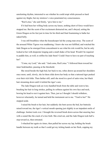unrelenting rhythm, interested to see whether he could erupt while pressed so hard against my thighs; but my mistress's voice penetrated my consciousness.

"Red Lotus," she said firmly, "give him to me."

If it had been her willing body across my knees, nothing short of force would have stopped me. But the scent of her excitement distracted me, and I obeyed, setting the Green Dragon on his feet just in time for his third and final fountaining to bathe her naked belly.

I was still breathless when the housekeeper led the young man away. The scent of the aroused White Tigress was maddening. I knew she was not fulfilled, and watched the Jade Dragon as he emerged from concealment to see what his role would be, but he only looked at her with desperate longing and a small shake of his head. Would I be required to paddle him, as well, to stiffen his Jade Stem? Could I bear to have no part of touching her?

"Come, my Lord," she said. "And come, Red Lotus." I followed them toward her inner bedchamber, pausing at the threshold.

She stood beside the high bed, her back to me, robes drawn up around her shoulders once more; until, slowly, she let them slide down her body so that a tattooed tiger peeked over their rich folds. Then farther still, until she stood in a pool of satin wine, her black hair streaming down until it tickled the tiger's ears.

The Jade Dragon took an ivory-handled brush from the table and went to her, brushing her hair in long strokes, pulling its softness against his own face and neck, bowing his head to rest it against hers. Then, just as I thought I should withdraw, however reluctantly, he turned and held the instrument out to me. "Tend to her!" He stepped aside.

I raised the brush to her hair, but suddenly she bent across the bed, her buttocks raised toward me, the tiger's vertical mouth opening just slightly in an impudent smile of challenge. Instinct took over. I brought the reversed brush down across that sneering face with a sound like the crack of a tree limb. She cried out, and the Jade Dragon took half a step toward us, then retreated.

I whacked her again six times, then pulled her across my lap, holding the brush handle between my teeth so that I could get my itching hands on her flesh, cupping my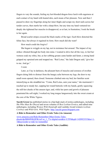fingers to vary the sounds, feeling my hot-blooded dragon-force lurch with eagerness at each contact of my hand with heated skin, each moan of her pleasure. Now and then I paused to draw my fingertips along her inner thighs and scrape my short nails across her tender curves, then startle her with a sharp blow, but any time my hand ventured too deeply she tightened her muscles in disapproval, so at last, in frustration, I took the brush to her again.

Broad scarlet stripes crossed the black marks of the tiger. Each blow distorted the feline face, but always it regained its form. How much did she want?

How much could she forgive?

She began to wriggle on my lap, not in resistance but arousal. The impact of my strikes vibrated through her body into mine. I wanted to drive her all the way, to feel her wetness soak my robes, but, as her sobbing groans came harder and faster, a strong hand gripped my upraised arm and stopped me. "Red Lotus," the Jade Dragon said, "give her to me. And go."

I went.

Later, as I lay in darkness, the pleasant burn of muscles and soreness of swollen fingers doing little to distract from the hungry ache between my legs, the door to my small room opened, then closed. Someone climbed onto my bed, her familiar scent intensifying as she straddled me. "Come, Red Lotus, earn your name," she murmured. I reached up to steady her, cupping her round buttocks with my hands, gently squeezing the still-hot cheeks of the unseen tiger; and, while her purrs and growls of pleasure penetrated the soft night, I worked my long tongue languorously into the sweet cream at the core of the White Tigress.

**Sacchi Green** has published stories in a hip-high stack of erotica anthologies, including *She Who Must Be Obeyed* and seven volumes of *Best Lesbian Erotica*, and edited nine anthologies, including *Women With Handcuffs* and Lambda Award winners *Lesbian Cowboys* and *Wild Girls, Wild Nights*. [http://sacchi-green.blogspot.com](http://sacchi-green.blogspot.com/)

**A Ride to Remember and Other Erotic Tales (via Amazon)**

[www.amazon.com/Ride-Remember-Other-Erotic-Tales](http://www.amazon.com/Ride-Remember-Other-Erotic-Tales-ebook/dp/B004WKQFIK/ref=sr_1_7?s=digital-text&ie=UTF8&qid=1420923535&sr=1-7&keywords=a+ride+to+remember)[ebook/dp/B004WKQFIK/ref=sr\\_1\\_7?s=digital-text&ie=UTF8&qid=1420923535&sr=1-](http://www.amazon.com/Ride-Remember-Other-Erotic-Tales-ebook/dp/B004WKQFIK/ref=sr_1_7?s=digital-text&ie=UTF8&qid=1420923535&sr=1-7&keywords=a+ride+to+remember) [7&keywords=a+ride+to+remember](http://www.amazon.com/Ride-Remember-Other-Erotic-Tales-ebook/dp/B004WKQFIK/ref=sr_1_7?s=digital-text&ie=UTF8&qid=1420923535&sr=1-7&keywords=a+ride+to+remember)

**A Ride to Remember and Other Erotic Tales (Audible)**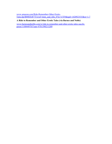[www.amazon.com/Ride-Remember-Other-Erotic-](http://www.amazon.com/Ride-Remember-Other-Erotic-Tales/dp/B00HX4F7TA/ref=tmm_aud_title_0?ie=UTF8&qid=1420923535&sr=1-7)[Tales/dp/B00HX4F7TA/ref=tmm\\_aud\\_title\\_0?ie=UTF8&qid=1420923535&sr=1-7](http://www.amazon.com/Ride-Remember-Other-Erotic-Tales/dp/B00HX4F7TA/ref=tmm_aud_title_0?ie=UTF8&qid=1420923535&sr=1-7)

# **A Ride to Remember and Other Erotic Tales (via Barnes and Noble)**

[www.barnesandnoble.com/w/ride-to-remember-and-other-erotic-tales-sacchi](http://www.barnesandnoble.com/w/ride-to-remember-and-other-erotic-tales-sacchi-green/1100449783?ean=9781590213209)[green/1100449783?ean=9781590213209](http://www.barnesandnoble.com/w/ride-to-remember-and-other-erotic-tales-sacchi-green/1100449783?ean=9781590213209)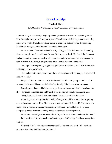## **[Beyond the Edge](#page-3-0)**

#### **Elizabeth Lister**

*BDSM erotica fetish graphic male/male role play spanking toys*

I stood staring at the bench, imagining James' practiced strikes until my cock grew so hard I thought it might rip through my jeans. Then I heard his footsteps on the stairs. My knees went weak. It would have been easier to kneel, but I stood beside the spanking bench with my eyes on the floor as I heard the doors open.

James entered. I heard him chuckle softly. "Oh, yes. You look wonderful standing there, waiting for me," he said huskily, and I felt my cock throb. He closed the doors and locked them, then came closer. I saw his bare feet and the bottom of his black jeans. He took my chin in his hand, tilting my face up so I could look him in the eyes.

"I thought a nice spanking might be a good place to start with you." His brown eyes had darkened to almost black.

They delved into mine, seeking out the most secret parts of my soul, as I sighed and said, "Yes, Sir."

I expected him to tell me to strip, but instead he told me to get up on the bench. I wondered if he would keep me clothed today. I really didn't know what to expect.

Once I got up there and he'd bound my calves and forearms, I felt his hands on the fly of my jeans. I moaned, that light touch from his fingers already driving me mad.

"Easy, boy…we haven't even started yet." I sensed a smile in his voice.

He unzipped me and grabbed the waist of my jeans and black boxer briefs, pulling everything down past my hips. Since my legs splayed out a bit, he couldn't get them any farther down. For some reason, this made me feel more vulnerable than if I'd been completely naked. I struggled in my bonds and glanced back desperately.

James saw me and gave me a stern look. "Eyes forward, Tate. You know the rules."

I did as directed, trying to calm my breathing as I felt his large hand caress my right buttock.

He tsked. "Looks like you need some work before next weekend. I like my boys smoother than this. But it will do for now…"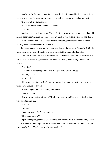*Oh Christ.* I'd forgotten about James' predilection for smoothly shaven men. It had been awhile since I'd been for a waxing. I blushed with shame and embarrassment.

"I'm sorry, Sir," I murmured.

"It's okay. This was an unplanned session."

"Yes, Sir."

Suddenly his hand disappeared. Then I felt it come down on my ass cheek, hard. He spanked me three times, in the same spot. I groaned. It was so long since I'd had this...

"You like that, don't you?" he said softly, caressing the other buttock and then landing three successive slaps to that side.

I moaned as my ass swayed from side to side with the joy of it. Suddenly, I felt his warm hand on my cock. I cried out in surprise and at the wonderful feel of it.

"Oh, yes. You do like that. Very much, eh?" His voice came silky and soft from his throat, as if he were trying to seduce me, when he already had me very much at his mercy.

"Yes, Sir."

"Tell me." A harder edge crept into his voice now, which I loved.

"I like it," I said.

"Be specific."

"I like you spanking me, Sir," I murmured, embarrassed. My voice went real deep when I was unsure of myself.

"Where do you like me spanking you, Tate?"

"On my ass, Sir."

"Do you want me to do it again?" I felt him close by and heard his quick breaths. This affected him too.

"Yes, Sir."

"Tell me"

"Spank me again, Sir," I said quietly.

"I beg your pardon?"

"Spank me again, please, Sir," I spoke louder, feeling the blush creep up my cheeks.

He chuckled, landing a few more blows on my vulnerable bottom. "Your skin pinks up so nicely, Tate. You have a lovely complexion."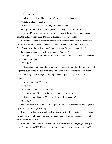"Thank you, Sir."

"And what would you like next, hmm? Crop? Flogger? Paddle?"

"Whatever pleases you, Sir."

"Any of those will please me. I'm giving you the choice."

I thought for a moment. "Paddle, please, Sir." Might as well go for the gusto.

"Very well." He walked over to the wall and selected a small flat wooden paddle from the rack. My heart started to race as I realized what I was in for.

He came back over and showed it to me. "I'm going to paddle you ten times with this, Tate. Then we'll see how you do. Maybe I'll paddle you ten more times after that. Then I'm going to play with your cock until you come. Does that sound nice?"

I moaned, it sounded so fucking incredible. "Yes, Sir."

"I thought so. This is just a bit of fun. You do realize that the sessions next weekend will be much more involved?"

"Yes, Sir."

"All right then. Let's go." He moved into position and soon I felt the first blow land — painful but nothing too bad. He went slowly, gradually increasing the force of the blows, so that by the time he got to ten, my breaths rasped and my ass throbbed pleasantly.

"How are you doing?" he asked.

"Fine, Sir."

"Excellent. Would you like ten more?"

"Yes, Sir. Please, Sir." I heard the desire and need in my voice.

"All right. Count this time. You can safe-word if you need to."

"Yes, Sir."

I counted as each blow landed on my poor bottom, each one sending pain signals to my ass and pleasure signals to my cock.

How that worked I really had no idea. I just knew it did. By the time James landed the tenth blow I think I could have come, hands free, with another strike or two. And by my reactions, he knew it.

He spoke with obvious excitement in his breathless words. "Oh yes, you really do enjoy that, don't you? If I'd kept going you might have just come on your own, eh?"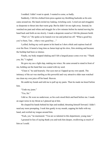I nodded. I didn't want to speak. I wanted to come, so badly.

Suddenly, I felt his clothed form press against my throbbing backside as his arm came around me. His hand circled my leaking, twitching cock. I cried out and struggled, so desperate to thrust into that warm grip. But he didn't let me right away. Instead, he watched me pant and whine and struggle for a few minutes before he started moving his hand back and forth on me slowly. I made a desperate sound as I felt the pleasure build.

"That's it." He spoke as he leaned over me and jerked me off. "What a good boy you've been, Tate…what a very good boy…"

I yelled, feeling my cock spasm in his hand as I shot a thick and copious load all over the floor. It lasted a long time as James kept up his slow, firm stroking and because the buildup had been so intense.

Finally, my body stopped shaking and I felt a languid peace come over me. "Thank you, Sir," I sighed.

He gave my ass a light slap, making me wince. He came around to stand in front of me, holding out the hand that was coated with my seed.

"Clean it," he said hoarsely. Our eyes met as I lapped up my own spunk. The intimacy of the act was startling as this powerful and very attractive older man watched me clean my own juice off his hand. Heaven.

He undid my bonds and told me to pull up my pants. Then he made me kneel before him.

"Undo my jeans."

"Yes, Sir."

I did so. He wore no underwear, so his cock stood thick and hard before me. I made an eager noise in my throat as I glanced up at him.

He clasped his hands behind his hips and nodded, thrusting himself forward. I didn't need any more prompting. I took him gently in my mouth, cupping his balls with my hand, and swirled my tongue around him.

"Fuck, yes," he murmured. "You are so talented in this department, young man."

I groaned in lieu of saying thank you and took him deeper, swallowing as much of him as I could.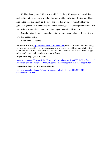He hissed and groaned. I knew it wouldn't take long. He gasped and growled as I sucked him, letting me know what he liked and what he *really* liked. Before long I had him on the edge and I doubled the force and speed of my throat work. Suddenly he grunted. I glanced up to see his expression barely change as his juice spurted into me. He watched me from under hooded lids as I struggled to swallow his release.

Once he finished I let his cock slide out of my mouth and licked my lips, daring to give him a small smile.

He grinned back at me…

**Elizabeth Lister** [\(http://elizabethlister.wordpress.com/\)](http://elizabethlister.wordpress.com/) is a married mom of two living in Ontario, Canada. She has written several erotic stories for publication including two ebooks (*Exposure* and *The Crush*) and the first two novels of *The James Lucas Trilogy* (*Beyond the Edge* and *The Cross and the Trinity*).

### **Beyond the Edge (via Amazon)**

[www.amazon.com/Beyond-Edge-Elizabeth-Lister-ebook/dp/B009EV1XCK/ref=sr\\_1\\_1?](http://www.amazon.com/Beyond-Edge-Elizabeth-Lister-ebook/dp/B009EV1XCK/ref=sr_1_1?s=books&ie=UTF8&qid=1420923718&sr=1-1&keywords=beyond+the+edge+lister) [s=books&ie=UTF8&qid=1420923718&sr=1-1&keywords=beyond+the+edge+lister](http://www.amazon.com/Beyond-Edge-Elizabeth-Lister-ebook/dp/B009EV1XCK/ref=sr_1_1?s=books&ie=UTF8&qid=1420923718&sr=1-1&keywords=beyond+the+edge+lister)

### **Beyond the Edge (via Barnes and Noble)**

[www.barnesandnoble.com/w/beyond-the-edge-elizabeth-lister/1113027534?](http://www.barnesandnoble.com/w/beyond-the-edge-elizabeth-lister/1113027534?ean=9781608207541) [ean=9781608207541](http://www.barnesandnoble.com/w/beyond-the-edge-elizabeth-lister/1113027534?ean=9781608207541)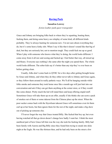## **[Roving Pack](#page-3-0)**

#### **Sassafras Lowrey**

*fiction leather punk queer transgender*

Grace and Johnny are bringing folks back to where they're squatting, beating them, fucking them, and doing some heavy ass roleplay of some kind, all different kinds probably. They're always hunting for someone new. I'm not sure about everything they do, but it's some heavy kinky shit. When I say it like that it doesn't sound like that big of deal, but they are seriously hot, not to mention tough. They could fuck me up so good. When I play with someone who knows what they're doing, the world looks different. I come away from it all raw and oozing and fucked up. I feel better that way, all mixed up and bleary. Everyone says nothing's the same after the night you spend there. The whole world looks different. The sober kids say it's better than any trip they've ever been on before getting clean.

Usually, folks don't come back to QYRC for a few days after getting brought home by Grace and Johnny, and when they do they either never talk to Johnny and Grace again, or they follow them around in really pathetic ways. We'll all be hanging outside while folks smoke and someone they took home once like a month ago will just butt into our conversation and ask if they can get them anything at the corner store, or if they would like some dinner. Pretty much the kid will stand there and keep offering stupid stuff. Sometimes Grace will take them up on an offer, usually if she thinks she can score a pack of smokes out of them or some takeout from the Chinese place up the street. When the poor sucker comes back with the Styrofoam takeout Grace will sometimes even let them curl up at her boots, but then ignore them for the rest of the night, and make a big show out of picking up someone else.

I'll never forget the way that Grace treated Billy. She fucked that boy up, but even having watched all that go down doesn't change how badly I want her. I think the most unethical part of how Grace left him was the way she took his fucking family. Billy had been family with Aurora and Big Billy since they found him trying to sneak into dyke night at the Eagle. He was like thirteen then, and he had only been on the street a few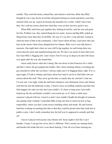months. They took him home, named him, and started to train him. Back then Billy thought he was a top, but he loved that old guard training too much and pretty soon they realized what was up. I guess he became the houseboi for a while. I didn't know him then. He's told me stories about how hard they were on him, but how good it was.

When Billy and Grace got together they fucking loved her, said she was real good for him. Problem was, they started liking her too much. Aurora and Big Billy ended up liking Grace more than they loved Billy. He says it's cuz she's a top and they wanted to cultivate more of that in the community. I don't know about all that, I just know they put him on the streets when Grace dumped him for Johnny. Billy won't even talk about it anymore. One night back when we were still living together, he said losing them was worse than his mom and stepdad kicking him out. We don't see much of each other now, but I hear Billy's flagging left. I don't know if he'll ever go as deep as he did with Grace ever again after the way she treated him.

Grace really knows what she's doing. She was down in San Francisco for a while and that's where she got jumped into leather. She's been teaching Johnny everything she got schooled in while she was there. I always make sure I'm flagging black, right. If it's a quiet night, I'll talk to Johnny and Grace about how hard it can be to find folks who are serious about this stuff. They never get the hint, or maybe they do, and don't want me. I'm not sure. Last night, while the staff and volunteers were distracted, Grace and Johnny took this boi into the bathroom to play. I tried to focus on stuffing condoms and lube into little baggies for safer sex kits, but I just couldn't. It's been so long since I got really fucked up. By the end Hunter wouldn't even touch me, so it's been a while since someone's played with me. I need it so bad. I just couldn't handle the thought of someone else getting what I needed. I remember Billy trying one time to teach me how to beg respectfully, where you don't come across sounding whiny and needy. He said Aurora had been working on teaching him that so that they could be proud when they took him to public events. I don't really remember how the hell you're supposed to actually pull that off.

I haven't played with anyone since Hunter left. Some nights I feel like I can't breathe. I mean, I can get lots of ass, but it's different. That's mostly me running fucks, and besides this kinda shit isn't even about fucking. I'd be all over Grace fucking me,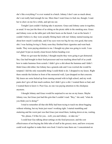she's like everything I've ever wanted in a butch. Johnny I don't care as much about, she's not really hard enough for me. More than I want Grace to fuck me, though, I want her to chew on me for a while, and spit me out.

Tonight I just couldn't fucking take it anymore. Grace and Johnny came in together, as usual. It was just the three of us sitting on the picnic table in the smoking area. Grace and Johnny were on the table part with their boots on the bench. I sat on the bench. I couldn't believe it, they were actually flirting back with me! Johnny started teasing me about how much I could take, and if my eyes were too big for my own good, that sorta shit. I was fucking loving it. Pretty soon they finished their cigarettes and went back inside. They were paying attention to me. I thought my plan was going to work. I was real glad I'd put on mostly-clean boxers before heading over.

When we got near the kitchen, I thought maybe they were going to get distracted. See, Gus had brought in their food processor and was teaching about half of us youth how to make hummus from scratch. I didn't give a shit about the hummus and I didn't think Grace did either, but Johnny has a granola side and I was worried she would be tempted. I did the only reasonable thing I could think to do. I dropped to my knees. Right there outside the kitchen in front of the memorial wall, I just dropped on that concrete. My knees are sorta fucked up from running around with in high school, and my work pants don't give all that much cushion, but I didn't give a shit. I wanted them so bad, and I wanted them to know it. Poor Gus, no one was paying attention to the chickpeas anymore.

I thought Johnny and Grace would be surprised to see me on my knees. Maybe Johnny was, but Grace just had this grin that I couldn't read. "Boy," she said, "what do you think you're doing?"

I tried to remember all that shit Billy had been trying to teach me about begging without whining, but my brain just wasn't working right. I started stumbling and stuttering and the worst part was that Grace just stood there, looking down at me, waiting.

"Sir, please, I'd like for you…well, you and Johnny…to take me."

I could hear Gus talking about settings on the food processor, and the cost effectiveness of not buying the little tubs of stuff at the grocery store, and how everyone could work together to make their own food. I tried to tune them out. I concentrated on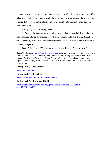keeping my eyes on the gouged toe of Grace's boot. I stiffened, but then forced myself to relax when I felt her hand on my head. She left it there for what seemed like a long time. I hoped that everyone in the kitchen was paying attention to Gus, but I knew this was more interesting.

"Boy, get up. I'm not taking you home."

That's when the tears started and goddamn when that happened all I wanted to do was disappear. I bit on my snakebites really hard with my teeth, and then the barbell in my tongue to try to pull myself together but it didn't work. I wanted to run, but couldn't. I forced my eyes up.

"I can't," Grace said. "You're too sweet of a boy. I just can't destroy you."

**Sassafras Lowrey** [\(www.SassafrasLowrey.com\)](http://www.SassafrasLowrey.com/) is a straight-edge queer punk who grew up to become the 2013 winner of the Lambda Literary Emerging Writer Award. Hir books—*Kicked Out*, *Roving Pack*, and *Leather Ever After*—have been honored by organizations ranging from the National Leather Association to the American Library Association.

### **Roving Pack (via the author)**

[www.rovingpack.com/](http://www.rovingpack.com/)

**Roving Pack (via Powell's)**

[www.powells.com/biblio/2-9780985700904-0](http://www.powells.com/biblio/2-9780985700904-0)

## **Roving Pack (via Barnes and Noble)**

[www.barnesandnoble.com/w/roving-pack-sassafras-lowrey/1111325876?](http://www.barnesandnoble.com/w/roving-pack-sassafras-lowrey/1111325876?ean=9780985700904) [ean=9780985700904](http://www.barnesandnoble.com/w/roving-pack-sassafras-lowrey/1111325876?ean=9780985700904)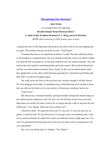## **["Broadening Our Horizons"](#page-3-0)**

**Beth Wylde**

As excerpted from the anthology,

**Broadly Bound: Broad Horizons Book 1**

## by **Beth Wylde, Kathleen Bradean, D. L. King, and Syd McGinley**

*BDSM club-oriented gay GLBT gender queer lesbian*

I opened the door to find Maryanne buried up to her chin in the covers and napping like an angel. The moment was just too good to resist. "Fuck proper."

I slammed the door to our apartment as hard as I could. The door rattled the frame as she jumped to a sitting position, her eyes darting around the room in an effort to figure out what the hell was going on. As her gaze settled on me, she calmed instantly. The wild look on her face turned to something darker and more serious. She swallowed hard and cast her eyes downwards toward the floor. I knew, by the way her hands shook where they gripped the covers, that I really had been ignoring her. I promised myself then and there that it would never happen again.

The walk across the floor to the bed took only seconds, though it felt like forever. We were hanging on the edge of something truly world-shattering and I needed to know she was with me for better or for worse before I offered up everything I had to her.

"Look at me."

She obeyed my command instantly, peering hesitantly through her blonde bangs as she settled into her submissive role. We don't live the lifestyle twenty-four seven but Maryanne can usually tell when I need to be in charge and she's able to slip into the role effortlessly. "Yes, Master. What can I do to please you?"

I shook my head. "No questions from you. It's my turn. It's just me and you, no games. I want the truth. No lies between us. I'm going to ask you something and I want you to answer honestly, no matter how much you think the answer might upset me. You won't be punished for being honest but if you lie to me there will be consequences. Do you understand?"

Her voice was barely above a whisper. "Yes, Master."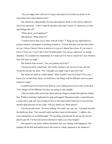"Are you happy here with me? Living in this place? Or would you prefer to be somewhere else with someone else?"

She sucked in a deep breath, her face showing her shock as she slowly replied to one of my questions. "I don't mind living above the club. I know it's necessary, at least until things take off."

"What about your happiness?"

She blinked. "What about it?"

"I need to know that you're okay with all of this." I flung out my right hand in a gesture meant to encompass everything around us. "I know this past year has been hard on you. I know I haven't been as attentive to you as I should have been. If you want to leave, I'll let you. I won't like it but I'll understand. You can go, right now, no strings attached. I'll consider our relationship over and you'll be free to search for a new Domme who will treat you right."

She looked close to tears. "Are you getting rid of me?"

I forced myself to stand back. All I really wanted to do was run to her side and sweep her up into my arms. "No. I thought you might want to get rid of me."

She shook her head in violent denial. "Why would I want to do that? I love you. I know you've been busy lately, we both have, but things will be different once we open tomorrow night."

I nodded and moved across the floor at a run, sinking down next to her on the bed. "Yes, things will be different, but they are going to start tonight."

I slid my hand softly across her cheek until my fingers combed through her ruffled hair. Without warning I tightened my grip and tugged. Maryanne made a sound between a moan and a sigh, her eyes closing in bliss as her head arched sideways to increase the already tight pressure on her scalp. "Oh yes, thank you. More please?"

I let her go and stood. "No more talking. Not until I say you can." I pointed towards the bathroom door. "Get yourself ready and then meet me downstairs." I added a few extra instructions as an afterthought. "No touching yourself and do not use the shower head to get off. I'm the only person allowed to make you come tonight."

She agreed to my terms without hesitation, her eyes shining with happiness. She jumped off the bed and dashed across the room in a flash, prepared to do whatever I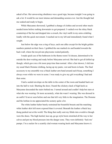asked of her. Her unwavering obedience was a good sign, because tonight I was going to ask a lot. It would be our most intense and demanding session ever. Just the thought had me soaked and ready to begin.

While Maryanne showered, I grabbed a change of clothes and several other muchneeded items before rushing downstairs to get prepared. I vaulted over the shiny black countertop of the bar and dropped into a crouch, the vinyl outfit in my arms crinkling loudly with the quick movement. I reached out to my left and immediately found what I sought.

Just below the edge was a ring of keys, each one alike except for the bright golden numbers painted on their faces. I grabbed the one marked six and headed towards the back wall, where the ten private playrooms waited patiently.

I made quick use of the bathroom in the theme room I'd chosen, determined to be outside the door waiting and ready before Maryanne arrived. She had to get all dolled up though, which gave me a bit more prep time than normal. After a fast shower, I slid into my usual black Domme clothing, lacing up my pants, vest and boots in haste. The final accessory to my ensemble was a black leather arm band around each bicep, something I always wore while we were in scene. I was ready to give my girl everything I had and then some.

I laid a sealed envelope on the table in the center of the room and headed back out into the hall to wait. Shutting the door, I heard the clickety-clack of high heels as Maryanne descended the stairs behind me. I turned around and couldn't help but stare at what she was wearing. Or more accurately, what she wasn't wearing. She was dressed in an outfit I'd never seen before and one that left very little to the imagination. The Domme and the lesbian in me appreciated the scenery quite a lot.

The white leather halter barely restrained her bountiful breasts and the matching white leather skirt left more exposed than it covered. Beneath the leather a black lacy thong peeked out at the world. The thing that really sent my libido into overdrive though were the shoes. The high heeled, lace-up, go-go style boots stretched all the way to her calves and put my blood pressure into the danger zone. They were definitely 'fuck me' pumps. I'm a sucker for a scantily clad woman wearing heels and Maryanne knows it.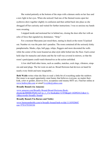She waited patiently at the bottom of the steps with a demure smile on her face and a new light in her eyes. When she noticed I had one of the themed rooms open her eyebrows drew together slightly in confusion and then settled back into place as she shrugged off her curiosity and waited for further instructions. I was so anxious my hands were sweating.

I stepped inside and motioned her in behind me, closing the door after her with an echo of force that signaled my dominance. "Strip."

For a moment Maryanne just stood there, staring in shock at the room I'd picked out. Number six was the pain slut's paradise. The room contained all the seriously kinky paraphernalia. Masks, clips, ball gags, whips, floggers and more decorated the walls while the center of the room boasted an altar-style table bolted into the floor. Each corner held clips for manacles and chains and the far wall was covered in mirrors, so that the room's participants could watch themselves as the action unfolded.

A low shelf held other items, such as candles, matches, cock rings, vibrators, strapons and anal plugs. The list went on and on. Broad Horizons had devices on hand for nearly every fetish and taste imaginable…

**Beth Wylde** writes what she likes to read: a little bit of everything under the rainbow. Her muse is an equal opportunity smut bunny that believes everyone, no matter their kink, color or gender, deserves love, acceptance and steamy HOT sex. Find her online at [www.bethwylde.com](http://www.bethwylde.com/) or email [b.wylde@yahoo.com](mailto:b.wylde@yahoo.com)

### **Broadly Bound (via Amazon)**

[www.amazon.com/Broadly-Bound-Broad-Horizons-Book](http://www.amazon.com/Broadly-Bound-Broad-Horizons-Book-ebook/dp/B00IB1PQ4U/ref=sr_1_1?s=books&ie=UTF8&qid=1420924121&sr=1-1&keywords=broadly+bound)[ebook/dp/B00IB1PQ4U/ref=sr\\_1\\_1?s=books&ie=UTF8&qid=1420924121&sr=1-](http://www.amazon.com/Broadly-Bound-Broad-Horizons-Book-ebook/dp/B00IB1PQ4U/ref=sr_1_1?s=books&ie=UTF8&qid=1420924121&sr=1-1&keywords=broadly+bound) [1&keywords=broadly+bound](http://www.amazon.com/Broadly-Bound-Broad-Horizons-Book-ebook/dp/B00IB1PQ4U/ref=sr_1_1?s=books&ie=UTF8&qid=1420924121&sr=1-1&keywords=broadly+bound)

### **Broadly Bound (Via Barnes and Noble)**

[www.barnesandnoble.com/w/broadly-bound-beth-wylde/1118592868?](http://www.barnesandnoble.com/w/broadly-bound-beth-wylde/1118592868?ean=9781470104184) [ean=9781470104184](http://www.barnesandnoble.com/w/broadly-bound-beth-wylde/1118592868?ean=9781470104184)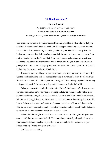# **["A Good Workout"](#page-3-0)**

**Sinclair Sexsmith**

As excerpted from Ily Goyanes' anthology, **Girls Who Score: Hot Lesbian Erotica**

*anthology BDSM gender queer lesbian queer erotica sports erotica*

You check out my ass in the mirror across from mine, and that's when I know that you want me. I've got one of those too-small towels wrapped around my waist and another too-small towel draped over my shoulders, and so do you. The half-dozen girls in the locker room are wearing their towels up over their breasts, with a second one twisted up on their heads. But we don't need that. Your hair is the same length as mine, cut way above the ears, but yours has that faux-hawk, which tells me you might be a few years younger than I am. Mine I sweep up and over in a wave like I took a palm full of product and ran my hands over my head. Which I did.

I wash my hands and head for the steam room, catching your eyes in the mirror for just the quickest inviting smile. I can feel the pulse in my muscles from the 5k run I just finished on the treadmill and the quick set of weights I lifted to keep my shoulders strong and open. My neck feels loose, my fingers feel heavy, my thighs feel solid.

When you chose the treadmill next to mine, I didn't think much of it. I read you as a guy for a full minute until you stopped walking and started running, and I stole a glance and noticed the smooth girl curve of your chin. Your run was lithe—supple and graceful, full of ease. I struggled with my breath and concentrated on my feet hitting the treadmill. I slowed down and caught my breath, sped up and pushed myself, slowed down again. You stayed steady, one foot in front of the other, sweating but not out of breath, listening to your iPod while I watched a re-run of *Sex and the City*.

When I left the weights to head down to the locker room, I thought I felt your eyes on me, but I didn't turn around to look. You were doing assisted pull-ups by then, your blue basketball shorts bunched by your knees as you knelt on the machine and your biceps popping. I heard you groan only once.

Not that I was watching.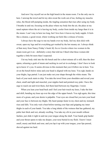And now I lay myself out on the high bench in the steam room. I'm the only one in here. I unwrap the towel and let my skin sweat the work out of me, feeling my muscles relax, the blood still pumping inside, the tingling sensation that rises after using my body. I breathe in and out, focusing on the place where my body hits the air, the place at my nasal septum where the air is leaving my body, cooler from inside my lungs than it is in the steam. I can't stay in here too long, but I love how it leaves my body supple. It feels like a cleanse, a good sweat, where working out feels like a release of toxins.

I always have the urge to run my hands over my body, feel my skin slick with sweat, open my legs and let everything get washed by the hot steamy air. I always think of that story from Nancy Friday's book *My Secret Garden* where two women in the steam room get it on—definitely a story that told me I liked what these women did together a little bit more than I expected.

I let my body sink into the tile bench and for a short minute all is still; then the door opens, releasing a gush of steam and sucking in cool air in exchange. I don't have to look up to know it's you. It seems obvious in this moment that you'd follow me in here. You sit on the bench below mine and your head is aligned with my knee. You sigh, hands on your thighs, legs parted. I can just make out your shape through the white steam. The back of your neck starts to drip. You take the towel from your shoulders and reveal your chest, small and tight and muscled, your nipples hard and pointed rosy pink. I have the urge to reach out and twist them, feel them hard between my fingertips. I resist.

When you lean your head back and I feel your hair touch my knee, I take the hint and shift, bending my knee up over the edge of the upper bench. You sigh again, this time more of a groan, and your desire is palpable. Your eyes are closed but you turn your head and your face is between my thighs. My heart pumps faster in my chest and my stomach rises and falls. You only wait a beat before turning your hips and gripping my inner thighs in each of your hands. You take a long inhale of the wetness that has gathered, my pubic hair thick and wet, already swelling. You take my clit in your mouth without fanfare, just slide it right in and run your tongue along the shaft. Your hands grip harder and your throat opens to take me deeper, your nose buried in my flesh. I know I must smell, musty and thick and sour, and you lap it up with your tongue, your lips pursed, shoved against me hard.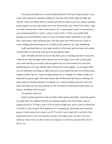You bring one hand over to cup me underneath and I feel your fingers gently in my crack, palm against my opening, holding my lips like I have balls, high and tight and smooth. I feel your finger find my asshole and shift my body to give my consent, pushing gently against, and you slip inside, just to the first knuckle, easy with all this steam. I grip your hair, because that's what a faux-hawk is for. Long enough to grab on top and move your mouth around how I want it, where I want to feel it. I fuck your mouth while keeping your head stationary and you work your finger gently and firmly in my tight hole, your tongue wide and throat open. My hips open and I thrust into you, ready to come, thinking about shooting as my clit pulses and contracts, my body shuddering.

I pull your head back as I get super sensitive to the touch and you wipe your mouth with the back of your hand, look up at me through the steam.

I grin. I breathe and feel my feet on the floor, get my bearings and don't waste time. I slide down from the upper bench and you are on the edge of your seat, I easily grab your waist and flip you around, your ass against me, my arms around you, one hand pushed between your legs and the other twisting those pink nipples. As my fingers find you wet and open you bring my other hand up to your mouth and suck two of them down, tongue swollen, lips wet. I keep my grip around you as I plunge two fingers inside you deep and you groan again, that same release that all those pull-ups had you uttering, the same instinct to buckle and pulse overtaking you. I pull my fingers out slick with your juices and find your clit, start jacking you off, the shaft of it hard and swollen under my fingers, throbbing with my touch.

You quicken under me.

I pull you back against me and our bodies slide against each other, your back against my large chest, my nipples still hard, my stomach against your lower back, your ass against my pelvis. If I had a cock it'd be in your ass right now, and as soon as I think that I can feel it, and you press back against me as if opening up, squirming, and I keep my grip as I reach around you to jack you off. You aren't easy to get off, I can feel it, that barrier between us, but I can feel how you like to be taken, how you like to be a boy under my touch, how you like to bend over and give it up for me, because that's how I like it, too.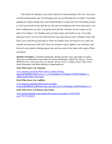Our bodies are talking to each other without our heads getting in the way. Our cocks are hard and thrusting, and I am thrusting, and you are thrusting into my palm. Your hand pushing my fingers deeper into your mouth though it is open and you're breathing around it, I feel your breath cooler than the air. My arms are dripping with sweat and steam, I can feel it rolling down my skin. You groan and I feel the vibration of your tongue on the pads of my fingers. You shudder and your back arches and I hold you up. Your other hand goes down on top of my hand between your legs and you start working it faster and faster, just a little bit up and right of where my fingers were, moving me over, until you stumble forward just a little and I feel your stomach crunch, tighten, your shoulders curl forward, your muscles shaking against me, and you come in my hand with a gush of heat and liquid.

**Sinclair Sexsmith** is a feminist dominant, identity puzzler, poet, and strap-on expert. They have contributed to more than two dozen anthologies, edited *Say Please: Lesbian BDSM Erotica,* and wrote *Sweet & Rough: Sixteen Stories of Queer Smut*. They write about dominance and butch identity at sugarbutch.net.

## **Girls Who Score (via Amazon)**

[www.amazon.com/Girls-Who-Score-Lesbian-Erotica](http://www.amazon.com/Girls-Who-Score-Lesbian-Erotica-ebook/dp/B008DYID5E/ref=sr_1_1?s=books&ie=UTF8&qid=1420924369&sr=1-1&keywords=girls+who+score)[ebook/dp/B008DYID5E/ref=sr\\_1\\_1?s=books&ie=UTF8&qid=1420924369&sr=1-](http://www.amazon.com/Girls-Who-Score-Lesbian-Erotica-ebook/dp/B008DYID5E/ref=sr_1_1?s=books&ie=UTF8&qid=1420924369&sr=1-1&keywords=girls+who+score) [1&keywords=girls+who+score](http://www.amazon.com/Girls-Who-Score-Lesbian-Erotica-ebook/dp/B008DYID5E/ref=sr_1_1?s=books&ie=UTF8&qid=1420924369&sr=1-1&keywords=girls+who+score)

### **Girls Who Score (via Audible)**

[www.amazon.com/Girls-Who-Score-Lesbian-](http://www.amazon.com/Girls-Who-Score-Lesbian-Erotica/dp/B00ESL258M/ref=tmm_aud_title_0?ie=UTF8&qid=1420924369&sr=1-1)[Erotica/dp/B00ESL258M/ref=tmm\\_aud\\_title\\_0?ie=UTF8&qid=1420924369&sr=1-1](http://www.amazon.com/Girls-Who-Score-Lesbian-Erotica/dp/B00ESL258M/ref=tmm_aud_title_0?ie=UTF8&qid=1420924369&sr=1-1)

### **Girls Who Score (via Barnes and Noble)**

[www.barnesandnoble.com/w/girls-who-score-ily-goyanes/1110913242?](http://www.barnesandnoble.com/w/girls-who-score-ily-goyanes/1110913242?ean=9781573448253) [ean=9781573448253](http://www.barnesandnoble.com/w/girls-who-score-ily-goyanes/1110913242?ean=9781573448253)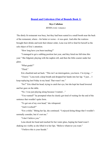# **[Bound and Unbroken \(Out of Bounds Book 1\)](#page-3-0)**

#### **Skye Callahan**

*BDSM erotic romance*

The dimly lit restaurant was busy, but they had been seated in a small booth near the back of the restaurant, where—for better or worse—it was quiet. And after the waitress brought their drinks and took their dinner order, Lena was left to fend for herself as the sole object of Eric's attention.

"How long have you been teaching?"

"I managed to get a subbing position last year, and they hired me full-time this year." She fidgeted, playing with the napkin roll, and then the little coaster under her glass.

"What grade?"

"Third<sup>"</sup>

Eric chuckled and sat back. "This isn't an interrogation, you know. I'm trying—"

"I know." Lena took a deep breath and dropped her hands into her lap. "I just… I keep replaying last Friday in my head. That wasn't me."

"No?" Eric tilted his head, trying to catch her eye, but she kept her head lowered and her gaze on the table.

"No. I was just playing along because I wanted…"

"You wanted?" he prompted when he clearly got tired of waiting for the end of the sentence that wouldn't quite form.

"To get out of my own head," she whispered.

"And it worked?"

"For a while." Biting her lip, she continued. "I enjoyed doing things that I wouldn't normally consider, but it's not me."

"I don't believe you."

Lena shook her head and reached for her water glass, hoping her hand wasn't shaking too visibly as she lifted it to her lips. "Believe whatever you want."

"I believe this is your facade."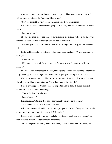Annoyance turned to burning anger as she squeezed her napkin, but she refused to lift her eyes from the table. "You don't know me."

"No." He caught her wrist before she could pull it out of his reach.

Her muscles seized under his hot grasp. "Let me go," she whispered through gritted teeth.

"Let yourself go."

She met his gaze expecting anger to swirl around his eyes as well, but his face was relaxed—a stark contrast to the tight grip he had on her wrist.

"What do you want?" As soon as she stopped trying to pull away, he loosened her grip.

He turned his hand over so that it rested palm up on the table. "A nice evening out with you."

"And after that?"

"I like you, Lena. And, I suspect there's far more to you than you're willing to accept."

She folded her arms across her chest, making sure he wouldn't have the opportunity to grab her again. "I'm sure you say that to all the girls you pick up at sports bars."

His eyes widened, but he still didn't move his hand from where it stretched across the table toward her in an invitation. "Now that you mention it, I do."

Lena's jaw dropped. It wasn't that she expected him to deny it, but an outright admission was even more disturbing.

"You're the first," he clarified.

"I don't buy that."

Eric shrugged, "Believe it or not, I don't usually pick up girls at bars."

"Then where do you usually pick them up?"

Eric's smile widened, and he rubbed his lips together. "Most of the girls I've dated I either met through mutual friends or at BDSM clubs."

Lena's breath echoed in her ears, and she wondered if she heard him wrong. The roar drowned out any thought to move or respond.

"I didn't expect it to freak you out that much," he said, eyebrows cocked slightly.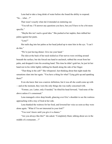Lena had to take a long drink of water before she found the ability to respond. "So… what…?"

That wasn't exactly what she'd intended on stuttering out.

"You tell me. I'll answer any questions you have, but you'll have to be a bit more specific."

"Maybe this isn't such a good idea." She pushed at her napkin, then rubbed her palms against her pants.

"Lena?"

Her nails dug into her palms as her head jerked up to stare him in the eye. "I can't do this."

"We're just having dinner. Give me your hand."

The skin at the back of her neck tickled as if her nerves were swirling around beneath the surface, but she forced one hand to unclench, rubbed the sweat from her palm, and dropped it into his awaiting hand. This time he didn't grab her, he just let her hand rest in his while lightly rubbing his thumb along the side of her finger.

"That thing in the cab?" She whispered. Just thinking about that night made the sensations slam into her again. "You have a thing for what? Tying girls up and spanking them?"

Even she knew that was a narrow definition, but it was all she could come up with —and at the moment, they were the only things she was really concerned with.

"Former, yes. Latter, only if needed," he tilted his head forward, "And none of the above unless it's consensual."

Lena managed a slow deep breath, glancing over Eric's shoulder to see the waitress approaching with a tray of food at her side.

Lena thanked the waitress for her food, and lowered her voice as soon as they were alone again. "What if I'm not interested in your *kink*?"

"You won't know until you give it a chance."

"Are you always like this?" she asked. "Completely blunt, talking about sex in the middle of a restaurant…?"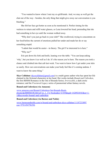"You wanted to know where I met my ex-girlfriends. And, we may as well get the chat out of the way—besides, the only thing that might give away our conversation is you blushing."

She felt her face get hotter as soon as he mentioned it. Perfect timing for the waitress to return and refill water glasses, so Lena lowered her head, pretending that she had something in her eye until the woman walked away.

"Why don't you just go back to your club?" She swallowed, trying to concentrate on her food before the current of emotions pulled her under and made her do or say something stupid.

"I admit that would be easier—in theory. The girl I'm interested in is here."

"Why me?"

Eric put down his fork and knife, leaning over the table. "You can keep asking 'why', but you know it as well as I do. It's the reason you're here. The reason you took a chance and climbed into that cab last week. You want to know how I get under your skin so easily. How our conversations can make your body feel like it's coming undone. I want to know the same thing."

**Skye Callahan** (skyecallahan  $\omega$ gmail.com) is a multi-genre author who has spent her life chained to the fictional characters in her head. Her works include *Bound and Unbroken*, the first BDSM Romance in the Out of Bounds Series; *Irrevocable*, a dark erotic romance; and the *Fractured Legacy* series of paranormal urban fantasy novels.

## **Bound and Unbroken (via Amazon)**

[www.amazon.com/Bound-Unbroken-Out-Bounds-Book](http://www.amazon.com/Bound-Unbroken-Out-Bounds-Book-ebook/dp/B00IM10CQ6/ref=sr_1_1?s=books&ie=UTF8&qid=1420924543&sr=1-1&keywords=bound+and+unbroken) $ebook/dp/B00IM10CO6/ref=sr11?s=books&ie=UTF8&qid=1420924543&sr=1-$ [1&keywords=bound+and+unbroken](http://www.amazon.com/Bound-Unbroken-Out-Bounds-Book-ebook/dp/B00IM10CQ6/ref=sr_1_1?s=books&ie=UTF8&qid=1420924543&sr=1-1&keywords=bound+and+unbroken)

# **Bound and Unbroken (via Barnes and Noble)**

[www.barnesandnoble.com/w/bound-and-unbroken-skye-callahan/1118723309?](http://www.barnesandnoble.com/w/bound-and-unbroken-skye-callahan/1118723309?ean=9781494796396) [ean=9781494796396](http://www.barnesandnoble.com/w/bound-and-unbroken-skye-callahan/1118723309?ean=9781494796396)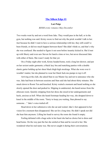## **[The Silken Edge #1](#page-3-0)**

#### **Laci Paige**

*BDSM erotic romance May-December*

Two weeks went by and not a word from Jake. They would pass in the hall, or in the gym, but nothing was said. Kristy swore to find out why the prick wouldn't talk to her. Just because he didn't want to have a serious relationship with her, they still could've been friends, or did too much happen between them? She didn't think so, and that's why she was confused. She needed to figure it out soon before insanity kicked in. She'd met up with Sherry and even saw Steven for lunch a time or two, but never discussed Jake with either of them. She wasn't ready for that yet.

On a Friday night after work, Kristy headed home, took a long hot shower, and put on her sexiest under garments; a black lacy bra and matching panties with a double elastic garter holding up her sheer black thigh high stockings. What she wore over it wouldn't matter, but she planned to wear her black fuck-me pumps to top it off.

Arriving at the club, she asked Stan to see Master Jay and not to announce who she was. Jake had been in between sessions and Stan said she had about thirty minutes. She snuck down to Room Ten and knocked. Kristy waited a moment and heard nothing so she slowly opened the door and peeked in. Slipping in undetected, she heard noises from the aftercare room. Quickly stripping from her dress she stood in her undergarments and heels, anxious as hell. When she heard footsteps heading her way, she dropped down to kneel in the middle of the room. "Sorry to keep you waiting, Stan phoned to say someone…" Jake's voice trailed off.

Head down in her submissive role she sat and waited. Jake's feet appeared in her vision for a moment then disappeared. She sat for a long time. He didn't speak nor did she hear him anymore. Lifting her head to survey the room she found it empty.

Feeling defeated with a huge ache in her heart she had no choice but to dress and head home. On the way past the bar she smiled at Stan and he waved to her. She wondered what his real name was. She never caught it during their conversations.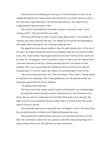Someone was in her parking spot at the gym so she had to park out front. As she stepped through the door, heads turned, male and female, to watch her pass by in her in her sleek black, tight-fitting dress. She felt powerful and sexy. She walked slowly exaggerating her hip movements a little.

Roy eyed her from behind the front desk, and gave a nod with a wink. "Good evening, darlin'." She gave her best sexy smile.

Obviously affected by her looks, he took a deep shaky breath. "You shouldn't be strutting your stuff around here like that." He nodded out toward the men pretending to lift weights while checking her out. "Someone might get hurt."

She giggled and went upstairs unable to wipe the smile from her face. At the top of the stairs, she finally looked up to prevent from tripping. What she saw took her breath away. Jake, in his leathers, leaned against the playroom door with his arms crossed over his chest. He was gorgeous, and he was pissed. Unsure of what to do, she walked slowly to her door and took out her keys. Before unlocking the door, she looked over her shoulder. Jake's eyes were hooded and smoldering. Heat rose between her legs. He remained quiet. To test the waters, she walked over and stood right in front of him.

"How did you get here before me?" She shook head. "Never mind." Turning around to head back to her apartment, Jake's hand grabbed her arm. He spun her around and shoved her against the door by her shoulders.

"No talking. Safewords only."

Her knees went weak, insides turned to mush, and her panties were instantly damp.

He turned the knob to the playroom door and led Kristy in. Her heart beat in her throat. She was nervous, scared, and excited as hell. What game was he playing? She didn't want any more heartbreak, but she couldn't find it in herself to deny this sexual fantasy of hers by leaving.

Once inside the playroom, he locked the door and flipped a switch. The music from the gym played quietly overhead as soft lighting illuminated the room.

Jake reached down, lifted the hem of her dress over her head, and threw it on the floor. He stood back to admire the view, and she could tell by the growing bulge in his pants he liked what he saw. She kept her eyes down and waited.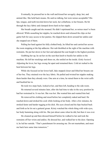Eventually, he pressed her to the wall and kissed her savagely; deep, hot, and animal-like. She held back moans. He said no talking, but were noises acceptable? His lips, tongue, and teeth traveled down her neck, her collarbone, to her breasts. He bit through the lacy fabric and clamped down hard on her nipple.

Her breath caught and she moaned. He didn't reprimand her, so noises must've been allowed. While assaulting her nipples, he reached down and released the clips on her garter belt for easy access to her panties. He slipped them down around her ankles and she stepped out of them.

Pulling her hard against his fully clothed body, he lifted her and carried her across the room stopping at the hip adductor. Her nub throbbed at the sight of the machine with restraints. He put her down to her feet and adjusted the seat height to the highest position.

Grabbing her up, he sat her on the seat then knelt to buckle her ankles to the machine. He left her stockings and shoes on, she smiled on the inside. *Kinky bastard.*  Adjusting the lever, her legs swung far apart and remained there. Cold air rushed to the heat between her legs.

While she focused on her lower half, Jake stepped closer and lifted her breasts out of her bra. They strained over the lacy fabric. He pulled and twisted her nipples making them harder than they already were. One arm at a time, he raised them to the wrist cuffs and buckled her in.

He took two steps back, looked at her, and then left, heading to the side room.

He returned several minutes later, after she had time to take in the sexy position he had her restrained in. It was hot. She was hot. She wanted him and wanted him bad.

He removed his clothing and stood before her completely naked and hard. He reached down and stroked his cock while looking at her body. After a few minutes, he stroked faster and harder tugging at his dick. His eyes closed and his hips bucked back and forth as he let out a guttural groan. Kristy watched the whole thing with wide eyes, her body humming along with his. She just about came when he did, but then it was over.

He cleaned up and then dressed himself before he walked to her and took the restraints off her wrists and ankles. He dressed her, and walked her to the door. Opening it, he led her outside. "That's punishment for arousing me. Do not masturbate, and meet me back here same time tomorrow."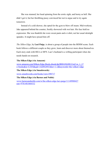She was stunned, her head spinning from the erotic sight, and horny as hell. She didn't get it, but her throbbing pussy convinced her not to argue and to try again tomorrow.

Instead of a cold shower, she opted for the gym to blow off steam. Mid-workout, Jake appeared behind the counter, freshly showered with wet hair. His face held no expression. She was thankful she wore sweat pants and a t-shirt, not her usual skintight spandex. It might have pissed him off.

*The Silken Edge*, by **Laci Paige**, is about a group of people into the BDSM scene. Each book follows a different couple as they grow, learn and discover more about themselves. Each story ends with HEA or HFN. Laci's husband is a willing participant when she needs hands-on research.

## **The Silken Edge (via Amazon)**

[www.amazon.com/Silken-Edge-Book-ebook/dp/B00ANG0812/ref=sr\\_1\\_1?](http://www.amazon.com/Silken-Edge-Book-ebook/dp/B00ANG0812/ref=sr_1_1?s=books&ie=UTF8&qid=1420924933&sr=1-1&keywords=the+silken+edge) [s=books&ie=UTF8&qid=1420924933&sr=1-1&keywords=the+silken+edge](http://www.amazon.com/Silken-Edge-Book-ebook/dp/B00ANG0812/ref=sr_1_1?s=books&ie=UTF8&qid=1420924933&sr=1-1&keywords=the+silken+edge)

**The Silken Edge (via Smashwords)**

[www.smashwords.com/books/view/298717](https://www.smashwords.com/books/view/298717)

## **The Silken Edge (via Barnes and Noble)**

[www.barnesandnoble.com/w/the-silken-edge-laci-paige/1114998842?](http://www.barnesandnoble.com/w/the-silken-edge-laci-paige/1114998842?ean=9781481868532) [ean=9781481868532](http://www.barnesandnoble.com/w/the-silken-edge-laci-paige/1114998842?ean=9781481868532)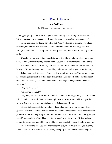# **[Velvet Purrs in Paradise](#page-3-0)**

#### **Leya Wolfgang**

*BDSM erotic romance sex club romance*

Jim tugged gently on the leash and guided me into Purgatory, straight to one of the hitching posts that was unoccupied despite the room being packed. *A coincidence?*

As he unclipped my leash, he barked out, "Stay." I looked at him, my eyes blank of response, but obeyed. Jim threaded the leash through one of the post rings and then through the leash loop. The clip snapped loudly when he fixed it back to the ring in my collar.

Once he had me chained in place, I started to tremble, wondering what would come next. A small, curious crowd gathered around us, and the tremble increased to a shake.

Jim came close and stroked my hair as he spoke softly. "Breathe, sub. You're safe, baby girl. No one is going to touch you. They only want to look at your beautiful body."

I shook my head vigorously, flinging a few tears from my eyes. The warning about not speaking unless spoken to had been delivered and understood, as had the talk about safewords. Jim asked, "You don't want them to look at you? Do you want to use your safeword?"

"No, Sir," I peeped.

"Then what is it, sub?"

"My body isn't beautiful, Sir. It's too big." There isn't a single body at DYKKC that I don't think is beautiful. Even the overweight woman being strafed with sponges the week before is gorgeous to me. So is davey's Rubenesque Mommy.

Thanks to that asshole boyfriend in college, I had trouble loving the more-thangenerous curves I acquired after Jed's betrayal. Even all the jogging I have done since my parents died hasn't completely erased my love handles and muffin top. I unkindly judged myself as perennially tubby. That's another reason I never took Jim's flirting seriously. I couldn't imagine that a god like him could ever be interested in a marshmallow like me.

"I don't want to hear you talk like that again, sub, or I'll have to take you over my knee." I snapped to attention. I'd read enough naughty books and had seen enough red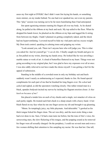asses my first night at DYKKC that I didn't want Jim laying his hands, or something more sinister, on my tender behind. No one had ever spanked me, not even my parents. This "play" session was turning out to be far more humiliating than I had anticipated.

Jim spent agonizing minutes running his fingers all over my body. As he skated along, he pulled at the ribbons at my back and neck. My top sailed to the floor. When he dropped his hands lower, he plucked on the ribbons at my hips and tugged the G-string from between my thighs. I hadn't planned on getting completely naked, and the shock had me hyperventilating. I covered myself to hide my vital parts and my excess weight. My Dom took control, speaking in calming tones and gripping my wrists.

"Look around you, sub. There isn't anyone here who will judge you. This is what you asked for. Just let yourself go." *I can do this.* I finally caught my breath and gave in as Jim pulled on my wrists, drawing my hands away. He looked like he was unveiling a marble statue or work of art. A cloud of butterflies fluttered in my heart. Things were not going according to my original plan, but I was glad to have my exposure over all at once. I was also oddly relieved to not have made the choice myself. I was getting a feel for the appeal of submission.

Standing in the middle of a crowded room in only my birthday suit and heels suddenly wasn't nearly as embarrassing as I expected, thanks to Jim. He found special compliments for each part of me that he brushed his long fingers over. He *oohed* and *aahed* and sighed, as did the spectators watching closely. One rather rotund man in a black, spandex bodysuit incited my nerves by inching his flagrant erection closer. *Is that hard-on because of me?*

Jim placed a tender kiss on each of my cheeks and a single, wet smacker of a kiss on each perky nipple. He treated each butt cheek to a sharp smack with a heavy hand. A hot blush flared on my face when he ran one finger across my slit and brought it up gleaming.

"Mmm. So temptingly juicy, my little playmate. And delectable." I gawked as his thick tongue licked his finger clean. The act was dirty, and the most erotic thing a man had ever done to me. Sure, I'd had a man taste me before, but the tone of Jim's voice, his unwavering stare, the slow flickering of his tongue, and the popping sound as he removed his finger were all sexually charged. On the periphery, I could see several men and even a few women shifting their attention to Jim sampling my nectar. He was that hot. One tall,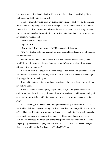lean man with a bullwhip coiled at his side smacked the leather against his hip. Jim and I both stared hard at him in disapproval.

Tears of gratitude welled up in my eyes and threatened to spill over by the time Jim finished praising my body. No man had ever appreciated me in that way, but a skeptical voice inside said that he would say whatever he needed to say to get inside my pants not that we had broached the possibility. I know that not all domination involves sex, but my optimistic voice hoped.

"Do you believe it now, sub?"

"I guess so, Sir."

"Do you think I'm lying to you, sub?" He sounded a little cross.

"Oh. No, Sir. It's just a new concept for me. I guess old habits and ways of thinking are hard to break."

I almost choked on what he did next. Jim turned to the crowd and asked, "Who would like to tell my pretty playmate how lovely she is? She thinks her mirror works differently than my eyes do."

Voices on every side showered me with words of admiration. Jim stepped back, and the spectators advanced. A sickening wave of claustrophobia swamped me even though they stopped short of touching me.

I wanted to bolt out of there, until one man stepped directly in front of me and stole my full attention.

He didn't put so much as a pinky finger on my skin, but his gaze roamed across each inch of me, the action every bit as tactile as if his hands were tickling and tracing all over me. He captivated me with his smoky gray eyes, and I gave him a nervous smile. *Shit!*

Just as intently, I studied the man, fixing him irrevocably in my mind. Waves of black, silken hair float against a strong jaw that angles down to a sharp chin. I'm not a fan of facial hair, but I like the way his straight, broad nose is underlined by a lush mustache. His is neatly trimmed and satiny soft, the perfect foil for plump, kissable lips. Heavy, dark stubble enhanced the sinful look of the fine specimen of hard masculinity—he was no pretty boy. He seemed vaguely familiar, even at that first look. I scrinched my eyes tight and saw a hint of the devilish face of the DYKKC logo.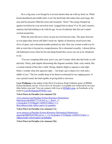He is a big man, even though he is an inch shorter than me with my heels on. While broad-shouldered and solidly built, it isn't his hard body that makes him seem huge. His aura and his presence filled the room and screamed, "Dom!" His energy bumped up against me before he even moved an inch. I pegged him at about 35 or 36, and I sensed a maturity that had nothing to do with his age. An air of authority that Jim can't match swirled around him.

When the man did move closer, he put one foot between mine. The space between us was paper-thin, but he still didn't touch me. Sparks of electricity arced across that sliver of space, and a thousand needles pricked my skin. How any woman would ever be able to resist him is beyond my comprehension. He is elemental sexuality. I almost did an old-fashioned swoon when his hot and damp breath blew across my ear as he whispered to me.

"You are a tempting little treat, aren't you, pet? Creamy white skin that looks so soft and tasty. Pretty, pink nipples blossoming like fragrant rosebuds. Dark, curly snatch, like a woman instead of bare like a child. Strong, shapely thighs to squeeze a man tight. Hmm, I wonder what else squeezes tight… I do hope I get a chance for a lick and a nibble of you." The low rumble deep in his throat reverberated in my sopping pussy. It was a primal sound, the kind capable of giving birth to universes.

**Leya Wolfgang** is the author of the Devil You Know Kink Club(tm) series of BDSM Erotica Romance novels. *Velvet Purrs In Paradise* is available now followed by two new titles before year-end. You can connect with Leya at [DYKKC.com,](http://dykkc.com/) on Facebook, or by email at [LeyaWolfgang@DYKKC.com.](mailto:LeyaWolfgang@DYKKC.com)

### **Velvet Purrs in Paradise (via Amazon US)**

[www.amazon.com/Paradise-Erotica-Romance-Domination-](http://www.amazon.com/Paradise-Erotica-Romance-Domination-Submission/dp/098677751X/ref=sr_1_fkmr1_1?s=books&ie=UTF8&qid=1420925144&sr=1-1-fkmr1&keywords=silken+purrs+in+paradise)[Submission/dp/098677751X/ref=sr\\_1\\_fkmr1\\_1?](http://www.amazon.com/Paradise-Erotica-Romance-Domination-Submission/dp/098677751X/ref=sr_1_fkmr1_1?s=books&ie=UTF8&qid=1420925144&sr=1-1-fkmr1&keywords=silken+purrs+in+paradise) s=books&ie=UTF8&qid=1420925144&sr=1-1 [fkmr1&keywords=silken+purrs+in+paradise](http://www.amazon.com/Paradise-Erotica-Romance-Domination-Submission/dp/098677751X/ref=sr_1_fkmr1_1?s=books&ie=UTF8&qid=1420925144&sr=1-1-fkmr1&keywords=silken+purrs+in+paradise)

## **Velvet Purrs in Paradise (via Amazon CA)**

[www.amazon.ca/Paradise-Erotica-Romance-Domination-Submission](http://www.amazon.ca/Paradise-Erotica-Romance-Domination-Submission-ebook/dp/B00FEIXTHE/ref=sr_1_1?s=books&ie=UTF8&qid=1420925233&sr=1-1&keywords=velvet+purrs+in+paradise)[ebook/dp/B00FEIXTHE/ref=sr\\_1\\_1?s=books&ie=UTF8&qid=1420925233&sr=1-](http://www.amazon.ca/Paradise-Erotica-Romance-Domination-Submission-ebook/dp/B00FEIXTHE/ref=sr_1_1?s=books&ie=UTF8&qid=1420925233&sr=1-1&keywords=velvet+purrs+in+paradise) [1&keywords=velvet+purrs+in+paradise](http://www.amazon.ca/Paradise-Erotica-Romance-Domination-Submission-ebook/dp/B00FEIXTHE/ref=sr_1_1?s=books&ie=UTF8&qid=1420925233&sr=1-1&keywords=velvet+purrs+in+paradise)

**Velvet Purrs in Paradise (via Amazon UK)**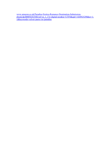[www.amazon.co.uk/Paradise-Erotica-Romance-Domination-Submission](http://www.amazon.co.uk/Paradise-Erotica-Romance-Domination-Submission-ebook/dp/B00FEIXTHE/ref=sr_1_1?s=digital-text&ie=UTF8&qid=1420925290&sr=1-1&keywords=velvet+purrs+in+paradise)[ebook/dp/B00FEIXTHE/ref=sr\\_1\\_1?s=digital-text&ie=UTF8&qid=1420925290&sr=1-](http://www.amazon.co.uk/Paradise-Erotica-Romance-Domination-Submission-ebook/dp/B00FEIXTHE/ref=sr_1_1?s=digital-text&ie=UTF8&qid=1420925290&sr=1-1&keywords=velvet+purrs+in+paradise) [1&keywords=velvet+purrs+in+paradise](http://www.amazon.co.uk/Paradise-Erotica-Romance-Domination-Submission-ebook/dp/B00FEIXTHE/ref=sr_1_1?s=digital-text&ie=UTF8&qid=1420925290&sr=1-1&keywords=velvet+purrs+in+paradise)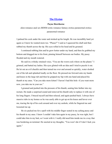# **[The Elysian](#page-3-0)**

#### **Payne Hawthorne**

alien romance anal sex BDSM erotic romance fantasy erotica paranormal erotica paranormal romance

I palmed his cock under the water and stroked up his length. He was incredibly hard yet again so I knew he wanted more too. "Please?" I said as I squeezed his shaft and then rubbed my thumb across the tip. His eyes rolled in his head and he groaned.

I continued rubbing him and he grew hotter under my hand, and then he grabbed my bottom and dragged me to his front, pinning himself between our bodies. My pussy flooded and my mouth watered.

He said in a whisky strained voice, "You are the worst cock whore on the planet." I grinned, and batted my lashes. His eyes glinted with an idea and I tried to puzzle it out. He let out an evil chuckle and then turned me over and around so quickly, water sloshed out of the tub and splashed loudly on the floor. He pressed me forward onto my hands and knees in the large tub and then he gripped my hip with one hand and placed his thumb at my anus. "Can you take more kitten? I haven't had this hole -if you want more now, you take me in your ass."

I groaned and pushed into the pressure of his thumb, seating him farther into my rectum. He made a surprised sound and removed his thumb only to replace it with one of his long fingers. I braced myself and then relaxed, and again pushed back. I always have massive tubs in my homes so he was easily able to get up on his knees and hover over me, tracing the tip of his cock around and over my asshole, while he fingered me and loosened me up.

He six packed me for a spell with his middle finger seated in my aching pussy and his thumb in my anus. I knew I couldn't take him again in my pussy, he was right, but I could take him in my butt, so I went with it. I really did need him inside me in a way that was bordering on terminal. He snorted at my thoughts, "You won't die if I don't fuck you again."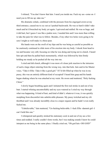I whined, "You don't know that Iain. I need you inside me. Fuck my ass -come on -I need you to fill me up -take me."

His dramatic exhale, combined with the pressure from his engorged crown at my third entrance, caused me to cry out as I pushed backwards. He was so hard it didn't take much and he'd breeched my body yet again. I quivered and stalled. He was so huge, and it did hurt, but I guess I was like a junkie now, I needed him and I was more than willing to take the pain for what was to follow. Besides, if my other two holes were going to be sore I might as well make it a three-peat.

His hands were on the swell of my hips and he was being as careful as possible as he cautiously continued to slide more of his erection into my body. I shook from head to toe and became very still, focusing on what he was doing and trying not to clench. I heard him spit and then he pulled back momentarily, which was followed by him firmly holding me steady as he pushed all the way into me.

I cried and did clench, although it was more of a knee jerk reaction to the intrusion of such a large object entering from the wrong way, into that hole. Iain said in his Master voice, "Take it Ellie -Take it like a good girl." If I'd felt filled up when he was in my pussy, this was an entirely different kind of occupied! I heard him gasp and his hands began shaking where he was attached at my waist. He swore and muttered, "Holy fucking Christ."

I slowly began breathing again and I initiated the first real stroke in and out of my butt. I started whining uncontrollably and my eyes watered as I cried my way through what was happening. It kind of hurt, and kind of didn't; whatever it was, it was quickly morphing from discomfort into unbelievable pleasure. My pussy twitched and my clit throbbed and I was already incredibly close to a major orgasm and he hadn't even really fucked me.

"Unbelievable," Iain muttered, "Un-fucking-believable. I -fuck Ellie -dammit girl -I can't hold this one."

I whimpered and quickly stroked his stationary cock in and out of my ass a few times and nodded. I really couldn't form words, but I was making sounds I knew he could interpret as me being in the same place. I finally cried out, "Oh god Iain -OH GOD!"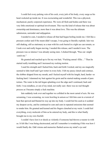I could feel every pulsing vein of his cock, every jerk of his body, every surge as his heart rocketed up inside me. It was excruciating and wonderful. This was a physical, mechanical, purely corporeal experience. We were all flesh and bodies and there was very little emotional or spiritual involvement. This was the kind of release that was about ownership and dominance, more than it was about love. This was the ultimate submission, surrender and subjugation.

I needed to cum, I needed to release all that had begun boiling inside me. I felt like a pressure cooker and if the steam didn't escape, I was going to literally explode. Iain was still shaking, still as stationary as a man with his cock buried in a tight ass can remain, so I took over and really began moving. I needed this release, and I needed it now. The pressure was so intense I was already seeing stars. I choked through, "Pass out -might -catch me."

He grunted and reached up to fist my wet hair, "Fucking unreal -Ellie…" Then he started really trembling and I increased my rocking motion.

I used his strength and I fucked him, back and forth I rocked, and my ass magically seemed to lube itself and I got wetter in every hole. I felt my pussy clench and contract, the slobber dripped from my mouth, and I fucked myself with his length, hard, harder -so fucking hard. I slammed my butt against his groin and he started making sounds of pure torture. The water in the tub began splashing over the edge and I continued, back and forth. I was mindless, or out of my mind, not really sure -there was no real thought process as I became simply a fuck machine.

Iain suddenly took over and together we collided in the most carnal of acts. He was screaming, I was screaming, we were howling in unison as I felt him cum in a torrent of heat that spewed and blasted its way up into my body. I could feel his seed as it scalded my deepest cavity, and he continued to cum and cum in repeated emissions that seemed to render him. He grunted and keened and his fingers clenched at my waist. I could feel everything, every molecule of him as he entered my body, and this is what finally brought me to my own freefall.

I couldn't have lost it or shook as violently if someone had thrown a toaster in with us. It felt like I was being electrocuted, and all I remember is wondering if this was how I would finally die. Odd visions and memories flashed across my mind's eye and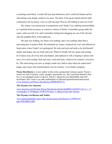everything went black. I could still hear Iain behind me and I could feel hands and his still jerking cock deeply seated in my anus. The hairs of his groin tickled and his balls continued to hit my pussy; were we still moving? Was he still sliding in and out of me?

My climax was cataclysmic in proportions and I think I was sobbing uncontrollably as I squirted from my pussy in a massive release of fluids. I remember going under the water, what was left of it, and I remember feeling Iain dragging me out of the tub and onto the puddled floor of the bathroom.

My past was nothing, my future was nothing, and I was nothing other than a quivering pile of useless flesh. He animated my corpse, cleansed my soul, and offered me forgiveness when I hadn't yet apologized. He took and took and took as he slid himself deeper and deeper into my body and soul. When he finally left me, spent and waning, he'd taken away all of my hurt and despair, and replaced it with a longing to please and serve, love and worship, fuck and suck, cook and clean, whatever he wanted, I craved to be. This alien being was now so deeply inside me I had no idea where he ended and I began, and I knew this transformation was for eternity. I was finally complete.

**Payne Hawthorne** is a new author in the erotic, paranormal romance genre. Payne's stories are full of steamy, erotic, graphic, passionate sex. Her consistent thread is that love is an untapped source of power. Payne's characters are identifiable and well developed. Her vision is an odd combination of ethereal/spiritual/emotional/sexual. [www.amazon.com/Payne-Hawthorne/e/B00E4POU3A](http://www.amazon.com/Payne-Hawthorne/e/B00E4POU3A)

### **The Elysian (via Amazon)**

[www.amazon.com/Elysian-Payne-Hawthorne-ebook/dp/B00LGAZEOU/ref=sr\\_1\\_1?](http://www.amazon.com/Elysian-Payne-Hawthorne-ebook/dp/B00LGAZEOU/ref=sr_1_1?s=books&ie=UTF8&qid=1420931951&sr=1-1&keywords=the+elysian) [s=books&ie=UTF8&qid=1420931951&sr=1-1&keywords=the+elysian](http://www.amazon.com/Elysian-Payne-Hawthorne-ebook/dp/B00LGAZEOU/ref=sr_1_1?s=books&ie=UTF8&qid=1420931951&sr=1-1&keywords=the+elysian)

## **The Elysian (via Barnes and Noble)**

[www.barnesandnoble.com/w/the-elysian-payne-hawthorne/1119999325?](http://www.barnesandnoble.com/w/the-elysian-payne-hawthorne/1119999325?ean=9781500311803) [ean=9781500311803](http://www.barnesandnoble.com/w/the-elysian-payne-hawthorne/1119999325?ean=9781500311803)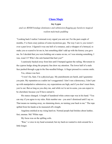# **[Chaos Magic](#page-3-0)**

### **Jay Lygon**

*anal sex BDSM bondage dominance and submission flogging gay hardcore magical realism male/male paddling*

"Looking back I realize I misread every signal you sent out. For the past couple of months, I've been crazy jealous of some mysterious guy. The way I saw it, you weren't over a past lover. I figured it was one hell of a romance, and a whopper of a betrayal, to make you so scared to let me in, but something didn't add up with the history you gave me. So I decided that you were holding out a name on me, or I was missing something. I was, wasn't I? Who's the sick bastard that hurt you?"

I cautiously backed away from him until I bumped against the railing. Movement in the cypress hedge along the property line drew my attention. The lower half of a male face pushed through a gap in the fine-needled foliage. A finger pressed to a serene smile.

Yes, silence was best.

"I won't lie, Sam. I'm a physical guy. My punishments are harsh, and I guarantee you pain. My reputation as a sadist isn't exaggerated. I don't run a democracy, I don't put up with manipulative submissives, my expectations are high, and if you don't meet them, you're out. But as long as you obey me, and while we're not in scene, you can expect to be cherished, because you'll have earned it.

His stance changed. A length of laundered white cotton rope was in his hand. "You can stay if you agree to my rules. Rule number one - you aren't dismissed until I say so. That means no running away, no slamming doors, no turning your back to me." The rope spilled from his hands as he measured off a length.

Angelena smirked at my rising hard-on. Normal people had fetishes about leather, feet, enemas. Me? White rope.

My focus was on the spilling coils.

"Run," a voice in my head screamed, but my hard-on wanted to stick around for a little longer.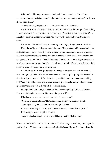I slid my hand into my front pocket and pulled out my car keys. "It's taking everything I have to just stand here," I admitted. I set my keys on the railing. "Maybe you should keep those."

"You either obey or you don't. I won't force you to do anything."

Black curls of hair matted to Hector's chest. On his arm, a dark swipe of earth clung to his brown skin. "If you want me to tie you up, you're going to have to beg for it." He must have seen the hunger on my face. "Say the words, Sam, and you get what you want."

Hector drew the end of the rope across my wrist. My pulse jumped at the friction.

He spoke softly, watching me watch the rope. "The problem with many domination and submission stories is that they have miraculous mind-reading dominants who know exactly what the submissive wants, and how much the sub can take. I don't read minds. I can guess a little, but I have to hear it from you. You're safe with me. If you say the safe word, *red*, everything stops. And if you say please, especially if you beg in that sexy little accent of yours, I'll give you what you want."

Hector pulled the rope tight between his hands and rubbed it across my nipples. Even through my T-shirt, the sensation sent shivers down my body. My dick swelled. I licked my lips and wondered if I said it aloud, would the universe come to a crashing end? Would it be like the movies when a sacred object passed a seal, or when someone spoke the true name of a god, and all chaos broke loose?

I thought he'd dump me, but Hector offered me everything. I didn't understand. Whenever I thought I was on solid ground, the game shifted.

If I asked very, very, very nicely, would he kiss me again?

"You can whisper it to me." He turned so that his ear was near my mouth.

Could I get away with asking for something I wanted?

I waded ankle-deep into trust, just to test the waters. "Please tie me up, Sir."

I felt a ripple move through the realities.

Angelena flashed thumbs up as she and Nanny went inside the house.

Winner of the 2008 Seattle Erotic Arts Festival's short story competition, **Jay Lygon** has published over 50 short stories in the anthologies Gods and Myths, The Harem Boy, Toy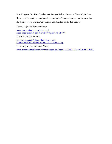Box: Floggers, Toy Box: Quiches, and Torqued Tales. His novels Chaos Magic, Love Runes, and Personal Demons have been praised as "Magical realism, unlike any other BDSM novel ever written." Jay lives in Los Angeles, on the 405 freeway.

Chaos Magic (via Torquere Press) [www.torquerebooks.com/index.php?](http://www.torquerebooks.com/index.php?main_page=product_info&cPath=97&products_id=444) [main\\_page=product\\_info&cPath=97&products\\_id=444](http://www.torquerebooks.com/index.php?main_page=product_info&cPath=97&products_id=444)

Chaos Magic (via Amazon)

[www.amazon.com/Chaos-Magic-Jay-Lygon](http://www.amazon.com/Chaos-Magic-Jay-Lygon-ebook/dp/B003TFE5MW/ref=cm_cr_pr_product_top)[ebook/dp/B003TFE5MW/ref=cm\\_cr\\_pr\\_product\\_top](http://www.amazon.com/Chaos-Magic-Jay-Lygon-ebook/dp/B003TFE5MW/ref=cm_cr_pr_product_top)

Chaos Magic (via Barnes and Noble)

[www.barnesandnoble.com/w/chaos-magic-jay-lygon/1100069214?ean=9781603703697](http://www.barnesandnoble.com/w/chaos-magic-jay-lygon/1100069214?ean=9781603703697)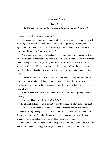# **[Rajasthani Moon](#page-3-0)**

### **Lisabet Sarai**

*BDSM erotic romance fantasy ménage Rubenesque steampunk werewolf*

"How are you feeling, Miss Harrowsmith?"

The mockery in his tone was not enough to prevent a surge of renewed lust, which she struggled to suppress. "I presume that's a rhetorical question, Your Highness," she replied after a moment. *God, but his eyes are hypnotic!* "Given that I'm stark naked and trussed up like a turkey about to be roasted."

"Not entirely rhetorical." The handsome Rajah circled around to inspect her from the rear. "It seems to me that you're distinctly *damp*." With a chuckle, he swept a finger down the length of her cleft, gathering her moisture. Her inner muscles clenched as sparks struck her clit. When he smeared her juices across her bum, she wanted to sink through the floor. "Based on the available evidence, I'd say that being bound excites you."

"Nonsense—" she began. Her attempts at a cool, sarcastic response were interrupted by the ferocious slap he landed on her arse. "Ow! Oh…" The sting from his spank vanished, overwhelmed by the delicious sensation of his fingers playing in her cunny. "Oh…ah…"

"And it's clear that, like many of your compatriots, you find corporal punishment arousing."

"No—ow! That's ridiculous…Ow! Ah! Ow!"

He alternated sharp blows to her buttocks with exquisite explorations of her cunt.

"Fondness for punishment is one of the many intriguing cultural phenomena I encountered during my sojourn in your dank country." He circled her back hole with a slick finger, then probed gently. "I suppose that being exposed to those notions at a tender age might have shaped my own predilections in that regard."

She tightened her sphincter, trying to keep him out, without success. Guilty pleasure rushed through her as he wiggled his digit just inside the entrance. "Oh—you…uh—you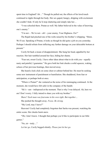spent time in England? Ah…" Though he pulled out, the effects of his lewd touch continued to ripple through her body. Her sex gaped, hungry, dripping with excitement she couldn't hide. If only he'd stop chattering and simply take her…

"I was schooled there. Pratan as well. My father believed in the value of knowing one's enemy."

"I'm not— We're not—oh!—your enemy, Your Highness. Ow!"

The Rajah had pinched one of the welts raised by his brother's whipping. "Hmm. We'll see. Speaking of Pratan, it looks as though he did quite a job on you yesterday. Perhaps I should refrain from inflicting any further damage on your delectable bottom at present."

Cecily bit back a moan of disappointment. She hung her head, appalled by her reaction. Her hair tumbled around her face, hiding her shame.

"Fear not, sweet Cecily. I have other ideas about what to do with you—equally nasty and painful, I guarantee." He gave both her butt cheeks a solid squeeze, waking echoes of her previous beatings, then moved away.

She heard a lock click on some chest or cabinet behind her. He must be seeking some new instrument of punishment or humiliation. She shuddered, from fear or anticipation, or perhaps both at once.

"Where *is* Pratan?" she ventured as the noise of his rummaging continued. At the moment, she would have felt safer in the company of the bandit.

"He's—um—indisposed at the moment. That is why I was delayed. Ah, here we are! Don't worry. I fully intend to share you with my brother."

*Share? Each man was fearsome in his own right. But together…*

She pushed the thought away. *Focus. Be strong.*

"My Lord, may I leave?"

Heavens! Cecily had completely forgotten that Sarita was present, watching the entire scene. Her cheeks burnt anew.

"Oh, I don't know. I thought that perhaps you'd like to participate in our little games."

"No, sir—truly…"

*Let her go,* Cecily begged silently. *Please just let her go.*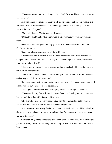"You don't want to put these clamps on her labia? Or work this wooden phallus into her rear hole?"

This was almost too much for Cecily's all-too-vivid imagination. Her swollen clit throbbed. Her sex muscles clenched around hungry emptiness. *If either of them touches me*, she thought, *I'll explode.*

"My Lord, please…" Sarita sounded desperate.

"I thought I might make Miss Harrowsmith lick your cunny. Wouldn't you like that?"

*Oh my God, no!* And yet a sidelong glance at the lovely courtesan almost sent Cecily over the edge.

"I am your obedient servant, sir…" the girl began.

Amir laughed and swept Sarita into his arms once more, mollifying her with an energetic kiss. "Never mind. I won't force you do something that so clearly displeases you. Not tonight, at least!"

"Thank you, my Lord…" Sarita pressed her lips to the back of his hand in obvious relief. "I am very grateful…"

"Go then! Off to the women's quarters with you!" He swatted her diminutive rear on her way out. "I'll call if I want you."

She turned upon the threshold to give him a deep bow. "As you command, my Lord. Thank you again." The door closed behind her.

"Thank you," murmured Cecily, her raging heartbeat starting to slow down.

"You don't find my Sarita desirable?"Amir faced her, drawing back the curtain of her hair and fixing her with his compelling gaze.

"She's lovely but…" Cecily was uncertain how to continue. She didn't want to offend him unnecessarily. Her future depended on his goodwill.

"But she doesn't seem very fond of you, does she? Well, who could blame her? All she wants is to give herself to me, body and soul, but I've chosen you as my companion for tonight instead."

He lifted Cecily's tangled locks to drape them over her shoulders. When his fingers grazed her back, tiny shivers of delight raced along her skin. His half-smile told her that he'd noticed.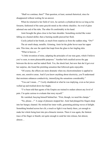"Shall we continue, then?" That question, at least, seemed rhetorical, since he disappeared without waiting for an answer.

When he returned to her field of view, he carried a cylindrical device as long as his forearm, fashioned of the same greyish metal as the robotic shackles. An oval of glass adorned one end of the tube. The other fit comfortably in his hand.

Amir brought the glass close to her bare shoulder. Something sizzled like water falling on a heated skillet, then a burning needle pierced her flesh.

Cecily jerked in her bonds, as much from surprise as from the sudden sting. "Ow!" The air smelt sharp, metallic. Grinning, Amir let the globe hover near her upper

arm. This time, she saw the spark that leapt from the glass to her tingling skin.

"What in heaven…?"

"A little invention of mine, adapting the principles of our stun guns, which I believe you've seen, to more pleasurable purposes." Another bolt crackled across the gap between the device and her naked flesh. Yes, the shock hurt, but now that she'd got over her surprise, she found the prickling sensation that followed quite enjoyable.

"Of course, the effects are more dramatic when my electrostimulator is applied to more, um, sensitive areas. And if you know anything about electricity, you'll understand that moisture enhances conductivity, intensifying the sensations considerably."

"You can't mean…?" Cecily shuddered at what he was implying, even as her juices welled up and trickled down her thighs.

"I've been told that agents of the Empire are trained to endure almost any level of pain. I'm quite curious to evaluate that story myself."

He vanished, busying himself behind her. "First, though, we need the clamps."

"No, please…!" A surge of pleasure stopped her. Amir had plunged his fingers deep into her hungry channel. He stroked her inner walls, generating pulsing waves of delight. Something brushed across her clit, a touch so light it was barely there, yet enough to make her whole being knot into pre-climactic tension. There it was again, the faintest trace of his finger or thumb, not quite enough to send her into release, but almost, almost…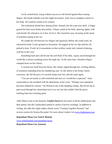Cecily arched back, trying without success to rub herself against those teasing fingers. Her bonds forbade even this slight movement. Amir was in complete control of her body. He could do whatever he wanted.

The realisation should have dismayed her. Instead, she felt a perverse thrill. A finger grazed her bud, more firmly than before. Climax coiled in her belly, drawing tighter with each breath. He refused to set it free. So be it. She closed her eyes, focusing on the storm of sensation raging in her sex.

He caught her clit between two fingers and squeezed. Before she could come, he released his hold. Cecily groaned in frustration. He tugged on her sex lips and her clit pulsed in time. If only he'd concentrate on that swollen, needy nub, instead of playing with her in this way!

Something hard and cold bit into the soft flesh of her labia. Agony arced through her world like a meteor streaking across the night sky. At the same time, relentless fingers clamped down on her clitoris.

A scream tore itself from her throat. Her climax ripped through her, swirling ribbons of sensation exploding from her shuddering cunt. As she shook in her bonds, barely conscious, she felt the jaws of a second clamp seize her, and she came again.

"You are not nearly as self-controlled and stoic as I would have expected," Amir commented as she trembled with the aftershocks of her crisis. "Perhaps your reputation has been inflated by rumour." He flicked at one of the dangling clamps. She bit her lip as pain raced through her, determined not to cry out, but she couldn't halt the juices trickling from her twitching quim.

After fifteen years in the business, **Lisabet Sarai** has lost track of all her publications and their genres, but she's particularly partial to stories of power exchange. In addition to writing, she edits the single-author charity series "Coming Together Presents" and reviews erotica for Erotica Revealed. For more about Lisabet visit [www.lisabetsarai.com.](http://www.lisabetsarai.com/)

## **Rajasthani Moon (via Total E Bound)**

[www.totallybound.com/rajasthani-moon](https://www.totallybound.com/rajasthani-moon)

**Rajasthani Moon (via Amazon)**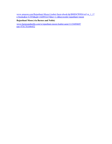[www.amazon.com/Rajasthani-Moon-Lisabet-Sarai-ebook/dp/B00D47R9E6/ref=sr\\_1\\_1?](http://www.amazon.com/Rajasthani-Moon-Lisabet-Sarai-ebook/dp/B00D47R9E6/ref=sr_1_1?s=books&ie=UTF8&qid=1420932275&sr=1-1&keywords=rajasthani+moon) [s=books&ie=UTF8&qid=1420932275&sr=1-1&keywords=rajasthani+moon](http://www.amazon.com/Rajasthani-Moon-Lisabet-Sarai-ebook/dp/B00D47R9E6/ref=sr_1_1?s=books&ie=UTF8&qid=1420932275&sr=1-1&keywords=rajasthani+moon)

# **Rajasthani Moon (via Barnes and Noble)**

[www.barnesandnoble.com/w/rajasthani-moon-lisabet-sarai/1115449469?](http://www.barnesandnoble.com/w/rajasthani-moon-lisabet-sarai/1115449469?ean=9781781846452) [ean=9781781846452](http://www.barnesandnoble.com/w/rajasthani-moon-lisabet-sarai/1115449469?ean=9781781846452)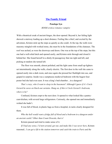# **[The Family Friend](#page-3-0)**

#### **Penelope Syn**

*BDSM erotica romance vampire*

With a theatrical creak of ancient hinges, the door opened. Beyond it, her failing light showed a stairway leading up a short distance. Feeling like a thief, and excited by the adventure, Kristen stole up the steps as quietly as she could. At the top, the walls were masonry mingled with worked stone, she must be in the foundations of the chateaux. The roof was arched, as were the doorways and doors. One was at the top of the steps, but this one had a well-oiled latch and opened easily, and Kristen stole through and closed it behind her. She found herself in a dimly-lit passageway that ran right and left, and picking at random she turned left.

The floor was smooth, almost polished, and the light came from small up-lighters set intermittently along the walls, clearly electric. The first door in the wall she came to opened easily into a dark room, and once again she pressed her flashlight into use, and gasped in surprise. Inside was a sumptuous medieval bedroom with the hugest fourposter bed she had even seen. It was a king's bed-chamber…in a dungeon?

*That's crazy, who'd want to sleep in the basement? Although I guess if it's Uncle Gerard he saves on black-out curtains. Hang on, if this is Uncle Gerard's bedroom, where is he?*

Confused, Kristen crept to the next door. It opened to what looked like a pantrycum-kitchen, with several large refrigerators. Curiously, she opened one and immediately wished she hadn't.

It was full of blood, in plastic bags as from a hospital, in racks clearly designed for them.

Who the hell would want a fridge full of blood and a bedroom in a dungeon under *an ancient castle? Other than Count Dracula, that is!*

Kristen paused and tried to make sense of it.

*If I had any sense, I'd turn around, get out, and make like I was never here*, Kristen reasoned.. *I can get a lift to the station tomorrow and catch the train to Paris and the*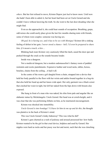*others*. But her feet refused to move, Kristen Depew just *had* to know more. Until now she hadn't been able to admit it, but her heart had been set on Uncle Gerard and she couldn't leave without knowing the truth. So she went to the last door dreading what she might find.

Even as she approached it, she could hear sounds of occupation. Breathing, gasps, odd noises she could easily place given the last few months sharing tents with friends, some of whom were couples: someone was having sex.

*Oh god, he is having sex, and it has to be sex with Monique!* Kristen felt a sinking feeling of defeat in her guts. *I never stood a chance - hell, I'd even be prepared to share him, if it meant a touch, a kiss*…

Blinking back tears Kristen very cautiously lifted the latch, eased the door ajar and peeked through the crack as the sounds became louder.

Inside was a dungeon.

Not a medieval dungeon, but a modern sadomasochist's fantasy room of padded restraints and exotic punishments. Expensive leather and wood racks, tables, horses, benches, chains from the ceiling…it had it all.

In the centre of the room a girl dangled from a chain, strapped into a device that held her body parallel to the floor with her wrists and ankles bound together in a hog-tie that also held her head up and her knees wide apart. Her only garment was a black corset that cinched her waist in tight, but left her naked from the hips down with breasts also exposed.

She hung in front of a man who was naked, his slim form pale and angular like an alabaster statue by Michelangelo: Uncle Gerard. Her head was at crotch-height, and it was clear that she was performing fellatio on him, as he murmured encouragement.

Kristen was shocked into immobility.

*Uncle Gerard is into bondage? I'd have let him tie me up and do this*, the thought was plaintive in the back of Kristen's mind.

This was Uncle Gerard's kinky hideaway? This was what he did?

Kristen's guts churned as a rush of jealousy and arousal possessed her: how badly Kristen wanted to be the girl in that cruel device, helpless and used by Gerard. Her nipples were hard as rocks and her pussy was hot and moist, such that she was clenching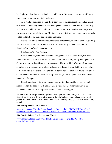her thighs together tight and biting her lip with desire. If that were her, she would want him to spin her around and fuck her hard…

As if reading her mind, Gerard did exactly that to the restrained girl, and as he did so Kristen could clearly see that it was Monique as she had guessed. She moaned softly in French, and while Kristen could not make out the words it was clear that "stop" was not among them. Gerard thrust into Monique hard and fast, and her breasts quivered as he pulled and pushed the dangling girl back and forth.

Just as Monique's cries of pleasure reached a crescendo, he leaned over her, pulling her back in the harness as his mouth opened to reveal long, pointed teeth, and he sank them into Monique's pale, exposed neck.

## *What the fuck? What the fuck?*

Kristen recoiled, stumbling back and letting the door close once more, her mind numb with shock as it made the connections: blood in the pantry, biting Monique's neck. Gerard was not just into kinky sex, he was acting like some kind of vampire! She was completely torn between horror, lust, jealousy, and desire. Horror that he was some kind of monster; lust at the erotic scene played out before her; jealousy that it was Monique in chains; desire that she wanted oh so badly to be the girl her adopted uncle made loved to, bound, and fed upon.

Dazed, she stared at the door, unable to move for what must have been several minutes. Then the door opened, and her Uncle stood there, a robe thrown over his nakedness, and his dark eyes pinned her like a deer in headlights.

**Penelope Syn** is a slightly crazy girl who often gets tied up in things, and knows she doesn't see the world the way other people do. She's always been a keen observer of people and relationships. She's seen some *very* interesting things, as well as done a few, herself!

### **The Family Friend (via Amazon)**

[www.amazon.com/Family-Friend-Penelope-Syn-ebook/dp/B00FM5OPPY/ref=sr\\_1\\_1?](http://www.amazon.com/Family-Friend-Penelope-Syn-ebook/dp/B00FM5OPPY/ref=sr_1_1?s=books&ie=UTF8&qid=1420932395&sr=1-1&keywords=the+family+friend+syn) [s=books&ie=UTF8&qid=1420932395&sr=1-1&keywords=the+family+friend+syn](http://www.amazon.com/Family-Friend-Penelope-Syn-ebook/dp/B00FM5OPPY/ref=sr_1_1?s=books&ie=UTF8&qid=1420932395&sr=1-1&keywords=the+family+friend+syn)

## **The Family Friend (via Barnes and Noble)**

[www.barnesandnoble.com/w/the-family-friend-penelope-syn/1117037489?](http://www.barnesandnoble.com/w/the-family-friend-penelope-syn/1117037489?ean=2940148582595) [ean=2940148582595](http://www.barnesandnoble.com/w/the-family-friend-penelope-syn/1117037489?ean=2940148582595)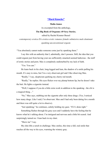# **["Hard Knocks"](#page-3-0)**

### **Malin James**

As excerpted from the anthology,

## **The Big Book of Orgasms: 69 Sexy Stories**,

edited by Rachel Kramer Bussel

*contemporary erotica D/s erotica erotic romance female submissive male dominant spanking unconventional orgasm*

"You absolutely cannot make someone come just by spanking them."

I say this with an authority that I, admittedly, don't possess. Still, the idea that you could orgasm just from having your ass sufficiently smacked seemed ludicrous - the stuff of erotic stories and porn. Max is completely undisturbed by my lack of faith.

"Yes. You can."

He leans back in his chair, long-legged and lean, the shadow of a smile pulling his mouth. It's easy to miss, but I'm a very observant girl and I like observing Max.

"Really," I say, skepticism quirking my cherry red mouth.

"Really," he replies. His eyes flicker over my plump bottom lip, but he doesn't take the bait. He lights a cigarette instead.

"Well, I suppose if you do a little extra work in addition to the spanking - the clit is a magical thing…"

"No," Max says, stubbing out the cigarette after only three drags. (Yes, I noticed how many drags. Like I said, I'm observant. Max and I had only been dating for a month and there was still quite a lot to observe).

"Just spanking," he continues, calmly holding my gaze. "If it's done right."

Something flashes through his gray eyes and I suddenly have the feeling that he knows what he's talking about. I'm intrigued and nervous and a little bit scared. And surprisingly turned on. I lean back in my chair.

"Show me" I say.

My chin lifts a notch in challenge. Max smiles, this time a full, real smile that reaches all the way to his eyes, warming the wintery gray.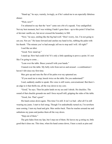"Stand up," he says, warmly, lovingly, as if he's asked me to an especially fabulous dinner.

"Wait, now?"

I'm ashamed to say that the "now" came out a bit of a squeak. Very undignified. Not my best moment, but I was wishing I hadn't gone there - up to this point I'd had lots of deviant vanilla sex, but never crossed the boundary to SM.

"Now," he says, smiling like the big bad wolf. "Don't worry, Jen. I'm not going to eat you. Not yet." He leans forward and catches my hand in his, rubbing the palm with his thumb. "The minute you've had enough, tell me to stop and I will. All right?"

I nod like an idiot.

"Good. Now stand up."

I stand up. How bad could it be? It's only a little spanking to prove a point. It's not like I'm going to come…

"Lean over the table. Brace yourself with your hands."

I leaned over the table. My belly roils from nerves and arousal - a combination I haven't felt since my first time.

Max gets up and runs the flat of his palm over my upturned ass.

"If you need me to stop, knock twice on the table. Do you understand?"

I nod, suddenly unable to speak. His voice is still warm, conversational. But there's an edge to it that thrills me, all the way down to my core.

"Good," he says. Then his palm lands on my ass and I shriek. He chuckles. The sound of that chuckle grounds me and I force myself still, gripping the sides of the table.

"Good, Jen. That's good."

His hand comes down again. This time I'm still. It isn't so bad - after all I'm still wearing my jeans. I start to feel smug. Though I'm undoubtedly turned on, I'm nowhere near coming. I turn my head and grin. Max smiles back. Then he reaches around me and unbuttons my jeans and pushes them all the way down.

"Step out of them."

The grin fades from my lips, but I step out of them. He leaves my g-string on, little good that it does me. This time, when his hand comes down, I hear a crack as pins and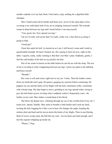needles explode over my bare flesh. I bite back a yelp, settling for a dignified little whimper.

Max's hand comes down harder and faster now, never in the same place twice, covering every individual inch of my ass in stinging, honeyed warmth. The warmth creeps in deep between my legs and I moan before I can stop myself.

"Very good, Jen. Now spread you legs."

I do as I'm told, well aware that I'm really, really wet, a fact that no g-string is going to hide.

"Good girl."

I hear him undo his belt. As turned on as I am, I still haven't come and I smile in questionable triumph. He hasn't broken me. He's going to fuck me now, right on the table. I squirm, really, really wanting it. But that's not Max's plan. Suddenly, gently, I feel the cold leather of his belt on my prickly red skin.

Part of me wants to knock on the table before he can hit me with the strap. The rest of me is reveling in what's happening between my legs. I press my palm to the tabletop and brace myself.

"Breathe"

His voice is soft and sweet, right next to my ear. I relax. Then the leather comes down my backside and I gasp. He pauses, gauging my reaction before continuing. He peppers my ass and the backs of my thighs with the belt, sometimes softly, sometimes with a brutal snap. My hips begin to move, grinding as my legs spread wider, trying to give the belt better access, inviting what I suddenly realize I desperately want - the leather on my cunt. Max makes a sound deep in his throat.

The blows hit deeper now, vibrating through my ass to the swollen bud of my clit. I moan now, openly, blindly. Max starts to breathe a little harder and I arch my back, inviting the belt, begging for it like a cat in heat. He changes the angle, keeping the strokes short and hard and he moves down the backs of my thighs. Then in one blazing flash of sweet, syrupy pain, the belt hits my cunt - not too hard, just hard enough, and I feel the orgasm whipping up inside me.

"Please," I beg.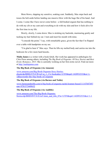More blows, slapping my sensitive, soaking cunt. Suddenly, Max steps back and tosses the belt aside before landing one massive blow with the huge flat of his hand. And I come. I come like I have never come before - a full-bodied orgasm that has nothing to do with my clit or my cunt and everything to do with my skin and how it feels alive for the first time in my life.

Slowly, slowly, I come down. Max is stroking my backside, murmuring gently and tucking my hair behind my ear. I turn and meet his mouth with mine.

"I concede the point," I say, with remarkable grace, given the fact that I'm flopped over a table with handprints on my ass.

"I'm glad to hear it" Max says. Then he lifts my melted body and carries me into the bedroom for a few more hard knocks.

**Malin James** is a writer with a book fetish. Her work has appeared in anthologies for Cleis Press among others, including *The Big Book of Orgasms: 69 Sexy Stories* and *Best Erotic Romance, 2015.* She is currently working on her first erotic novel. Find out more at [http://malinjames.com](http://malinjames.com/)

## **The Big Book of Orgasms (via Amazon)**

[www.amazon.com/Big-Book-Orgasms-Sexy-Stories](http://www.amazon.com/Big-Book-Orgasms-Sexy-Stories-ebook/dp/B00E257UUW/ref=sr_1_1?s=books&ie=UTF8&qid=1420932535&sr=1-1&keywords=the+big+book+of+orgasms) $ebook/dp/B00E257UUW/ref=sr-1-1?s=books&ie=UTF8&qid=1420932535&sr=1-$ [1&keywords=the+big+book+of+orgasms](http://www.amazon.com/Big-Book-Orgasms-Sexy-Stories-ebook/dp/B00E257UUW/ref=sr_1_1?s=books&ie=UTF8&qid=1420932535&sr=1-1&keywords=the+big+book+of+orgasms)

## **The Big Book of Orgasms (via Barnes and Noble)**

[www.barnesandnoble.com/w/big-book-of-orgasms-rachel-kramer-bussel/1114768769?](http://www.barnesandnoble.com/w/big-book-of-orgasms-rachel-kramer-bussel/1114768769?ean=9781573449632) [ean=9781573449632](http://www.barnesandnoble.com/w/big-book-of-orgasms-rachel-kramer-bussel/1114768769?ean=9781573449632)

## **The Big Book of Orgasms (via Audible)**

[www.amazon.com/The-Big-Book-Orgasms-](http://www.amazon.com/The-Big-Book-Orgasms-Stories/dp/B00IXWYX1E/ref=tmm_aud_title_0?ie=UTF8&qid=1420932535&sr=1-1)[Stories/dp/B00IXWYX1E/ref=tmm\\_aud\\_title\\_0?ie=UTF8&qid=1420932535&sr=1-1](http://www.amazon.com/The-Big-Book-Orgasms-Stories/dp/B00IXWYX1E/ref=tmm_aud_title_0?ie=UTF8&qid=1420932535&sr=1-1)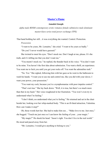## **[Master's Flame](#page-3-0)**

### **Annabel Joseph**

*alpha male BDSM contemporary erotic romance female submissive male dominant master/slave series total power exchange (TPE)*

That hand holding her still…it was everything she wanted. Control. Protection.

*Possession.*

"I want to be yours, Mr. Lemaitre," she cried. "I want to be yours so badly."

"Do you? I never would have guessed."

She twisted to meet his eyes. "Don't mock me. Don't laugh at me, please. It's the truth, and it's killing me that you don't want me."

"You mustn't mock *me*," he replied, the thunder back in his voice. "You don't want to be mine. You haven't the first idea about submission. You want a thrill, an experience. You want me to fuck you until you get your rocks off. You want the adrenaline rush."

"No. Yes." She sighed, following him with her gaze as he went to the bathroom to wash his hands. "I want you to use me and control me, like you did with your slaves. I want your power, your possession."

"You want my cock, because you're a nymphomaniac with poor impulse control."

"That's not true." She lay back down. "Well, it is true, but there's so much more than that in my heart." Her voice roughened in her frustration. "You won't even try to understand what I'm feeling."

"I don't think *you* understand what you're feeling." He returned and sat in the chair beside her, looking over her whip-marked body. "This is an ill-fated attraction, Valentina. How can I make it stop?"

Oh, those words hurt her. She had to make him see… "Make love to me. Just once," she begged. "Touch me just once so I can know the feeling of your…your magic."

"My magic?" He shook his head. "Jason's right. You don't live in the real world." He stood and paced away from her.

"Mr. Lemaitre, I would give anything to belong to you."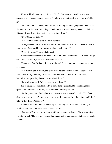He turned back, holding up a finger. "Don't. Don't say you would give anything, especially to someone like me, because I'll take you up on that offer and you won't like  $it$ "

"I would like it. I'd do anything for you. Anything, anything, anything." She yelled the word at him, her heart pounding. "You know how I feel, I know you do. I only have this one life and I want to experience everything I desire."

"Everything *you* desire?"

"Yes, and you are keeping me from doing it."

"And you need this to be fulfilled in life? You need to be mine? To be taken by me, used by me? Possessed by me, as you so dramatically put it?"

"Yes," she cried. "That's what I need."

He crossed his arms over his chest. "What will you offer that I need? What will I get out of this possession, besides a recurrent headache?"

Valentina's face flushed red, because she hadn't once, not once, considered his side of things.

"Ah, but you see, my dear, that's the rub," he said quietly. "I'm not a service top. I take slaves for my pleasure, not theirs. I have less than no interest in your *needs*,

Valentina, except as they intersect with what I desire."

She swallowed hard. "Well…what do you desire?"

His piercing gaze transformed from something reproachful to something more speculative. It scared her a little, the assessment in his expression.

"I think you're a selfish hedonist who wants what she wants," he said. "That's not slavery, you know. It isn't even power exchange. It's topping from the bottom and I don't tolerate it in those I 'possess.'"

Valentina tried not to be distracted by the growing tent in his robe. "You…you would have to teach me to be better. I need control."

"*You would have to. I need.* You're still not listening, Valentina," he said, coming back to the bed. "The only one having their needs met in a relationship between us would be me"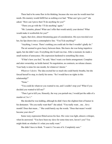There had to be some flaw in his thinking, because she was sure he would meet her needs. His mastery would fulfill her as nothing ever had. "What can I give you?" she asked. "How can I prove that I'll do anything for you?"

"There you go with the 'I'll do anything' again."

"Mr. Lemaitre, please! What can I offer that would satisfy your desires? What would make it worthwhile for you?"

Again, that slow, almost threatening gaze of consideration. His eyes traveled over her, his lips drawn into a contemplative line. "You'll do anything?"

"Anything, I swear. There's nothing you could ask for that I wouldn't gladly do."

The air seemed to grow heavy between them. She knew she was being impulsive again, but she didn't care. Everything she'd said was true. After a moment, he made a small motion of annoyance. His expression hardened to something like stone.

"If that's how you feel," he said, "then I want a no-limits arrangement. Complete and utter ownership, no holds barred. No negotiation, no contracts, no release clauses. Your body is mine for one month, for whatever I desire."

*Whatever I desire.* The idea excited her so much she could barely breathe, but she forced herself to stop, to clarify his terms. "So I would have no rights in this relationship?"

"None."

"You could do whatever you wanted to me, and I couldn't stop you? What if you decided you wanted to kill me?"

"Then I get to kill you. Honestly, the way you perturb me, I would put the odds of a murder at 2 to 1."

She decided he was kidding, although he didn't have the slightest hint of humor in his demeanor. "Do you really want that?" she asked. "You really want...me...for a month? Does that mean…" She could barely say the words. "Does that mean I would become your slave?"

Some wary expression flitted across his face. His voice was light, almost a whisper, when he answered. "You have been my slave for some time now, haven't you? You might think on whether it's what you really want."

She didn't have to think. "I want it. I'm sure of it. Completely sure."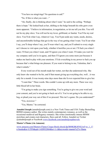"You have no misgivings? No questions to ask?"

"No. If this is what you want—"

"Ah, finally, she is thinking about what I want," he said to the ceiling. "Perhaps there is hope." He looked back at her, shifting so the bulge beneath his robe grew even more apparent. "I believe in information, in negotiation, so let me tell you this. You will not be my play slave. You will not be my lover, girlfriend, or funslut. You'll be my real slave. You'll do what I say, whatever I say. You'll put aside any wants, needs, desires, and uncomfortable feelings that get in the way of me getting what I want. You'll eat what I say, you'll sleep where I say, you'll wear what I say, and you'll submit to every single act I choose to visit upon your body, whether it horrifies you or not. I'll fuck you when I want, I'll beat you when I want, and I'll ignore you when I want. I'll make you wait for my company until you're in agony, and then I'll ignore you some more just because it makes me hard to play with your emotions. I'll do everything in my power to fuck you up because that's what brings me pleasure. If you want to belong to me, Valentina, that's what it entails."

Every word out of his mouth made her wetter, not that she understood why. She only knew she wanted to be his, and if that meant giving up everything else, well…it was only for a month. It was twenty-nine days more than she'd ever expected him to give her.

"I want that." Three words. She couldn't come up with any more. There was very little blood left in her brain.

"I'm going to make you sign something. You're going to give me your word and your consent, and you're not going to back out of it. You're not going to be able to cry, beg, or plead your way out of this if we proceed. This isn't a game. Do you understand?"

"Yes, *monsieur*."

"Yes, Master," he corrected.

**Annabel Joseph** (annabeljoseph.com) is a New York Times and USA Today Bestselling BDSM romance author. She writes mainly contemporary romance, as well as the occasional medieval and Regency romance. She writes emotionally intense BDSM storylines and creates real characters, flaws and all. Follow Annabel on Twitter @annabeljoseph or Facebook [www.facebook.com/annabeljosephnovels.](http://www.facebook.com/annabeljosephnovels)

## **Master's Flame (via Amazon)**

[www.amazon.com/Masters-Flame-Cirque-Book-ebook/dp/B00KBK4F4G/ref=sr\\_1\\_1?](http://www.amazon.com/Masters-Flame-Cirque-Book-ebook/dp/B00KBK4F4G/ref=sr_1_1?s=books&ie=UTF8&qid=1420932864&sr=1-1&keywords=master) [s=books&ie=UTF8&qid=1420932864&sr=1-1&keywords=master%27s+flame](http://www.amazon.com/Masters-Flame-Cirque-Book-ebook/dp/B00KBK4F4G/ref=sr_1_1?s=books&ie=UTF8&qid=1420932864&sr=1-1&keywords=master)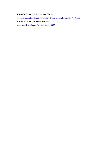# **Master's Flame (via Barnes and Noble)**

[www.barnesandnoble.com/w/masters-flame-annabeljoseph/1119495657](http://www.barnesandnoble.com/w/masters-flame-annabeljoseph/1119495657)

**Master's Flame (via Smashwords)**

[www.smashwords.com/books/view/438032](http://www.smashwords.com/books/view/438032)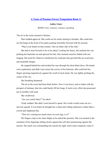## **[A Taste of Passion \(Sweet Temptation Book 1\)](#page-3-0)**

### **Ashley Lister**

*BDSM erotic romance romance spanking*

The air in the room seemed to thicken.

Hart nodded approval. She could see his smile starting to broaden. She could also see the bulge at the front of his pants pushing forcefully forward with his arousal.

"Place your hands on that counter. One on either side of the sink."

She had to lean forward to do as he asked. Locking her knees, she realised she was pushing her backside out and upward for him. Her stomach muscles folded with raw longing. Her need for whatever satisfaction he could provide growled like an avaricious and insatiable hunger.

He stepped behind her and stroked her rear through the short black dress. His hands were exploratory and didn't just caress the curves of her buttocks. She could feel his fingers pressing inquisitively against the swell of each cheek. He was lightly probing the crease of her sex.

Her breathing deepened.

The air in the room had been thick before. Now it was heavy and so laden with the prospect of intimacy that she could barely fill her lungs. It took every effort she possessed not to tremble with need.

She swallowed.

"Are you comfy there?" he asked

Trudy nodded. She didn't trust herself to speak. Her words would come out in a nervous squeak. It was better he thought her a silent and willing submissive rather than a cowed and frightened fan.

"This isn't causing too much stress on your legs, is it?"

His fingers crept to her inner thighs as he asked the question. She was treated to the sensation of his fingertips sliding slowly against the soft skin and pressing against the muscle. His touch was commanding but sensitively light. Each caress inspired a rush of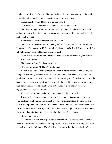heightened need. As his fingers slid upwards she realised she was holding her breath in expectation of his touch slipping against the crotch of her panties.

Trembling, she realised that was what she wanted.

"No, Mr Hart," she murmured. "It's not causing too much stress."

She liked calling him Mr Hart. It was a sign of deference and respect. She liked addressing him with her tone muted in such a way. It made her feel as though she had melted in her centre.

He grabbed the hem of her dress and lifted it up.

She thrilled to the sensation of knowing her rear was exposed to him. Her nipples hardened and the muscles inside her sex clutched and convulsed with desperate need. She felt lightheaded with a sudden rush of animal need.

"You're wet," he murmured. "There's a damp stain on the centre of your panties." Her cheeks flushed.

She wouldn't allow the blushes to deepen.

"I'm getting wetter, Mr Hart," she admitted.

He chuckled and hooked his fingers into the waistband of her panties. Slowly, as though he was taking pleasure from the act of unwrapping her secrets, Hart drew the panties downwards. The fabric caressed her buttocks and got as far as her knees before he seemed to decide they were sufficiently lowered. She could feel their elastic stretching tight across her knees. The sensation was not comfortable but she savoured the suggestion of bondage that it implied.

Her heart had been racing before. Now it pounded like a timpani.

Knowing that she was bent over for him, her private parts exposed and her body vulnerable and ready for his punishment, was more excitement than she believed one person could possibly tolerate. She imagined the lips of her sex would be glossed with a lustre of fluid arousal. She suspected, if he looked close enough, he would be able to see the pulse of her clitoris as it throbbed with building need for his touch.

She wanted to groan.

The idea of William Hart inspecting her exposed sex, his nose so close she could feel the exhalation of each breath caressing her febrile lips, was almost enough to inspire an explosive thrill of pleasure. When his fingertips returned to the bare cheeks of her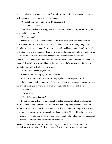backside, slowly stroking the sensitive flesh with subtle circles, Trudy wanted to moan with the demands of her growing, greedy need.

"You look like you're very excited," he remarked.

"Thank you, Mr Hart."

"Once I've finished spanking you I'll have to take advantage of you and fuck you over the kitchen counter."

"Yes, Mr Hart."

Saying the words made her want to squirm with fresh need. She had just given William Hart permission to fuck her over a kitchen counter. Admittedly, they were already intimately acquainted. But the previous night had been a mutual exploration of each other. This was a situation where she was giving him permission to use her however he saw fit. She told herself that she needed to take a moment and make sure he understood that there would be some limitations or reservations. Then she decided those practicalities could be discussed later if they were potentially problematic. For now she wanted to bask in the thrill of taking a risk.

"I'd like that very much, Mr Hart."

He landed the first slap against her backside.

It came without warning and struck sharp against her unsuspecting flesh.

She chugged breath. A blossom of heat erupted against one cheek. It spread through the muscle and began to warm the tops of her thighs and the crease of her sex.

"Too hard?"

"No, Mr Hart."

"Then let's try another one."

Before she had a chance to understand what the words meant his hand slammed swiftly against her other cheek. The sound was a deafening snap that echoed hollowly from the kitchen's flat acoustics. The pain was a rich and delicious sting that she wanted to savour. The ensuing warmth was delightful and exciting. She could feel the centre of her sex growing wetter and wetter and knew that it would take little more than a caress of her clit and the orgasm would rush through her body.

**Ashley Lister** is the author of more than thirty erotic novels and 100+ short stories. Aside from writing fiction, Ashley lectures in Creative Writing and has written the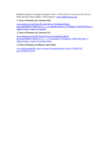definitive guide on writing in the genre: *How to Write Erotic Fiction and Sex Scenes*. Find out more about Ashley's latest projects: [www.ashleylister.co.uk](http://www.ashleylister.co.uk/)

# **A Taste of Passion (via Amazon UK)**

[www.amazon.co.uk/Taste-Passion-Sweet-Temptation-Book](http://www.amazon.co.uk/Taste-Passion-Sweet-Temptation-Book-ebook/dp/B00ICCRP88/ref=sr_1_1?s=digital-text&ie=UTF8&qid=1420932997&sr=1-1&keywords=a+taste+of+passion)[ebook/dp/B00ICCRP88/ref=sr\\_1\\_1?s=digital-text&ie=UTF8&qid=1420932997&sr=1-](http://www.amazon.co.uk/Taste-Passion-Sweet-Temptation-Book-ebook/dp/B00ICCRP88/ref=sr_1_1?s=digital-text&ie=UTF8&qid=1420932997&sr=1-1&keywords=a+taste+of+passion) [1&keywords=a+taste+of+passion](http://www.amazon.co.uk/Taste-Passion-Sweet-Temptation-Book-ebook/dp/B00ICCRP88/ref=sr_1_1?s=digital-text&ie=UTF8&qid=1420932997&sr=1-1&keywords=a+taste+of+passion)

# **A Taste of Passion (via Amazon US)**

[www.amazon.com/Taste-Passion-Sweet-Temptation-Book](http://www.amazon.com/Taste-Passion-Sweet-Temptation-Book-ebook/dp/B00ICCRP88/ref=sr_1_1?s=books&ie=UTF8&qid=1420933097&sr=1-1&keywords=a+taste+of+passion+lister)[ebook/dp/B00ICCRP88/ref=sr\\_1\\_1?s=books&ie=UTF8&qid=1420933097&sr=1-](http://www.amazon.com/Taste-Passion-Sweet-Temptation-Book-ebook/dp/B00ICCRP88/ref=sr_1_1?s=books&ie=UTF8&qid=1420933097&sr=1-1&keywords=a+taste+of+passion+lister) [1&keywords=a+taste+of+passion+lister](http://www.amazon.com/Taste-Passion-Sweet-Temptation-Book-ebook/dp/B00ICCRP88/ref=sr_1_1?s=books&ie=UTF8&qid=1420933097&sr=1-1&keywords=a+taste+of+passion+lister)

# **A Taste of Passion (via Barnes and Noble)**

[www.barnesandnoble.com/w/a-taste-of-passion-ashley-lister/1118956976?](http://www.barnesandnoble.com/w/a-taste-of-passion-ashley-lister/1118956976?ean=9780007579556) [ean=9780007579556](http://www.barnesandnoble.com/w/a-taste-of-passion-ashley-lister/1118956976?ean=9780007579556)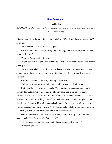# **[Slow Surrender](#page-3-0)**

## **Cecilia Tan**

# *BDSM dildos erotic romance exhibitionism female submissive male dominant billionaire BDSM rope trilogy*

His eyes were lit by the streetlights out the window. "Would you play a game with me?" he asked.

"I bet you say that to all the girls," I joked.

His expression darkened, surprising me. "Actually, it takes a very special person to pique my interest."

*He thinks I'm special?* I thought.

"If you don't want to play, that's fine," he added. "I'll leave and never come back if you say no."

My inner alarm bells were silent. Maybe because it was hard to say no to such an attractive man. I decided to test him out a little, though. "I'll play if you'll answer a question."

He smiled. "Name it," he said, imitating me perfectly.

"Tell me why a wealthy, well-dressed man like yourself is drinking alone."

He flattened a hand against his lapels. "An honest question deserves an honest answer. The truth is I've come to the end of a very long and tiring episode in my business. I'm at loose ends for the first time in a long time, and to celebrate, I wanted to be alone for a while, something I haven't had a chance to do recently." He glanced out the window, then turned his full attention back to me. "In fact, I was working up to a promise to spend more time by myself"—he paused and swirled the bourbon in his glass

—"when you came along. There, was that a satisfactory answer?"

I smiled. He seemed confident, sophisticated, and imminently reasonable. He seemed real. "Yes. Okay, so what's the game?"

"The game is very simple. I ask you to do something, and you do it."

"Something like what?"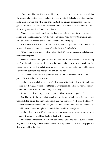"Something like this: I have a marble in my jacket pocket. I'd like you to reach into the pocket, take out the marble, and put it in your mouth. I'll also have another bourbon and a glass of water, and when you bring me back the drinks, put the marble into the glass of bourbon. That's how you'll return it to me." His voice deepened and it felt like silk sliding over my skin. "Would you do that?"

No one had ever said something like that to me before. It was like a dare, like a secret, like something private just the two of us were getting away with, exciting and a little bit illicit. "If this is a game," I said, "what do I win if I play?"

His full smile was like a prize itself. "I'm a genie. I'll grant you a wish." His voice was as rich as melted chocolate, even when he lightened it playfully.

"Okay." I gave him a goofy little curtsy. "I get it." Playing the game and sharing a secret *was* the prize.

I stepped closer to him, glanced back to make sure Jill or someone wasn't watching me from the stairs or server station across the room, and then bent over to reach into the pocket nearest to me. The jacket was a surprisingly soft fabric that felt almost like suede, a stylish cut, but it still had pockets like a traditional suit.

The pocket was empty. His eyebrows twitched with amusement. Okay, other pocket. Now I had to lean across him.

As I did so, he probably got an eyeful down my white, button-down shirt and I kind of liked that thought. My nipples tightened as I wondered if he liked the view. I slid my hand into the pocket and found it empty also. "Hey—"

Before I could voice my protest, he spoke. "There is *one* more pocket."

Oh. The exterior breast pocket was clearly a fake one, which meant the real pocket was inside the jacket. The expression on his face was bemused. Well, what did I know? I'd never played this game before. Maybe I should have thought of that first. Whatever. I gave him the old eyebrow right back, and slid my hand inside the jacket.

As I did, I caught a whiff of a spicy, masculine scent, not quite strong enough to be cologne. It was as if I could feel his body heat with my nose.

Intoxicated by his scent, I finally felt something square and hard. I pulled it free: a ring box? Now I really wondered why he was drinking alone, if this was an engagement ring or something like that…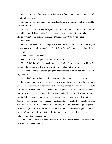I glanced at him before I opened the box only to find a marble perched on a bed of velvet. I plucked it free.

The marble felt warm from being kept close to his heart. Just a round, glass marble with a swirl in it.

So, what were the instructions again? Put it in my mouth? I shared a look with him as I held the marble between two fingers. The request was a little bit dirty and a little intimate without being overtly sexual, and I think he knew that. It was a dare.

Did I dare?

I did. I made a show of dropping the marble into the alcohol he had left, swirling the glass around with a clinking sound, and then fishing the marble out and popping it into my mouth.

"Don't swallow," he warned.

I smiled, took up his glass, and went to fill his order.

Thankfully I didn't have to speak to send his drink order to the bar. I typed it on the upstairs order station, and then went down to put the glass in the bus bin.

Then what? I couldn't chance going into the main section of the bar where Renault might see me.

The ladies' room. I'd take a quick "powder" and then see if the drinks were up.

In the employee restroom, I straightened my hair and my shirt. Normally I wouldn't give a damn about what a customer thought of my appearance. But he was so impeccable and smooth! I wished I could seem even half that sophisticated. I'd gotten some ketchup on the cuff of one sleeve at some point during the night. Sloppy. And this was my last unstained shirt. I made a note to ask Jill if she could cover replacing it, at least a thrift store one. I hated being broke. I needed to get the hell out of grad school and start making some money. I had to find something to do with my life other than stare at pre-Raphaelite art and write pretentious analyses of it. My mother told me endlessly that grad school was a waste of time, except for the fact that I might meet a well-educated guy to marry. I hadn't even gotten that part right.

A knock on the door jolted me. I tucked the marble into my cheek. "One sec!" I ran the water and washed my hands.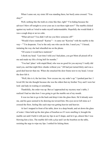When I came out, my sister Jill was standing there, her beefy arms crossed. "You okay?"

Well, nothing like the truth at a time like that, right? "I'm hiding because the advisor I blew off tonight to cover your ass is out there right now!" The marble clicked against my teeth as I tried to make myself understandable. Hopefully she would think it was a cough drop or an ice cube.

"What advisor? You didn't tell me you blew someone off!"

"Would it have mattered? 'Karina'"—it came out "Kawina" with the marble in the way—"'I'm desperate. You're the only one who can do this. I need you,'" I hissed, imitating the way she had wheedled me on the phone.

"Of course it would have mattered."

I shook my head. "Last time I told you I had plans, you got Mom all pissed off at me and made my life a living hell for months."

"You had 'plans' with stupid Brad, who was no good for you anyway! I really did need you, and that night blew chunks without you." Jill had just turned thirty and was a good deal heavier than me. When she smacked the door frame next to my head, I swear the door felt it.

"Well, this is it, the last time. Now excuse me, my order's up." I pushed past her. I loved Jill, but she thought because she was the oldest that my brother Troy and I were her lord- and lady-in-waiting or something.

Thankfully, the order was up. But as I approached my mystery man's table, I realized I had no idea how I was going to get the marble out of my mouth.

It was too late to go in the back and drop it into the glass there. He'd already seen me, and his gaze seemed to be drawing me toward him. His eyes never left mine as I crossed the floor, feeling like each step was getting heavier and heavier.

At last I stopped in front of his table, drew in a deep breath, and set down the glass of water. I then held up the shot glass of bourbon as if I were smelling it, brought the marble out until I held it with just my lips in an O shape, and let it go, almost like I was blowing him a kiss. The marble fell with a *plop* and I set the bourbon on the table, resisting the urge to wipe my lips. I settled for licking them.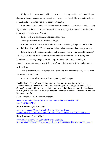He ignored the glass on the table, his eyes never leaving my face, and I saw his gaze sharpen at the momentary appearance of my tongue. I wondered if he was as turned on as I was. I had never flirted with a customer. Not like this.

He lifted his drink and closed his eyes for a moment as if savoring the scent. I nearly sighed when he did, as if I'd been released from a magic spell. A moment later he stared at me again as he took his first sip.

He nodded, as if satisfied, and set the glass down.

"Do I get my wish now?" I asked jokingly.

His face remained stern as he laid his hand on the tabletop, fingers curled as if he were holding a live moth. "Think very hard about what you want, then close your eyes."

I did as he asked, without hesitating. But what did I want? What should I wish for? This was like making a birthday wish before blowing out the candles. Wishing for happiness seemed way too general. Wishing for money felt wrong. Wishing to graduate…*I shouldn't have to wish for that, damn it.* I deserved to finish and move on with my life.

"Make your wish," he whispered, and yet I heard him perfectly clearly. "Then take the wish out of my hand."

*I want to know what love is,* I thought, and opened my eyes.

**Cecilia Tan** is "one of the most important writers, editors, and innovators in contemporary American erotic literature," according to Susie Bright. Her novel *Slow Surrender* won the RT Reviewers Choice Award and the Maggie Award for Excellence in 2014, while *The Prince's Boy* won honorable mention in the NLA Writing Awards and Rainbow Awards.

### **Slow Surrender (via Barnes and Noble)**

[www.barnesandnoble.com/w/slow-surrender-cecelia-tan/1111940153?](http://www.barnesandnoble.com/w/slow-surrender-cecelia-tan/1111940153?ean=9781455529278) [ean=9781455529278](http://www.barnesandnoble.com/w/slow-surrender-cecelia-tan/1111940153?ean=9781455529278)

#### **Slow Surrender (via Amazon)**

[www.amazon.com/Slow-Surrender-Struck-Lightning-Book](http://www.amazon.com/Slow-Surrender-Struck-Lightning-Book-ebook/dp/B00B73T1YU/ref=tmm_kin_title_0?ie=UTF8&qid=1420933257&sr=1-1)[ebook/dp/B00B73T1YU/ref=tmm\\_kin\\_title\\_0?ie=UTF8&qid=1420933257&sr=1-1](http://www.amazon.com/Slow-Surrender-Struck-Lightning-Book-ebook/dp/B00B73T1YU/ref=tmm_kin_title_0?ie=UTF8&qid=1420933257&sr=1-1)

### **Slow Surrender (via Audible)**

[www.amazon.com/Slow-Surrender-Struck-Lightning-](http://www.amazon.com/Slow-Surrender-Struck-Lightning-Series/dp/B00GGWGFYG/ref=tmm_aud_title_0?ie=UTF8&qid=1420933257&sr=1-1)[Series/dp/B00GGWGFYG/ref=tmm\\_aud\\_title\\_0?ie=UTF8&qid=1420933257&sr=1-1](http://www.amazon.com/Slow-Surrender-Struck-Lightning-Series/dp/B00GGWGFYG/ref=tmm_aud_title_0?ie=UTF8&qid=1420933257&sr=1-1)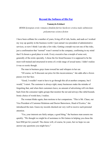## **[Beyond the Softness of His Fur](#page-3-0)**

### **TammyJo Eckhart**

*BDSM dystopian erotic romance femdom furries hardcore erotica male submission polyamorous science fiction*

I have been celibate for a number of years, living off of vids, books, and auds as I worked my way up quickly in the business world. I just earned vice president of administrative services, so now I think I can take a few risks. Getting a morph was not one of the risks, just a confirmation that "normal" wasn't normal in the company, confirming in my mind that I'd chosen a good place to work. Every executive has a morph of some sort, generally of the erotic specialty. I chose the fox breed because it is supposed to be the most well-trained and structured in terms of a wide range of sexual tastes. I didn't realize it was so exotic though.

The man in business grays leans toward her and whispers in her ear.

"Of course, we'll discount our price for this inconvenience," she adds after a frown passes over her face.

"Good, I wouldn't want to have to go through this all at another company, but I would," I retort. The customer is always right; many businesses make the mistake of forgetting that, and when their customers leave, no amount of advertising will win them back from the consumer rights groups that monitor the net and airways like rabid hounds. Ironic choice of words here, I realize.

The woman blinks again, then motions to her companions. "This is Mr. Chase, our Vice President of Customer Relations and Doctor Batswinow, Head of Exotics," she introduced the men. Guess my records checked out very well to receive such personal attention.

"Yes, your interests are fairly unique, a good thing," the business man assures me quickly. "We thought we might be of assistance to Ms Gaines in helping you chose the best ISM pet for yourself. The choice will, of course, be yours, but we hope we can answer any questions you might have."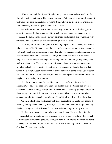"How very thoughtful of you?" I reply, though I'm wondering how much of a fool they take me for. I get it now: I have the money, so let's try and take her for all we can. It will work, just not if the customer is wise to it; they should have paid more attention to how I make my money, not just how much of it I have.

We walk further into the Institute, where I begin what I soon realize is a type of education process. It almost seems that they really do want contented customers. Of course, as the businessman points out, they never sell used morphs, and returns are fully refunded. Best to cut back on that possibility right from the start.

There are, it turns out, a few problems with my request. First is the requirement that it be male. Actually, fifty percent of all their morphs are male, so that isn't so much of a problem by itself as a complication to my other interests. Second, something unique or at least different; an exotic, they called it. Third, a pet which will be able to enjoy the rougher pleasures without wanting to return roughness and without getting moody about such sexual demands. The representative informs me that mostly such requests come from het male clients, so most of their stock in that category are female. I restate that I want a male morph. Geesh, haven't women gotten equality in being sadists yet? Most of the sadists I know are certainly female, but then I'm talking about consensual sadists, so maybe the wackos buy their victims.

They have three options for me at the moment — that's what they call a "good assortment?" They could specially design one, but that takes a bit more than a year to create and do basic training. This promotion seems connected to my getting a morph, so that time lag is serious. I decide to see what they have. There are at least four other companies on Earth that deal in morphs, so if I don't find what I want I can look there.

We enter a fairly long white room with glass cages along each side. I'm informed that they aren't glass but one-way mirrors, so I can look in without the morph knowing that he is being watched. This way I'll see them as is and not performing as trained.

The first mirror cage houses a truly exotic morph-tiger. The size of the tiger has been curtailed, so the creature inside is equivalent to an average-sized man. It sits much as a cat would, tail twitching around, licking its paws in low strokes. It looks very bored and very self-absorbed. No, no cat morphs for me, thank you very much. If I want selfabsorbed, I'll start dating again.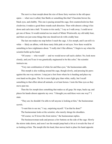The next is a bear morph about the size of those furry warriors in the old space opera — what was it called, Star Battle or something like that? Chocolate brown fur, black eyes, and chubby. This one is pacing around the cage, first counterclockwise then clockwise; it makes a good three rounds each direction. Then with almost a shrug it lies down and curls into a ball. "It seems to tire easily," I say as I walk away. I could never get one of those. It would remind me too much of Mister Wentworth, my old teddy bear, and there are just some things that one should not do with a teddy bear.

The last one makes me stop before I reach the cage. A fox morph, and I can tell it is white — likely an albino, with those nasty little pink or red eyes. Now there would be something to have nightmares about. "I really don't like albinos," I begin to say when the scientist holds up his hand.

"Of course — who would? — and we would never sell such a defect. No; look more closely, and you'll see it was genetically engineered to be this color," the scientist instructs me.

"Very rare combination of white fur and blue eyes," the businessman adds.

This morph is also walking around the cage, though slowly, and pressing his paws against the one way mirrors. I stop just a foot from where he is heading and place my own hand on the glass. The fur is more light gray than white, really, but I recall something to that effect about all animals, or at least horses. I note the blue eyes as they move past me.

Then the fox morph does something that makes us all gasp. He stops, backs up, and places his hands almost opposite my own. "I thought you said these were one way?" I state.

"They are; he shouldn't be able to tell anyone is looking at him," the businessman scowls.

"I want him to see me," I say, surprising myself. "Can that be done?"

The businessman looks at the scientist, who merely shrugs his shoulders.

"Of course; we'll lower this front mirror," the businessman replies.

The businesswoman nods and presses a few buttons on the side of the cage. Slowly the mirror sinks down, and soon I see the morph jump back a bit as it reveals the four of us looking at him. The morph tilts his head, then moves back to place his hand opposite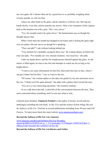my own again. He's shorter than me by a good foot or so, probably weighing about seventy pounds, so a bit too thin.

I place my other hand on the glass, and he matches it with his own. Moving my hands slowly, I test him, and he matches my moves. After a few moments of this I glance back at the Institute trio with a grin. "He's very clever."

"Yes, fox morphs tend to be quite clever," the businessman says as though the thought annoys him.

When I look back the morph has dropped to his knees and is licking the glass right over my palms. His jaw moves as though he's speaking.

"They can talk?" I ask without looking behind me.

"Very limited; he's probably saying he likes you," the woman chimes in before the men can reply. "Fox morphs are very sensual creatures; very loyal too," she adds.

I take my hands down, and the fox morph presses himself against the glass. As the mirror is lifted again, he rises to his feet and attempts to watch me for as long as his height allows.

"I want to see some information on him first, then meet him face to face, where I can get a better feel for him," I say as I turn to the trio.

"Of course," the woman replies as she takes me gently by my arm and steers me to the exit. "I think you'll be quite pleased," she adds with a glance back toward the men.

"Yes, he is a very interesting specimen," the scientist confirms.

As we walk down the hall, I catch bits of the conversations between the men. They seem concerned about something, and I'm not sure what or why.

Lifestyle poly-femdom, **TammyJo Eckhart** is the author of stories, novels and ten anthologies including the non-book, *At Her Feet* and the science fiction trilogy *Beyond the Softness of His Fur*. Find her in several publications including *Some Women* and *S/M Futures*. To learn more check her main website [www.tammyjoeckhart.com/.](http://www.tammyjoeckhart.com/)

## **Beyond the Softness of His Fur (via Amazon)**

[www.amazon.com/Beyond-Softness-His-Fur-Wonders](http://www.amazon.com/Beyond-Softness-His-Fur-Wonders-ebook/dp/B005AZZWFS/ref=sr_1_3?s=books&ie=UTF8&qid=1420933622&sr=1-3&keywords=beyond+the+softness+of+his+fur) $ebook/dp/B005AZZWFS/ref=sr\ 1\ 3?s=books&ie=UTF8&qid=1420933622&sr=1-$ [3&keywords=beyond+the+softness+of+his+fur](http://www.amazon.com/Beyond-Softness-His-Fur-Wonders-ebook/dp/B005AZZWFS/ref=sr_1_3?s=books&ie=UTF8&qid=1420933622&sr=1-3&keywords=beyond+the+softness+of+his+fur)

**Beyond the Softness of His Fur (via Barnes and Noble)**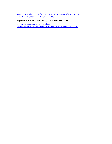[www.barnesandnoble.com/w/beyond-the-softness-of-his-fur-tammyjo](http://www.barnesandnoble.com/w/beyond-the-softness-of-his-fur-tammyjo-eckhart/1111904059?ean=2940014167840)[eckhart/1111904059?ean=2940014167840](http://www.barnesandnoble.com/w/beyond-the-softness-of-his-fur-tammyjo-eckhart/1111904059?ean=2940014167840)

# **Beyond the Softness of His Fur (via All Romance E Books)**

[www.allromanceebooks.com/product](https://www.allromanceebooks.com/product-beyondthesoftnessofhisfurwondersofmodernscience-571862-147.html)[beyondthesoftnessofhisfurwondersofmodernscience-571862-147.html](https://www.allromanceebooks.com/product-beyondthesoftnessofhisfurwondersofmodernscience-571862-147.html)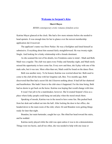## **[Welcome to Serpent's Kiss](#page-3-0)**

### **Sherri Hayes**

*BDSM contemporary erotic romance femdom series*

Katrina Mayer glanced at the clock. She had a few more minutes before she needed to head upstairs. It was enough time for her to glance over the newest membership application she'd received.

The applicant's name was Drew Parker. He was a firefighter and listed himself as submissive. Everything about him seemed fairly straightforward. He was twenty-eight. Single. And looking for a kinky relationship with a female dominant.

As she scanned the rest of his details, two Femdoms came to mind—Madi and Beth. Madi was a regular. The club was open every Friday and Saturday night, and Madi rarely missed the opportunity to have some fun. Every now and then, she'd play with one of the male subs, but it was rare. More often than not, Madi could be found on the dance floor.

Beth was another story. To be honest, Katrina was worried about her. Beth used to come to the club all the time with her longtime sub, Ben. Two months ago, Beth discovered that Ben had a secret life she'd known nothing about. It had left her shattered and heartbroken. She hadn't been to the club since it happened. For the time being, Beth had no desire to get back on the horse. Katrina was hoping that would change with time.

It wasn't her job to be a matchmaker, however. She'd created Serpent's Kiss as a place where kinky people could hang out and play when the mood struck them.

Speaking of moods, Katrina was in the mood to have some fun. She pushed back from her desk and walked out into the hall. After locking the door to her office, she headed down to the main room of the club, where Ali and Brandon were getting things ready for later that night.

Brandon, her main bartender, caught her eye. She tilted her head toward the stairs, and he nodded.

Katrina rarely played while the club was open unless it was to do a demonstration. Things were too hectic, and all too often, she was needed to help with one issue or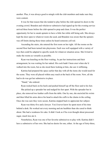another. Plus, it was always good to mingle with the club members and make sure they were content.

It was for that reason that she tended to play before the club opened its doors to the evening crowd. Brandon and whichever submissive had signed up for the evening service arrived three hours before the club opened to prep and clean. It was the perfect opportunity for her to sneak upstairs to have a little fun while still being safe. She always kept the door open to whatever room she used, and Brandon was aware that the upstairs was off-limits during those times unless he heard someone yell red.

Ascending the stairs, she entered the first room on her right. All the rooms on the second floor had been turned into playrooms. Each was well equipped with a variety of toys that could be adapted to specific needs for whatever situation arose. She'd tried to make the rooms as versatile as possible.

Ryan was kneeling on the floor waiting. As per her instructions and their arrangement, he was waiting for her naked. His cock hadn't been erect when she'd walked into the room, but as she stood there looking at him, she saw it stiffening.

Katrina had prepared the space earlier that day with all the items she would need for the scene. They were all placed within easy reach at the back of the room. Now, all she had to do was get her submissive in place.

"Stand," she ordered.

Ryan rocked back on his heels and pushed himself up off the floor and to his feet.

She picked up a spreader bar and nudged his feet apart. With the spreader bar in place, she removed two leather cuffs from the table. One by one, she encircled his wrists and then lifted his arms above his head to attach the cuffs to the chains in the ceiling. Once she was sure they were secure, Katrina stepped back to appreciate her subject.

Ryan was thirty-five and a lawyer. You'd never know he spent most of his time behind a desk. He worked out every morning and ate healthier than she cared to think about. She had a weakness for cake. It didn't look as if he even thought about processed sugar, much less ate it.

Nonetheless, Ryan was one of her favorite submissives to play with. Katrina didn't have a submissive of her own. She had no desire for one, either. At the age of forty-three,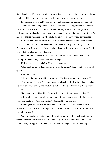she'd found herself widowed. And while she'd loved her husband, he had been vanilla as vanilla could be. Even role-playing in the bedroom held no interest for him.

Her husband's death had been a shock. It had also made her realize how short life was. No one knew how long they had on this earth. That was why, six months after her husband's death, Katrina made the decision to open up a fetish club. Five years later, the club was exactly what she hoped it would be. Every Friday and Saturday night, Serpent's Kiss was packed with members who paid a monthly fee for privacy and convenience.

Katrina's heels clicked on the wooden floor of the dungeon as she slowly circled Ryan. She ran a hand down his chest and could feel the anticipation rolling off him. There was something about seeing a man bound and ready for whatever she wanted to do to him that gave her immense pleasure.

She didn't take her eyes off his face as she moved her hand down over his abs, heading for the straining erection between his legs.

He lowered his head and closed his eyes… waiting.

When she brushed her hand against his cock, he tensed. "Have something you wish to say?"

He shook his head.

Taking hold of his balls with her right hand, Katrina squeezed. "Are you sure?"

"Yes, Ma'am. I'm sure." His eyes remained closed, but his breathing had picked up. He knew pain was coming, and what she'd just done to his balls was only the tip of the iceberg.

She released her hold on him. "Very well. Let's get things started, shall we?"

A long table along the wall held a plethora of items she'd selected for their scene. Some she would use. Some she wouldn't. She liked having options.

Running her fingers over the small metal clothespins, she grinned and placed several in her hand before returning to stand in front of Ryan. He hadn't moved—not that he could go very far.

With her free hand, she took hold of one of his nipples and worked it between her thumb and index finger until it was ready to accept the clip she had poised in her left hand. Giving his nipple a hard pinch, she replaced her fingers with the silver clip.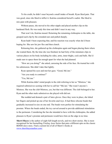To his credit, he didn't react beyond a small intake of breath. Ryan liked pain. That was good, since she liked to inflict it. Katrina considered herself a sadist. She liked to mix pain with pleasure.

Without pause, she moved to his other nipple and placed another clip on the hardened flesh. He was ready this time and didn't react in any way.

That won't do, Katrina mused. Returning the remaining clothespins to the table, she grasped each clip by the extended ears and pulled sharply.

Ryan hadn't been expecting that, and his reaction was exactly what she'd been hoping for. She saw his jaw flex and then clench.

Releasing him, she gathered up the clothespins again and began placing them where she wanted them. By the time she was finished, he had forty of the miniature clips in various places on his body including his sides, arms, inner thighs, cock and balls. She'd made sure to space them far enough apart for what she had planned.

"How are you doing?" she asked, caressing the side of his face. He trusted her with his submission. She didn't take that lightly.

Ryan opened his eyes and met her gaze. "Good, Ma'am."

"Are you ready to continue?"

"Yes, Ma'am."

While Katrina didn't mind people in the club referring to her as "Mistress," she required submissives scening with her to call her "Ma'am." She wasn't anyone's Mistress. She was the club Mistress, yes, but that was different. The club belonged to her. Ryan and the other male submissives she played with did not.

She nodded and donned a pair of latex gloves. Once they were in place, she lubed her fingers and picked up one of her favorite anal toys. It had three silicone beads that gradually increased in size on one end. The beads were perfect for stimulating the prostate. Where the beads ended, the toy curved around to provide additional stimulation to the perineum. Considering the fun she intended to have with the clothespins, the added pleasure to Ryan's prostate and perineum would have him on the edge in no time.

**Sherri Hayes** is the author of eight full-length novels, and two short stories. She is most recognized for her bestselling *Finding Anna* Series that puts a different spin on the classic BDSM slave story. Find a current list of all of Sherri's books at [www.sherrihayesauthor.com/.](http://www.sherrihayesauthor.com/)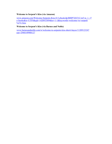# **Welcome to Serpent's Kiss (via Amazon)**

[www.amazon.com/Welcome-Serpents-Kiss-0-5-ebook/dp/B00P7Z6T1C/ref=sr\\_1\\_1?](http://www.amazon.com/Welcome-Serpents-Kiss-0-5-ebook/dp/B00P7Z6T1C/ref=sr_1_1?s=books&ie=UTF8&qid=1420933894&sr=1-1&keywords=welcome+to+serpent) [s=books&ie=UTF8&qid=1420933894&sr=1-1&keywords=welcome+to+serpent](http://www.amazon.com/Welcome-Serpents-Kiss-0-5-ebook/dp/B00P7Z6T1C/ref=sr_1_1?s=books&ie=UTF8&qid=1420933894&sr=1-1&keywords=welcome+to+serpent)  $\frac{9}{27}$ s+kiss

# **Welcome to Serpent's Kiss (via Barnes and Noble)**

[www.barnesandnoble.com/w/welcome-to-serpents-kiss-sherri-hayes/1120912324?](http://www.barnesandnoble.com/w/welcome-to-serpents-kiss-sherri-hayes/1120912324?ean=2940149908127) [ean=2940149908127](http://www.barnesandnoble.com/w/welcome-to-serpents-kiss-sherri-hayes/1120912324?ean=2940149908127)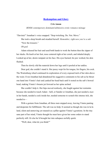# **[Redemption and Glory](#page-3-0)**

## **Cris Anson**

*BDSM contemporary dominant/submissive erotic romance ménage*

"Davinia!" Jonathan's voice snapped. "Stop twitching. Do. Not. Move."

She took a deep breath and steadied herself. *Remember, right now you're a sub.* "Now the trousers."

*Oh god.*

Adam released her hair and used both hands to work the button then the zipper of her slacks. He knelt at her feet, nose centered right at her crotch, and inhaled deeply. Looked up at her, desire rampant on his face. His eyes burned, his jaw worked, his skin flushed.

Then he slowly slid the material down her legs until it pooled at her ankles.

Dear god, she couldn't stand it. Her pussy wept for his tongue, his fingers, his cock. The Wartenburg wheel continued its exploration of every exposed inch of her skin above the waist. Even Jonathan had abandoned his suggestive comments to his sub as he thrust one hand into Vinnie's hair and yanked her head back until it rested on the sub's bowed head, making Vinnie's breasts jut forward as her spine arched.

She couldn't help it. Her hips moved restlessly, she fought against her restraints because she needed to touch Adam—hell, or Sandor or Jonathan, she just needed a *man* in her hands, needed a cock inside her, needed someone to scratch this intense itch, she needed to—

With a gesture from Jonathan, all three men stepped away, leaving Vinnie panting and desperate for fulfillment. The sub was no help. It seemed as though she was in la-la land, silent and unmoving yet staunch as a pillar against Vinnie's gyrations. In the tiny sane part of her mind, Vinnie thought he must have given her some orders to stand perfectly still. Or else he'd brought her into subspace awfully quick.

"Well, dear, what do you think?"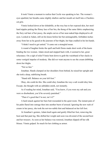It took Vinnie a moment to realize that Cecile was speaking to her. The woman's eyes sparkled, her breaths came slightly shallow and her mouth set itself into a Cheshirecat grin.

Vinnie looked down at her dishabille, at the rosy hue to her exposed skin, her steelhard nipples poking the flimsy lace of her bra, the thong of the same fabric emphasizing the fiery red hair of her pussy, the ample curves of her near-naked hips displayed to all eyes. Looked at Adam, still on his knees before her but unimaginable, forbidden inches away from her as he gazed at the juncture of her thighs, her hips cradled in his hot hands.

"I think I need to get untied." It came out a strangled moan.

A round of laughter broke the spell and both Doms made short work of the knots binding the two women. Adam stood and stepped back with, it seemed to her, great reluctance. On a sigh of relief Vinnie bent down to grab the waistband of her slacks in some vestigial impulse of modesty. She did *not* want anyone to see the cream dribbling down her thighs.

"Not so fast."

Jonathan. Hands clamped on her shoulders from behind, he raised her upright and she took a deep, stabilizing breath.

"Stand still. Balance on your left foot."

Okay, she could do this. She could obey Jonathan the way a sub would obey him. Except, she thought with an unbidden smirk, not instantly.

As if reading her mind, Jonathan said, "You know, if you were my sub and you were so disobedient, you'd be severely punished."

"Then it's good that I'm not, isn't it?"

A hard smack against her bare butt resounded in the quiet room. The instant pain of his palm flared into outrage then into another burst of arousal. Ignoring the new rush of cream in her pussy, she took the not-too-subtle hint and balanced on her left foot.

At Jonathan's gesture, Adam knelt again and gently lifted her foot, removing the boot and that pant leg. She shifted her weight and soon was divested of the second boot and her trousers. As soon as her balance was restored, Jonathan slipped off her silk blouse. Vinnie gulped. So much for her clothing as armor.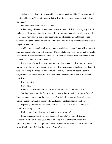"What we have here," Jonathan said, "is a Smart-Ass Masochist. Your sassy mouth is intolerable, so we'll have to remedy that with a little constructive adjustment. Adam, to the chair"

She swallowed hard. *I'm in for it now.*

Adam thought his cock would burst, he was so hard. His balls were tight against his body merely from watching the Mistress Glory of his wet dreams being taken down a few pegs. God. She was even sexier now than when he'd first seen her in that red corset wielding a flogger. Having her tied up and helpless and moaning with arousal was such a huge turn-on to him.

And having her standing all subservient in semi-sheer bra and thong with a group of men and women who were fully dressed—Christ, what a body that woman had. He could lose himself in her for months at a time. The lush curves, her red bush, those nipples big and hard as walnuts. His throat went dry.

But he remembered Jonathan's stricture—tonight would be a learning experience for him as well as for Davinia and he was to follow instructions to the letter. But damn, it was hard to keep his hands off her! Jon was obviously counting on Adam's poorly disguised lust for the redhead and was determined to teach him the merits of delayed gratification.

It was agonizing.

It was hell.

He looked forward to more of it. Because Davinia was at the center of it.

Settling himself into the firm seat of the chair, Adam sprawled his legs in front of him, one ankle crossed over the other in an effort to look relaxed, as though his cock weren't already tenting his trousers like a ridgepole. Let them see his erection.

Especially Davinia. She'd zeroed in on his cock as soon as he sat. *I hope your mouth is watering, woman.*

Hell, he hoped Jonathan would direct her to suck him off.

He groaned. *Not exactly the way to control yourself.* Thinking of Davinia's delectable mouth on his cock, sucking and licking him to distraction, made him impossibly harder. Jon was right, he'd never denied himself when it came to sex and it was difficult not to fuck her right now in front of everyone.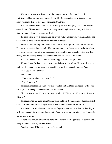His attention sharpened and he tried to prepare himself for more delayed gratification. Davinia was being urged forward by Jonathan after he whispered some instructions into her ear that made her spine straighten.

But forward she came, until she stood alongside him. Gingerly she set one bare foot on each side of his crossed ankles, took a deep, steadying breath, and holy shit, leaned forward to put a hand on each of his thighs.

He must have moved, because Jon bellowed, "Stay just the way you are, Adam. She needs to hold on to something for the next few minutes."

Davinia's thumbs dug into the muscles of his inner thighs as she stabilized herself. He almost came at seeing the arch of her back curved up to the sweetest, lushest ass he'd ever seen. His gaze moved to her breasts, swaying slightly and almost overflowing their flimsy lace bra as they nearly touched the fabric of his slacks at his thighs.

It was all he could do to keep from coming just from the sight of her.

He noted how flushed her face was, how shallow her breathing. Her eyes downcast, looking—he hoped—at his cock, she licked her lower lip. His cock jumped. Again.

"Are you ready, Davinia?"

She nodded.

"Your response should be, 'Yes, Sir.'"

"Yes, I'm ready."

Jonathan smoothed his palm over one rounded globe. It took all Adam's willpower not to growl at seeing someone else touch his woman.

Shit, she wasn't his. She was just a woman in a BDSM scene. What the fuck was he thinking?

Jonathan lifted his hand from Davinia's ass and held it out, palm up. Sandor planted a soft-tail flogger in it then stepped back. Adam held his breath for the strike.

But Jonathan stroked the smooth leather fingers across her back, her ass, her thighs, with low-impact hits, love taps almost, until Adam saw her ass rise slightly, as though she were inviting more.

After a few minutes of warming her skin he handed the flogger back to Sandor and accepted a lethal-looking leather paddle.

Suddenly, *smack*! Directly on her right buttock.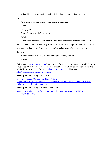Adam flinched in sympathy. Davinia jerked her head up but kept her grip on his thighs.

"Davinia?" Jonathan's silky voice, rising in question.

"One!"

"Very good."

*Smack!* Across her left ass cheek.

"Two"

Adam gritted his teeth. This close he could feel the breeze from the paddle, could see the wince in her face, feel her grip squeeze harder on his thighs at the impact. Yet his cock got even harder watching the scene unfold as her breaths became even more shallow.

By the flush on her face, she was getting unbearably aroused.

And so was he.

**Cris Anson** [\(www.crisanson.com\)](http://www.crisanson.com/) has released fifteen erotic romance titles with Ellora's Cave since 2005. Her more recent stories reflect her earnest, hands-on research into the BDSM lifestyle. Contact Cris at [cris@crisanson.com](mailto:cris@crisanson.com) or read her blog: [http://crisansonspassions.blogspot.com](http://crisansonspassions.blogspot.com/)

# **Redemption and Glory (via Amazon)**

[www.amazon.com/Redemption-Glory-Cris-Anson](http://www.amazon.com/Redemption-Glory-Cris-Anson-ebook/dp/B00KLK2VUG/ref=sr_1_1?s=books&ie=UTF8&qid=1420934076&sr=1-1&keywords=redemption+and+glory) $ebook/dp/B00KLK2VUG/ref=sr\ 1\ 1?s=books&ie=UTF8&qid=1420934076&sr=1-$ [1&keywords=redemption+and+glory](http://www.amazon.com/Redemption-Glory-Cris-Anson-ebook/dp/B00KLK2VUG/ref=sr_1_1?s=books&ie=UTF8&qid=1420934076&sr=1-1&keywords=redemption+and+glory)

## **Redemption and Glory (via Barnes and Noble)**

[www.barnesandnoble.com/w/redemption-and-glory-cris-anson/1119617056?](http://www.barnesandnoble.com/w/redemption-and-glory-cris-anson/1119617056?ean=9781419971358) [ean=9781419971358](http://www.barnesandnoble.com/w/redemption-and-glory-cris-anson/1119617056?ean=9781419971358)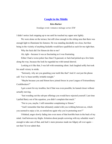## **[Caught in the Middle](#page-3-0)**

### **Kira Barker**

*bondage erotic romance ménage series S/M*

I didn't notice Jack stepping up to me until he touched my upper arm lightly.

We were alone on the terrace, but still close enough to the sitting area that there was enough light to illuminate his features. He was standing decidedly too close, but then being in the vicinity of anything fuckable would have qualified as such for me right then.

Why the fuck did I let Simon do this to me?

Ah, right—because it was as fascinating as it was frustrating.

Either I had a worse poker face than I'd guessed, or Jack had picked up a few hints along the way, because the look he regarded me with turned shrewd.

Looking at it like that, I was left with remaining silent. Jack laughed softly but took his small victory in stride.

"Seriously, why are you gnashing your teeth like that? And it's not just the phone call. You've been terribly irritable tonight."

"Maybe because you and Simon have joined forces in your League of Extraordinary Cockblockers?"

I got a snort for my troubles, but if that was even possible, he leaned closer without actually moving.

"Just weeding out the sub-par offerings you would have rejected yourself. Last time I pulled Barry out of the equation, you didn't complain that much."

"Not to you, maybe. I still remember complaining to Simon."

"And I remember that that ultimately ended with you writhing between us, which you seemed to enjoy a lot, so remind me again why you're protesting now?"

I blinked, anger slowly fading into even more of that horrible burn in the back of my mind. And between my thighs. Irritation about people screwing with my schedule wasn't enough to take care of that, and Jack's mere presence made me fidgety all over again not that I'd ever admit that.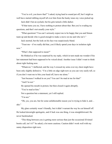"You're evil, you know that?" I asked, trying hard to sound put off, but I might as well have started rubbing myself all over him from the husky tones my voice picked up.

Jack didn't bat an eyelash, but his grin turned a little darker.

"If that turns you on, I have nothing to protest about that. But you're evading my questions, and that's not usually your style."

"What questions? You can't seriously expect me to be happy that you and Simon team up and decide who is good enough to make a move on me and who isn't."

Jack snorted, but the look on his face was suspiciously bland.

"Trust me—if we really did that, you'd likely spend your days in isolation right now."

"What's that supposed to mean?"

He blinked as if he was surprised by my reply, which in turn made me wonder if his last statement had been supposed to be voiced aloud. Another issue I didn't want to think about right fucking now.

"Whatever," I deflected, and the way I crossed my arms over my chest might have been only slightly defensive. "I'm a little on edge right now as you can very easily tell, so if you don't want me to bite your head off, leave me alone."

"Just because I walked in on you? You can't be mad at me for that!"

"And I'm not."

He opened his mouth in protest, but then closed it again abruptly.

"You're mad at him."

Not a question but a statement, yet I still replied.

"I'm not."

"Oh, yes, you are, but for some unfathomable reason you're trying to hide it, and… shit."

My glare certainly wasn't friendly, but it didn't warrant the way he cut himself off. He looked downright apologetic, and if Jack was one thing, it was straightforward. He never backtracked.

"This thing between you is getting more serious than just the occasional ill-timed bootie call, isn't it?" he asked, a lot more cautious. Caution didn't work well with my sunny disposition right now.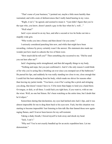"That's none of your business," I pointed out, maybe a little more harshly than warranted, and with a note of defensiveness that I really hated hearing in my voice.

"Right, it isn't," he agreed, and seemed to mean it. "I just didn't figure that you're the type who, you know, doesn't punch a guy in the face when he's, well…"

"Well what?"

Jack's eyes zeroed in on my face, and after a second or two he broke out into a stupidly wide grin.

"Who works you into a frenzy and then doesn't let you come."

I seriously considered punching him now, and while that might have been rewarding, violence by proxy certainly wasn't the answer. His statement also made me wonder just how much in cahoots the two of them were.

"How much did he tell you?" Then something else occurred to me. "Did he send you out here after me?"

Jack's beginning smile strengthened, and that did ungodly things to my body.

"Nothing and nope, but you just confirmed it. And it's the only reason I could think of for why you're acting like a bristling cat ever since you stomped out of the bathroom." He pursed his lips, and suddenly he was really standing too close to me, close enough that I could feel the heat radiating from his body, which made me shiver for reasons other than leaving my jacket inside. "You know, even if he's acting like a prick and stringing you along, that doesn't mean I have to. I'd be more than happy to lend you a hand there. Or tongue, or dick, or all three. I could fuck you right here, if you want to, with no one the wiser. Well, no one but Simon. He's been watching us the entire time, but I doubt that he'd object."

Somewhere during that declaration, my eyes had latched onto Jack's lips, and it was almost impossible for me to drag them back to his eyes now. Fuck, but this situation was starting to become impossible! Just listening to him talk like that fanned those now againraging flames, and I'd never been known for my self-restraint.

Taking a shaky breath, I forced myself to look away and shook my head.

"Jack, I can't."

"Why not? You're not exactly bundled up for an arctic expedition here. Let me demonstrate."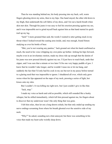Then he was standing behind me, his body pressing into my back, soft, warm fingers ghosting down my arms, then to my hips. One hand stayed, the other slid down to my thigh, then underneath the soft fabric of my dress, and I let out a harsh breath when skin met skin. Through his jeans it was easy to feel his erection pressing against my ass, and it was impossible not to grind myself back against him as that hand started its quick trail up my leg.

"Jack!" I more groaned than said, the words I wanted to utter getting stuck in my throat when I looked toward the seating area inside, and, true enough, found Simon studying us over his bottle of beer.

"Shit, you're not wearing any panties," Jack ground out when his hand confirmed as much, the need in his voice whipping my own pulse up further. Jerking his hips forward, maybe even in an involuntary motion, made my dress ride up enough that the denim of his jeans was now pressed directly against my ass. I'd just have to reach back, undo that zipper, and I was sure that a minute or two later I'd be one very happy puddle of goo. I knew that he wouldn't take longer, and he wouldn't tease me or let me hang, and suddenly the fact that I'd only had his cock in my ass but not in my pussy before turned to a glaring need that was impossible to ignore. I shuddered all over, which only grew worse when his lips appeared on the nape of my neck, pressing a series of light, hot kisses onto my skin.

But I couldn't. It was killing me right now, but I just couldn't give in like that. "Jack, stop."

I made my voice as harsh and cold as possible, which still sounded like a husky whisper, but he stilled immediately, which left him pressed against me, his fingers about to discover that my underwear wasn't the only thing that was gone.

I felt him relax, then let out a long-drawn exhale, but that only ended up sending my nerve endings screaming from where his breath ghosted over the sensitive side of my neck.

"Why?" he asked, sounding not a hint annoyed, but there was something in his voice that made my heart ache weirdly deep down.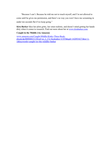"Because I can't. Because he told me not to touch myself, and I'm not allowed to come until he gives me permission, and there's no way you won't have me screaming in under ten seconds flat if we keep going."

**Kira Barker** likes her plots gritty, her smut realistic, and doesn't mind getting her hands dirty when it comes to research. Find out more about her at [www.kirabarker.com.](http://www.kirabarker.com/)

# **Caught in the Middle (via Amazon)**

[www.amazon.com/Caught-Middle-Kinky-Three-Book](http://www.amazon.com/Caught-Middle-Kinky-Three-Book-ebook/dp/B00MH31138/ref=sr_1_1?s=books&ie=UTF8&qid=1420934273&sr=1-1&keywords=caught+in+the+middle+barker) $ebook/dp/B00MH31138/ref=sr$  1 1?s=books&ie=UTF8&qid=1420934273&sr=1-[1&keywords=caught+in+the+middle+barker](http://www.amazon.com/Caught-Middle-Kinky-Three-Book-ebook/dp/B00MH31138/ref=sr_1_1?s=books&ie=UTF8&qid=1420934273&sr=1-1&keywords=caught+in+the+middle+barker)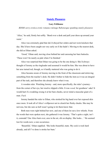### **[Stately Pleasures](#page-3-0)**

#### **Lucy Felthouse**

*BDSM curvy erotica erotic romance ménage Rubenesque spanking stately pleasures*

'Alice,' he said, firmly but softly. 'Bend over a desk and pull your dress up around your waist.'

Alice was extremely glad that she'd obeyed her orders and not worn knickers that day. She'd have been caught out very early on if she hadn't. Moving to the nearest desk, she did as Ethan asked.

'Good,' Ethan said, moving close behind her and caressing her bare buttocks. 'These won't be nearly as pale when I'm finished.'

Alice was surprised that Ethan was going to be the one doing it. She'd always thought of Jeremy as the ringleader and assumed it would be him. She was about to have her arse turned red, though, so it hardly mattered who was going to do it.

Alice became aware of Jeremy moving to the front of the classroom and retrieving something from the teacher's desk. He didn't bother to hide the item as it was an integral part of the task, and therefore she already knew what it was.

A wooden ruler. Watching Jeremy - and, more specifically, the ruler's journey from the corner of her eye, her resolve slipped a little. It was *wood,* for goodness' sake! It would hurt if a weakling swung it at her bare cheeks, never mind a muscular giant of a man. *Fuck.*

Jeremy handed the ruler to Ethan, who stroked his big hand over her exposed skin once more. It took all of Alice's willpower not to clench her fleshy cheeks. She may be nervous, but she sure as hell wasn't going to let them know that.

Both men were right behind her now, and one of them let out a low whistle. From the words that were spoken next, she gathered it was Jeremy. 'That's quite a sight, isn't it, comrade? Our Alice bent over, arse in the air, slit on display. She looks…' He seemed lost for words now; a rare occurrence.

'Beautiful,' Ethan supplied. 'She looks beautiful, mate. My cock is rock hard already, and all I've done is stroke her bum.'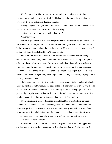Her face grew hot. The two men were examining her, and far from finding her lacking, they thought she was beautiful. And Ethan had admitted to having a hard-on caused by the sight of her naked arse and pussy.

Jeremy laughed. 'And you're not the only one. I'm tempted to stick my cock inside her cunt right here and now. Never mind the spanking!'

'In that case, I'd better get on with it, hadn't I?'

'Probably wise.'

Jeremy stepped back into Alice's peripheral vision, presumably to give Ethan room for manoeuvre. His expression was perfectly sober, but a glance down told her that he hadn't been exaggerating about the erection - it tented his smart jeans and made her wish he had just stuck it inside her, like he'd threatened to.

She didn't have too much time to think about being fucked by Jeremy, though, as she heard a small whooping noise - the sound of the wooden ruler rushing through the air - then the slap of it hitting her arse. Just as the thought that it hadn't hurt was about to cross her mind, the pain hit. A sharp, stinging sensation raced in a diagonal stripe across her right cheek. Much to her pride, she didn't yell or scream. She just pulled in a sharp breath and screwed her eyes shut, breathing in and out slowly and steadily, trying to work her way through the pain.

She'd just about dealt with it when the next blow came, this time on her left cheek. Gripping her hands tightly around the edge of the desk she was bent over, she watched as the knuckles turned white, determined to let nothing but the most negligible of noises pass her lips. Again, as the white-hot fire burned through her nerve endings, she sucked in a breath and bit her bottom lip. She would not cry out. She would *not.*

Given her relative silence, it seemed Ethan thought he wasn't hitting her hard enough. Or fast enough. After the searing agony of the second blow had dulled into a more manageable ache, he started to spank her more rapidly and with increased force. Alice was incredibly glad that neither of the men had asked her to count the strokes, because there was no way she'd have been able to. The pain was just too much.

#### *Thwack! Thwack! Thwack!*

By the time the blows ceased, Alice was collapsed onto the desk, her upper body crushed against it, with silent tears running down her face. But she hadn't screamed, or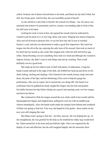yelled. Granted, she'd almost clawed holes in the desk, and bitten her lip until it bled, but still, she'd kept quiet. And for that, she was incredibly proud of herself.

As she started to come back to herself, she noticed two things - one, her pussy was saturated and ached to be penetrated, and two, Jeremy was standing right in front of her, his stiff cock in his hand.

Arching her neck to look at him, she opened her mouth when he indicated he wanted to put his prick in it. It was long, thick, and warm. Stinging arse almost forgotten, Alice moved forward to pleasure him. It was the first time she'd seen or touched Jeremy's cock, and she was determined to make a good first impression. She stuck her tongue into the slit at the top, enjoying the salty taste of his arousal, then took as much of his shaft into her mouth as she could. She stopped only when his bell-end hit her gag reflex. Deep-throating was not something Alice had ever tried and although she wanted to impress Jeremy, she didn't want to rush things and end up vomiting. That would definitely not be a good look.

She made up for her relative lack of skill with plenty of enthusiasm. Using her hands to push and pull at the edge of the desk, she bobbed her head up and down on his shaft, licking, sucking and slurping. Alice listened to the sounds Jeremy made and used those, the jerks of his hips, and the thickening of his cock to help her gauge her performance. She was no expert, but it seemed she was doing OK. Her hunch was confirmed when he grabbed her head, tangled his fingers into her hair and pushed forcefully between her lips before letting out a growl and spurting come over her tongue and down her throat.

She continued to flick her tongue around the now-sticky shaft in her mouth until he disentangled his fingers and stepped back, pulling his cock out with an audible pop. Almost immediately, Alice felt hands reach under her armpits from behind and wondered if Ethan was going to fuck her. If he was, she hoped he'd be gentle - those marks on her arse were still stinging like mad.

But Ethan wasn't going to fuck her - not then, anyway. He was helping her up. As she straightened, she was grateful for the help as she doubted her shaky legs would hold her. Ethan turned her in his arms and just held her tight. Alice was surprised by the display of care and affection, but she still snuggled happily into his muscular chest,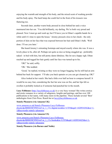enjoying the warmth and strength of his body, and the mixed scent of washing powder and his body spray. The hard lump she could feel in the front of his trousers was flattering too.

Seconds later, another warm body pressed in close behind her and a voice murmured into her ear. 'You did brilliantly, my darling. We're both very proud and pleased. Now I must go and wash up, but I'll leave you in Ethan's capable hands for a while until it's time to open the house.' Jeremy pressed a kiss to her cheek - the only portion of skin on her face that was exposed between her hair and Ethan's bulk. 'Well done. I'll see you later.'

She heard Jeremy's retreating footsteps and stayed exactly where she was. It was a lovely place to be, after all. Perhaps not quite as nice as being snuggled up - preferably naked - in bed with him, but still pretty damn fabulous. She let out a happy sigh. Ethan reached up and tugged her hair gently until her face was turned up to his.

'OK?' he said, softly.

'OK.' She nodded.

'Good,' he replied, twisting so they were no longer hugging, but he still had an arm behind her back for support. 'I'll take you back upstairs so you can get cleaned up, OK?'

Alice looked at her watch. She had a little over half an hour to compose herself. It would be no easy feat, considering the fact her arse was on fire, and her lips felt so swollen it probably looked as if someone had punched her in the mouth.

**Lucy Felthouse** [\(http://lucyfelthouse.co.uk\)](http://lucyfelthouse.co.uk/) is a very busy woman! She writes erotica and erotic romance in a variety of subgenres, lengths and pairings, and has over 100 publications to her name, with many more in the pipeline. These include several 'Best' anthologies from Cleis Press. Reach her at [lucy@lucyfelthouse.co.uk](mailto:lucy@lucyfelthouse.co.uk)

#### **Stately Pleasures (via Amazon UK)**

[www.amazon.co.uk/Stately-Pleasures-Lucy-Felthouse](http://www.amazon.co.uk/Stately-Pleasures-Lucy-Felthouse-ebook/dp/B00H5B70W8/ref=sr_1_1?s=digital-text&ie=UTF8&qid=1420934382&sr=1-1&keywords=stately+pleasures)[ebook/dp/B00H5B70W8/ref=sr\\_1\\_1?s=digital-text&ie=UTF8&qid=1420934382&sr=1-](http://www.amazon.co.uk/Stately-Pleasures-Lucy-Felthouse-ebook/dp/B00H5B70W8/ref=sr_1_1?s=digital-text&ie=UTF8&qid=1420934382&sr=1-1&keywords=stately+pleasures) [1&keywords=stately+pleasures](http://www.amazon.co.uk/Stately-Pleasures-Lucy-Felthouse-ebook/dp/B00H5B70W8/ref=sr_1_1?s=digital-text&ie=UTF8&qid=1420934382&sr=1-1&keywords=stately+pleasures)

### **Stately Pleasures (via Amazon US)**

[www.amazon.com/Stately-Pleasures-Lucy-Felthouse](http://www.amazon.com/Stately-Pleasures-Lucy-Felthouse-ebook/dp/B00H5B70W8/ref=sr_1_1?s=books&ie=UTF8&qid=1420934425&sr=1-1&keywords=stately+pleasures)[ebook/dp/B00H5B70W8/ref=sr\\_1\\_1?s=books&ie=UTF8&qid=1420934425&sr=1-](http://www.amazon.com/Stately-Pleasures-Lucy-Felthouse-ebook/dp/B00H5B70W8/ref=sr_1_1?s=books&ie=UTF8&qid=1420934425&sr=1-1&keywords=stately+pleasures) [1&keywords=stately+pleasures](http://www.amazon.com/Stately-Pleasures-Lucy-Felthouse-ebook/dp/B00H5B70W8/ref=sr_1_1?s=books&ie=UTF8&qid=1420934425&sr=1-1&keywords=stately+pleasures)

#### **Stately Pleasures (via Barnes and Noble)**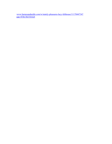[www.barnesandnoble.com/w/stately-pleasures-lucy-felthouse/1117044734?](http://www.barnesandnoble.com/w/stately-pleasures-lucy-felthouse/1117044734?ean=9781783755325) [ean=9781783755325](http://www.barnesandnoble.com/w/stately-pleasures-lucy-felthouse/1117044734?ean=9781783755325)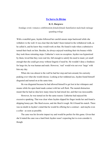## **[To Serve Is Divine](#page-3-0)**

#### **R. E. Hargrave**

*bondage erotic romance exhibitionism female/female humiliation male/male ménage spanking trilogy*

With a watchful gaze, Jayden followed her careful unsure steps backward while she withdrew to the wall. It was clear that she hadn't been trained in the withdrawal walk, as he called it, and he knew they would work on that. He found it rude when a submissive turned their back on him. Besides, he always enjoyed watching their tits bounce while they took those retreating steps. Catherine's were no exception. Jayden was hypnotized by them, loved that they were real tits; full enough to satisfy his need to maul, yet small enough that she could get away without lingerie if need be. He wouldn't deny a fondness for large tits; he was human and male. However, 'real' would win out over 'large' with him any day.

When she was almost to the wall he had her stop and turn around, his curiosity peaking over what she would choose. Looking at her reddened ass, Jayden found himself disgusted and turned on at the same time.

He was disgusted because he had allowed himself to get lost in her whimpers and moans while his open hand made contact with her soft flesh. The mental distraction meant that he had no idea how many times he had struck her, and that was inexcusable.

However, he was turned on for the same reason. Catherine had enjoyed the excessive spanking. That was clear when Jayden slipped his finger inside her and found a dripping honey-pot. She liked excess, and she liked it rough. He'd found his match. There was no doubt in Jayden's mind that he would be offering her a contract - and maybe even a collar - as soon as possible.

The cane was his favorite impact toy and would be perfect for this game. Given that she'd stated the cane was a hard limit Jayden wasn't expecting her to even consider it, though.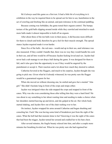He'd always used this game as a first test. It had a little bit of everything in it: exhibition in the way he required them to be spread out for him to see, humiliation in the act of crawling and fetching like an animal, and pain tolerance in the continual paddling.

Because coming was forbidden, the game tested their orgasm control. The bumpy texture of the gold balls slipping around inside while they crawled and stretched to reach more balls made it almost impossible to hold off an orgasm.

After about three of the ten balls were in their pussy, it did become more difficult for them to clench and hold, therefore he got a feel for their muscle strength. The spread stance Jayden required made it even harder.

Since five of the balls - the red ones - would end up in their ass, anal tolerance was also measured. If they couldn't handle that, there was no way they would handle his cock in their ass, and all bets would be off because Jayden fucking loved anal sex. Jayden had never had a sub manage to not drop a ball during the game. It was designed for them to fail, and it also gave him the opportunity to see if they would be angered by the punishment or accept it. Their reaction said a lot about how much they desired to submit.

Catherine hovered at the floggers, and much to his surprise, Jayden thought she was going to pick one. Given what he'd already witnessed, he was pretty sure the flogger would be a guaranteed orgasm for her.

When she moved on without choosing one, he smiled and gave her a mental "Atta girl." She didn't hesitate long in front of the crops and straps either.

Jayden was intrigued when she side-stepped the crops and stopped in front of the canes. Why was she even considering those after telling him they were a hard limit? He was about to say something to her about wasting time and needing to make a choice when her shoulders started heaving up and down, and she gulped at the air. Her whole body started shaking, and Jayden flew out of the chair rushing over to her.

On instinct, Jayden wrapped his arms around Catherine and began shushing and consoling her. Fuck! She was having some kind of breakdown just from the sight of the canes. What the hell had that monster done to her? Knowing it was the sight of the canes that had been the trigger, Jayden turned her around and cradled her to his bare chest.

After several minutes, the fragile beauty relaxed into him, and after a couple more minutes her breathing leveled out. When he was pretty sure she had regained her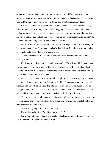composure, Jayden lifted her chin to look at him, and asked if she was better. Her eyes were frightened at first, but when she took in the sincerity of his concern for her Jayden watched the fear being replaced by something else. Was that adoration? Trust?

His arms were still wrapped around her, and he realized she had snaked her tiny arms around his waist so they were in effect hugging. It felt foreign—but nice. Jayden had never hugged anyone besides his parents because it was too intimate. Hypocritical he knew, considering that in his lifestyle there wasn't a part of his submissives' bodies that he didn't end up licking, kissing, or fucking at some point.

Jayden wasn't sure what to think when the very strong desire to kiss the beauty in his arms overcame him. He wanted it so badly that he leaned in a little at a time, giving her time to understand what he was going to do.

Catherine responded by closing her eyes and lifting her mouth to Jayden in a trusting offer.

His lips crashed down onto hers and it was perfect. Their lips molded together and moved in unison with no effort. Jayden ran his tongue over her lips in a silent plea to open to him. When his tongue slipped into the warmth of her mouth and started sliding against hers, he felt like he was home.

Jayden knew he would never want to let the girl go. Her nails scraped at his lower back in her desperation to hold on. The strength of her fingers surprised him. His cock throbbed and hurt where his jeans dug into the sensitive skin. He devoured her mouth, trying to crawl into her—desperate to get inside her and never leave. His chest began to ache, and his lungs screamed for air so he had no choice but to pull back.

They were panting, and Jayden was quite aware of her tight nipples pressing into his abs. He leaned back so he could look down at her while brushing an errant strand of her fiery hair back behind her ear.

"What am I going to do with you, woman?"

Her smile was bashful. "Anything you want, Sir."

Jayden's mouth dropped open and he shook his head at her playfulness. "Are you okay, Catherine? You gave me quite a fright."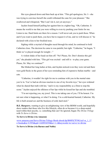Her eyes glanced down and then back up at him. "This girl apologizes, Sir. I—she was trying to convince herself she could withstand the cane for your pleasure." She swallowed and whispered, "But I can't do it, not yet anyways."

Jayden found himself pulling her against him in a tighter hug. "Oh, Catherine. It means the world to me that you were willing to even try pushing your limits for me. Listen to me. Hard limits are there for a reason. I will never ask you to push those. When and if you want to push them, you have but to request it of me, and we will discuss it," he declared with a kiss to her freckled nose.

Sighing while a myriad of thoughts raced through his mind, he continued to hold Catherine close. The decision he came to was painful, but right. "Catherine," he began, "I think we've played enough for tonight—"

A violent shake of her head cut him off. "No! Please, Sir. Don't dismiss this girl yet," she pleaded with him. "This girl was excited - and still is - to play your game. Please, Sir. May we continue?"

She blinked her long lashes at him, and Jayden noticed even they were red and there were gold flecks in the green of her eyes reminding him of expensive Italian marble—and cats.

"Catherine, it wouldn't be right for me to continue with you in the mental state you're in. You've had an obvious reaction to one of my favorite toys," her eyes widened when he shared that truth with her, "and it is my responsibility as a Dom to stop the scene." Jayden enjoyed the silkiness of her lips while he kissed her lips and she trembled.

"I'm not rejecting you, my jewel. This is me taking care of you. I'll be honest. I'm not sure what is happening, or what I'm doing. I'm a cold-hearted bastard, Catherine. My life is built around sex and the business of cold, hard steel."

**R.E. Hargrave**, wanting to give an enlightening view of the BDSM world, and hopefully show readers that those who live this lifestyle, often do so because it is a deep-seated need within their psyche, i.e. something that can't be ignored, began *The Divine Trilogy* with *To Serve is Divine*.

#### **To Serve is Divine (via Amazon)**

[www.amazon.com/Serve-Divine-Trilogy-Book-ebook/dp/B00FK7P39G/ref=sr\\_1\\_1?](http://www.amazon.com/Serve-Divine-Trilogy-Book-ebook/dp/B00FK7P39G/ref=sr_1_1?s=books&ie=UTF8&qid=1420934550&sr=1-1&keywords=to+serve+is+divine) [s=books&ie=UTF8&qid=1420934550&sr=1-1&keywords=to+serve+is+divine](http://www.amazon.com/Serve-Divine-Trilogy-Book-ebook/dp/B00FK7P39G/ref=sr_1_1?s=books&ie=UTF8&qid=1420934550&sr=1-1&keywords=to+serve+is+divine)

**To Serve is Divine (via Barnes and Noble)**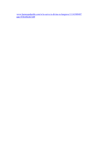[www.barnesandnoble.com/w/to-serve-is-divine-re-hargrave/1114190949?](http://www.barnesandnoble.com/w/to-serve-is-divine-re-hargrave/1114190949?ean=9781492367109) [ean=9781492367109](http://www.barnesandnoble.com/w/to-serve-is-divine-re-hargrave/1114190949?ean=9781492367109)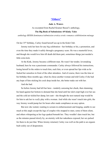### **["Others"](#page-3-0)**

#### **Jade A. Waters**

As excerpted from Rachel Kramer Bussel's anthology, **The Big Book of Submission: 69 Kinky Tales**

*anthology BDSM dominance/submission erotica erotic romance exhibitionism ménage*

On her 35<sup>th</sup> birthday, Carley found herself ass-up in the Kink Club.

Jeremy took her here for any big celebration—her birthday or his, a promotion, and even the time they made it safely through a pregnancy scare. He was a masterful lover, and though she would love him till death did them part, sometimes things just needed a little extra kick.

At the Kink, Jeremy became a different man. He wasn't her tender, lovemaking husband; here he was a passionate commander. Carley always followed his instructions, losing herself in the orders to touch him, suck him, or even spread her lips wide as he fucked her senseless in front of the other attendees. And of course, there was the time at his birthday three months ago, when he chose another woman and told Carley if she had any hope of him sticking his cock deep inside her, she better make out with her.

And she had.

So before Jeremy had left her here—tenderly caressing her cheek, then slamming his hand against her bottom to demand that she bend until her skirt crept high over her ass and the cold air tickled her damp, hot cunt—she thought the next natural step would be for him to ask her to *really* play with a woman. And while she wasn't much into girls, the way Jeremy would pump her for hours after made compliance an easy option.

But now she waited, wanting to scream in embarrassment and longing, unable to see much at this angle except the legs of couples who stopped to stare, some of them silent, and others whispering as her legs quaked beneath her. They wouldn't dare touch her, but as the minutes passed slowly by, an eternity with her nakedness exposed, her sex pulsed for them to do just that. When Jeremy returned, Carley was well on the path to an orgasm built solely out of desperation.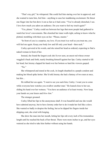"That's my girl," he whispered. She could feel him staring over her in approval, and she wanted to taste him, feel him—anything to ease her maddening excitement. He thrust one finger into her but drew it out as fast as it had come. "You're already drenched, I see. I love how much you adore an audience. Do you want to feel my touch again?"

"Yes, please." Carley could see between her legs that more people had gathered to watch her lover's movements. She clenched her inner walls tight, aching to know what he plotted, trembling with their eyes on her. "Please, master."

"In front of you is a surprise, my love. If you treat it as well as you treat me, you will feel me again. Keep your body low and lift only your head—then suck."

Carley quivered at his words, and she raised her head as ordered, expecting to find a naked woman in front of her.

Instead, she found the largest cock she'd ever seen, an uncut rod whose owner waggled it back and forth, nearly brushing himself against her lips. Carley started to lift her head, but Jeremy clapped his hand over her bottom so hard the viewers gasped.

"No."

She whimpered and stared at the cock, its length sheathed in a purple condom and making her blood spike hotter. She'd told Jeremy she had a fantasy of two men at once, but this…

He rubbed her ass again. "I want to see you suck him, Carley. I want you to come while everyone here watches you swallow another man." He leaned close to her ear, sliding his hand over her wetness. "You have an audience of at least twenty. Now keep your hands on your knees and *blow him.*"

The stranger groaned.

Carley lifted her lips to the anonymous shaft. It was beautiful and one she would have admired anyway, but to have Jeremy order her to do it made her feel like a slave. She wanted so badly to despise the feeling, but as he dipped his fingers inside her dripping cunt, she cried with longing.

She drew the man into her mouth, letting her lips rub every inch of his tremendous length until he reached the back of her throat. There were more inches to go, and her eyes watered as she tried to take him further without using her hands.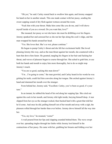"Oh yes," he said. Carley reared back to swallow him again, and Jeremy snapped his hand on her in another smack. This one made contact with her pussy, sending the sweet cupping sound of dry flesh against wetness around the room.

"Fuck him with your throat. Make him come like you do me, and I will shove myself inside of you as a reward. Do you want that, love?"

She moaned, her pussy so wet she knew she must be dribbling over his fingers. Jeremy spanked her and caressed her as she ran her lips along the cock's ridge, and the man wrapped his hands around her head.

"Yes. She loves that. She's so wet, please continue."

He began to pump Carley's throat and she felt her excitement build. She loved pleasing Jeremy this way, and as the man thrust against her mouth, she countered with a hum that drove him faster. He grunted, tangling his fingers in her hair and fucking her throat, and waves of pleasure began to course through her. She ached to grab him, to use both her hands and mouth to enjoy him more thoroughly, but to do so might stop Jeremy's touch.

"You are so good, sucking this man down!"

"I'm…I'm going to come," the man growled, and Carley heard in his words he was gritting his teeth, could feel him convulse along her tongue. She arched against Jeremy's hand and slammed her mouth over the stranger.

From behind her, Jeremy said, "Excellent. Carley, you've been so good, it's your turn."

In an instant, he rubbed the head of his rod along her sopping lips. She cried out against the cock in her mouth, and Jeremy slid right inside, burying himself deep. A tear slipped from her eye as the stranger rocked, then bucked hard with a grunt that told her he'd come. And once he did, pulling himself out of her mouth and away with a sigh, the pleasure rolled through her harder than ever before. Jeremy drove himself all the way into her.

"Yes, my love," he moaned, "come!"

A wail poured from her lips and clapping sounded behind them. The wave swept over her, spreading tingles through her limbs while Jeremy lost himself in the contractions of her pussy. He came with her, grabbing her breasts and folding over her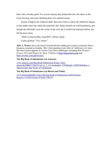back with a breathy grunt. For several minutes they panted like this, the others in the room cheering, and some shrieking their own satiated moans.

Jeremy withdrew his withered shaft, then told Carley to stand. He rubbed his fingers on her tender inner lips while she squirmed. Her cheeks burned red with humiliation, and though she still hadn't seen the owner of the cock she'd swallowed moments before, she felt the heat return.

"Shall we find another, beautiful?" Jeremy asked.

Carley grinned. "Yes, master."

**Jade A. Waters** once convinced a boyfriend that reading provocative synonyms from a thesaurus counted as foreplay. She's been penning erotic tales in California ever since. Her short fiction appears in various Cleis Press anthologies including *Best Women's Erotica 2014* and *Hungry for More*. Find her at [http://jadeawaters.com](http://jadeawaters.com/) and [https://twitter.com/jadeawaters.](https://twitter.com/jadeawaters)

### **The Big Book of Submission (via Amazon)**

[www.amazon.com/Big-Book-Submission-Kinky-Tales](http://www.amazon.com/Big-Book-Submission-Kinky-Tales-ebook/dp/B00KV1SKVE/ref=sr_1_1?s=books&ie=UTF8&qid=1420934666&sr=1-1&keywords=big+book+of+submission) $ebook/dp/B00KV1SKVE/ref=sr_11?s=books&ie=UTF8&qid=1420934666&sr=1-$ [1&keywords=big+book+of+submission](http://www.amazon.com/Big-Book-Submission-Kinky-Tales-ebook/dp/B00KV1SKVE/ref=sr_1_1?s=books&ie=UTF8&qid=1420934666&sr=1-1&keywords=big+book+of+submission)

#### **The Big Book of Submission (via Barnes and Noble)**

[www.barnesandnoble.com/w/the-big-book-of-submission-rachel-kramer](http://www.barnesandnoble.com/w/the-big-book-of-submission-rachel-kramer-bussel/1117078216?ean=9781627780377)[bussel/1117078216?ean=9781627780377](http://www.barnesandnoble.com/w/the-big-book-of-submission-rachel-kramer-bussel/1117078216?ean=9781627780377)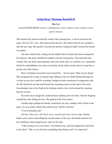### **[Going Deep: Mustangs Baseball #2](#page-3-0)**

#### **Roz Lee**

# *baseball BDSM BDSM romance contemporary erotic romance erotic romance series sports romance*

She instinctively turned toward the sound of the opening door. A shiver ran down her spine. *Oh God. He's here*. She'd passed the first test. He'd liked what he saw enough to take the next step. She quickly corrected her posture, hoping he hadn't noticed the breach of conduct.

The door clicked shut, sealing out the sudden burst of music that had accompanied his entrance. Her pussy throbbed in tandem with her racing pulse. The mind fuck had worked. She was horny and desperate, and with a little luck, he would be, too. Adrenaline kicked in, and giddiness was close on its heels, along with an insane desire to beg him to put her out of her misery.

Heavy footsteps crossed the room toward her… but not quite. What was he doing? She recognized the scrape of curtain rings sliding on the rod. Relief flashed through her. At least no one else would be watching. Perhaps he had a modicum of compassion after all. She licked her dry lips and focused her remaining senses on the man in the room. Goosebumps rose on her flesh as his footsteps made a slow circle around her, pausing directly in front.

He stood close enough she could feel heat radiating from his body. One hot fingertip touched her chin, lifting her face. She gasped at the first contact.

Another digit, perhaps his thumb, stroked her jaw line, sending a bolt of heat to her pussy. So very tender. Did he like what he saw? Did he want her?

"You're beautiful, girl."

*Oh God. That voice, like black velvet, smooth and warm with an edge.* Brooke hadn't come close to describing the sensual nature of his tone. His thumb stroked over her cheekbone, back along her jaw, and over her lips.

"I like seeing you on your knees." He backed away, and she dropped her chin back to her chest. "Ahh, so you do know something about being a sub. I'm impressed."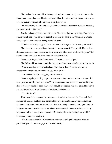She tracked the sound of his footsteps, though she could barely hear them over the blood rushing past her ears. He stopped behind her, fingering her hair then moving lower over the curve of her ass. She shivered at his light touch.

"So responsive," he said in a low, seductive voice that lured her in, made her pussy gush with need. "I like that."

One large hand squeezed her butt cheek. She bit her bottom lip to keep from crying out. It was all she could do not to press her ass into his hand in invitation. A heartbeat later, he jerked her dress up, baring her to his gaze.

"You have a lovely ass, girl. I want to see more. Put your hands over your head."

She raised her arms, and in an instant, her dress was off. Heat prickled beneath her skin, and she knew from experience she'd gone into a full body blush. Mortifying. What would he think of a sub blushing from her toes to her ears?

"Lace your fingers behind your head. I'll want to see all of you."

She followed his orders, grateful to have something to do with her trembling hands.

"You're a particularly delicate shade of pink, my dear." There was a hint of amusement in his voice. "I like it. Do you blush often?"

Carrie licked her lips, struggling to form words.

"Do that again, and I'll give your tongue something much more interesting to lick. Now, answer me. Do you blush often?" No amusement, just his deep voice stroking her skin to a deeper shade of need. Any doubt about her effect on him was gone. He desired her. An insane burst of pride warmed her from the inside out.

"Yes, Sir. I do."

He'd moved close enough his unique scent wafted to her nostrils. He smelled of summer afternoons outdoors and beneath that, raw, elemental male. The combination called to everything feminine within her. Chemistry. People talked about it, but only in vague terms, and now she knew why. There were no words to describe how her body responded to his. It was primal. Essential. Somehow, she knew seeing him wouldn't change anything between them.

"I'm pleased to hear it. I'll make it my mission to bring this about as often as possible if you choose to engage in this relationship."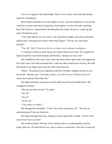*Choose* to engage in the relationship? There was no choice. Her body had already made the commitment.

Blunt fingers brushed across both nipples at once, and she whimpered. It was all she could do to remain still then his fingertips closed tightly over the twin nubs, pinching hard. She hissed in a sharp breath, absorbing the bite of pain. He gave a rough tug and desire flooded her pussy.

"Your body pleases me very much." He released her nipples, pressing warm palms against them, massaging her breasts with strong fingers. "Tell me, are your knees hurting?"

"Yes, Sir." *But I'll stay here forever as long as you continue touching me*.

"I'm going to help you stand. Keep your hands behind your head." He wrapped his hands around her waist from behind and lifted her. "Spread your feet wide."

She shuffled her feet, only to have him kick them farther apart while still supporting her at her waist. One hand remained there, while the other trailed across her hip. She held her breath as one finger slid toward the cleft of her buttocks.

"Relax." He paused in his exploration until her shoulders dropped and she let out her breath. "Breathe, girl. Your body is mine, or it will be soon. I'll know all of it in much more intimate detail than this."

His finger parted her, pausing to test the tight ring of muscles hidden there. She struggled to breathe.

"Has anyone had you here?" he asked.

"No, Sir."

"Never?"

"Never, Sir."

"Your choice, or theirs?"

She shrugged her shoulders. "I don't have much experience, Sir." That was an understatement if she ever heard one.

His finger massaged her anus, making it almost impossible to think. "Tell me. How many lovers have you had?"

She swallowed hard. Oh God. If she told the truth, he would probably send her home right now. His hand left her ass, only to return a second later. This time, he pressed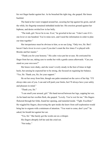his wet finger harder against her. As he breached the tight ring, she gasped. Her knees buckled.

The hand at her waist wrapped around her, securing her hip against his groin, and all the while, his fingertip remained imbedded inside her. His erection ground against her hipbone, and desire swirled low in her belly.

"The truth, girl. Never lie to me. Ever," he growled in her ear. "I don't care if it's one lover or one hundred. You're mine now, and I need the information in order to plan our time together."

Her inexperience must be obvious to him, so no use lying. "Only two, Sir. But I haven't had a lover in over a year if you don't count the few times I've played with Brooke and her master."

"Thank you for your honesty." His calm voice put her at ease. He extricated his finger from her ass, taking care to soothe her with a gentle caress afterwards. "Can you stand on your own now?"

Her knees were shaky, and she wasn't overly steady in the best of times in high heels, but sensing he expected her to be strong, she focused on regaining her balance. "Yes, Sir. Thank you, Sir, for your support."

He set her away from him, though one palm remained on the curve of her hip. "I'll always take care of you. I can and will push your limits, but I'll always have your safety and pleasure in mind."

"Thank you, Sir."

"I can smell your arousal, girl." His hand moved between her legs, cupping her sex. As his hand met her swollen flesh, she gasped. "Lovely. You're wet for me." His fingers flickered through her folds, found her opening, and tunneled inside. "Tight. Excellent." He wiggled his fingers, discovering the spot inside she knew from self-exploration would bring her to orgasm with a minimum of attention. "You want to come, don't you?" he asked, his breath hot against her ear.

"Yes, Sir." She barely got the words out on a whisper.

His fingers abruptly left her and she cried out.

"Not today."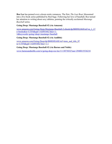**Roz Lee** has penned over a dozen erotic romances. The first, *The Lust Boat*, blossomed into a five book series published by Red Sage. Following her love of baseball, Roz turned her attention to writing about sexy athletes, penning the critically acclaimed *Mustangs Baseball* series.

## **Going Deep: Mustangs Baseball #2 (via Amazon)**

[www.amazon.com/Going-Deep-Mustangs-Baseball-2-ebook/dp/B009JL86JI/ref=sr\\_1\\_1?](http://www.amazon.com/Going-Deep-Mustangs-Baseball-2-ebook/dp/B009JL86JI/ref=sr_1_1?s=books&ie=UTF8&qid=1420934827&sr=1-1&keywords=going+deep+mustangs+baseball) [s=books&ie=UTF8&qid=1420934827&sr=1-](http://www.amazon.com/Going-Deep-Mustangs-Baseball-2-ebook/dp/B009JL86JI/ref=sr_1_1?s=books&ie=UTF8&qid=1420934827&sr=1-1&keywords=going+deep+mustangs+baseball) [1&keywords=going+deep+mustangs+baseball](http://www.amazon.com/Going-Deep-Mustangs-Baseball-2-ebook/dp/B009JL86JI/ref=sr_1_1?s=books&ie=UTF8&qid=1420934827&sr=1-1&keywords=going+deep+mustangs+baseball)

### **Going Deep: Mustangs Baseball #2 (via Audible)**

[www.amazon.com/Going-Deep/dp/B00DJIIA8E/ref=tmm\\_aud\\_title\\_0?](http://www.amazon.com/Going-Deep/dp/B00DJIIA8E/ref=tmm_aud_title_0?ie=UTF8&qid=1420934827&sr=1-1) [ie=UTF8&qid=1420934827&sr=1-1](http://www.amazon.com/Going-Deep/dp/B00DJIIA8E/ref=tmm_aud_title_0?ie=UTF8&qid=1420934827&sr=1-1)

**Going Deep: Mustangs Baseball #2 (via Barnes and Noble)**

[www.barnesandnoble.com/w/going-deep-roz-lee/1113073032?ean=2940015536218](http://www.barnesandnoble.com/w/going-deep-roz-lee/1113073032?ean=2940015536218)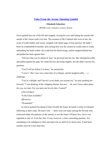# **[Tales From the Arena: Opening Gambit](#page-3-0)**

#### **Elizabeth Schechter**

*BDSM erotic romance science fiction*

Gavir guided Iras out of the lift and stopped, closing his eyes and letting the sounds and smells of the Arena wash over him. The screams of the Collared who were in use, the scent of synth-leather and ozone, mingled with sharp tangs of fear and lust. He hadn't been on a battlefield in months, and coming here was the closest he could come to really unleashing the beast within. He could feel his blood rising, and he stepped behind Iras and pulled her back against him.

"Tell me what you're afraid of, Iras," he growled into her ear. She whimpered softly and pulled against his grip. He could feel her shivering slightly, but she didn't answer his question.

"You'll tell me before I'm done," he assured her.

"I won't." Her voice was a bare hint of a whisper, and he laughed softly — a challenge.

"You're a delight, and I haven't even made you scream yet," he said, pushing her forward. "I was thinking of the whipping frames, but now… oh, now I have other plans for you, my dear. For you and your lovely skin. Control!"

*Acknowledged.*

"Is the Easel available?"

*Affirmative*.

"Wonderful!"

As Gavir pushed Iras ahead of him towards the Easel, he heard a rustle of whispers following in their wake. He knew why — there were not many among the Swords who cultivated either the patience or the artistry to use the Easel. Of those few, Gavir was regarded as one of, if not the, best. It was, however, a time-consuming pastime. Not something to be indulged in when one had to be on shift in six hours time. It had been months since he'd last done this.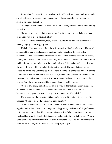By the time Gavir and Iras had reached the Easel's enclosure, word had spread and a crowd had started to gather. Gavir nodded, but his focus was solely on Iras, and her sudden, surprising hesitation.

"Have you never done this before?" he asked, touching his wrist-comp and releasing her wrists.

She shook her arms out before answering. "Not this, no. I've heard about it. Seen it done. Seen you do it, but never all of it."

"Ah. A learning experience, then," Gavir said. He smiled and held out his hand, bowing slightly. "This way, my dear."

He helped her step up into the hollow framework, telling her where to hold on while he secured her ankles in place inside the frame before attaching the leads to her anklebands. Then he stepped up in front of her and showed her the places for her hands, locking her wristbands into place as well. He jumped down and walked around the frame, nodding in satisfaction as he reached out and unfastened the catches on her belt, letting the long silk panels of her loincloth flutter to the ground. The band that crossed her breasts followed, and Gavir kicked the discarded clothing out of the way before returning to admire the pale perfection that was Iras' skin, broken only by the control bands on her arms and legs, and around her waist. Like most female Collared, she was completely hairless from the neck down, and Gavir could already smell her arousal.

"You're practically unmarked," he said, moving to the table and uncovering a jar. He picked up a brush and tucked it behind his ear as he looked at her. "Either you've been treated very gently, or you take regen better than most. Which is it?"

Her answer was the closest that Gavir had ever heard to indignant from any of the Collared. "None of the Collared are ever treated gently."

"And I'm not about to start," Gavir added with a laugh. He looked over the waiting supplies, and smiled. The Control computer had apparently made note of his preferences — there was a simple blindfold — no more than a strip of silk — waiting next to the brushes. He picked the length of cloth and stepped up onto the riser behind Iras. "You're quite lovely," he murmured into her ear as he blindfolded her. "This will only make you more beautiful." He jumped down and picked up a pot of paint.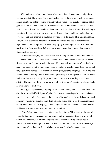If he had not been born to the blade, Gavir sometimes thought that he might have become an artist. The allure of paint and brush, or pen and ink, was something he found almost as enticing as the beautiful symmetry of his sword or the deadly perfection of his gun. He could, and had, gotten lost in artistic creation, experiencing a ecstatic state that he found very close to the blood fury that drove him during battle. He felt that building as he painted Iras, covering her skin with muted designs of gold and burnt umber, layering over those patterns traceries in shades of ruby and lapis. He painted her nipples midnight blue, and laid over that a pattern of silver that resembled fine lace, a pattern that he reproduced on her bare pubes. He heard her gasping as the rough brush trailed over the sensitive skin there, and leaned close to blow on the paint there, making her moan and thrust her hips forward.

"Almost finished, my dear," Gavir told her, picking up another paint pot. "Almost."

Down the line of her back, from the knob of her spine to where her hips flared and flowed down into her ass, he painted a waterfall, copying his memories of one that he'd seen once on patrol in the mountains. His reproduction crashed in magnificent power and fury against the painted rocks at the base of her spine, sending up sprays of foam and mist that he rendered in bright white paint, tapping the sharp bristles against her side perhaps a bit harder than was necessary. He painted faster now, urgency starting to overcome artistry. The paint was thick, and stayed wet a long time, but if the paint dried completely, he would have to start over.

Finally, he stepped back, dropping his brush onto the tray that was now littered with dirty brushes and half-filled pots of paint. There was a smattering of applause, and Gavir turned, seeing familiar faces against the outside of the enclosure. He smiled and sketched a mock bow, drawing laughter from them. Then he turned back to the frame, spinning it slowly so that Iras was on display, so that everyone could see the painted canvas that she had become from the hollow of her throat to her ankles.

"Now," Gavir said. "Now, just let me sign the painting." He picked up the control board for the frame, considered Iras for a moment, then pushed all the switches to full power. Iras shrieked, her entire body going taut as the conductive paints started to transmit an electrical charge over her skin. Gavir let her feel the full force of the charge for a count of ten, then eased the switches back down, leaving her gasping and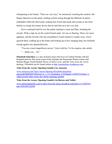whimpering in her bonds. "That was very nice," he murmured, touching the controls. His fingers danced over the panel, sending current racing through the different receptors embedded within the thick paint, making Iras twitch and moan and scream as she tried futilely to escape the torture device that he had laid on to her very skin.

Gavir continued until he saw the paints starting to crack and flake, breaking the circuits. With a sigh, he set the control board aside. Art was so fleeting. There was more applause, and the Swords who has assembled to watch started to wander away. Gavir ignored them, walking up to the frame and looking up at Iras, hanging limp, her forehead resting against one upstretched arm.

"You are a most magnificent canvas," Gavir told her. To his surprise, she smiled.

"… thank you… Sir."

**Elizabeth Schechter** is a stay-at-home mom who lives in Central Florida with her husband and son. Her most recent work includes the Passionate Plume winner and Pauline Reage Award finalist *House of Sable Locks*, and the *Tales from the Arena* duology. Elizabeth can be found online at<http://easchechter.wordpress.com/>

## **Tales from the Arena: Opening Gambit (via Amazon)**

[www.amazon.com/Tales-Arena-Opening-Elizabeth-Schechter](http://www.amazon.com/Tales-Arena-Opening-Elizabeth-Schechter-ebook/dp/B00GKSV866/ref=sr_1_1?s=books&ie=UTF8&qid=1420935101&sr=1-1&keywords=tales+from+the+arena+opening+gambit) $ebook/dp/B00GKSV866/ref=sr11?s=books&ie=UTF8&qid=1420935101&sr=1-$ [1&keywords=tales+from+the+arena+opening+gambit](http://www.amazon.com/Tales-Arena-Opening-Elizabeth-Schechter-ebook/dp/B00GKSV866/ref=sr_1_1?s=books&ie=UTF8&qid=1420935101&sr=1-1&keywords=tales+from+the+arena+opening+gambit)

## **Tales from the Arena: Opening Gambit (via Barnes and Noble)**

[www.barnesandnoble.com/w/tales-from-the-arena-elizabeth-schechter/1117444761?](http://www.barnesandnoble.com/w/tales-from-the-arena-elizabeth-schechter/1117444761?ean=9781493722594) [ean=9781493722594](http://www.barnesandnoble.com/w/tales-from-the-arena-elizabeth-schechter/1117444761?ean=9781493722594)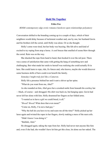## **[Hold Me Together](#page-3-0)**

#### **Felice Fox**

*BDSM contemporary edgy erotic romance hardcore open relationships polyamory*

Conversation shifted to the branding coming up in a couple of days, which of their neighbors would delay because of inclement weather and, one by one, her husband Gavin and his brothers left the corral, until Holly was alone. Or so she thought.

Holly's arms were tired, but her body was buzzing. She felt alive and kind of excited to try roping from atop a horse. A cool breeze that smelled of ozone blew through the corral. Rain was on the way.

She shucked the rope from hand to hand, then hooked it over the rail post. There was a sense of satisfaction that came with getting the hang of something new and challenging. But what made her smile to herself was realizing she could actually fit in here. She could learn to rope, ride, fix fences and, who knows, maybe she would discover some business skills of hers could even benefit the family.

*Someday I might truly feel like a Cameron.*

Holly felt a presence behind her and it sent a shiver up her spine.

"What do you want from me, Abel?"

As she rounded on him, Abel gave her a crooked smile from beneath his cowboy hat —black, of course—and shrugged. His shirt was back on, but hanging open. Gavin had never left her alone with him. Holly drummed her fingers on her folded arms.

"I wanted us to have a girl we could breed, is all."

"*Breed? Breed!* What does that even mean?"

"Come on, Holly, I'm not a bad guy."

"Why the hell do you have to try and scare me all the time?" Holly picked up her lasso again and twisted the ropes in her fingers, slowly making a mess of the neat coils.

"Didn't know I was doing it."

"Bullshit, Abel."

He shrugged again, taking the rope from her. Holly had never met anyone like him and, even if she had, she wouldn't have let him get this close, let alone see her naked. The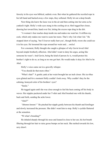ferocity in his eyes was biblical, sadistic even. But when he gathered the recoiled rope in his left hand and backed away a few steps, they softened. Holly let out a deep breath.

Next thing she knew the lasso was in the air and then cutting into her arms as he yanked it tight. Holly's wide eyes stung in the cooling air as Abel tugged her closer, drawing her toward him, hand over fist, letting the excess rope drag in the dirt.

"A woman's fear reaches deep inside me and makes me want her. It stiffens my cock, which only makes me want to scare her more. That's why I do what I do." He stopped short of saying, 'but I'd never really hurt you', though Holly swore she could see it in his eyes. He loosened the rope around her waist and… *smiled*.

For a moment, Holly thought she caught a glimpse of why Gavin loved Abel beyond simple brotherly affection. Abel didn't want to deny his urges, acting like someone he wasn't. And Gavin, being the kind of person *he* is, would protect his brother's right to do so, as long as no one got hurt. He would make it okay for Abel to be Abel.

Holly's voice came out in a gravelly whisper.

"You should do that more often."

"What's that?" A gentle yank at her waist brought her an inch closer. His ice-blue eyes glinted and for a moment Holly couldn't look away. Why couldn't they be the calming, honeyed color of his brothers' eyes?

"Smile."

He tugged again until she was close enough to feel the heat coming off his body in waves. Her nipples puckered under her T-shirt and Abel brushed one with his thumb, back and forth, sending the ache lower.

"Abel?"

*"Mmmm-hmmm?"* He pinched her nipple gently between his thumb and forefinger and slowly increased the pressure. She didn't want him to stop. Holly's eyelids fluttered at the sensation.

"W-what's breeding?"

He inhaled sharply through his nose and leaned in close to her ear, his hot breath filtering through her hair to raise goose bumps on her neck. She melted towards his low, sexy drawl.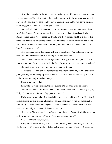"Just like it sounds, Holly. When you're ovulating, we fill you as much as we can to get you pregnant. We put you out in the breeding pasture with the heifers every night for a week, let's say, and we boys bend you over a couple bales and tie you down, fucking and filling you. Couldn't get away if you wanted to."

*Oh, God, oh, God!* McKenna and Gavin had been so pissed and now she understood why! *She shouldn't be here with him!* Every muscle in her body tensed and Holly stumbled back a step. Abel slipped his thumbs into the ropes and held her in place, then released a hand to tip her chin up at him. Holly became acutely aware of the heat along the front of her body, pressed to his. Her pussy felt dark, moist and needy. She wanted him. *So…twisted and…sick.*

This was more wrong than being with any of the others. What did it say about her that Abel, with his menacing ways, could get her so turned on?

"I have rape fantasies, too. I'd take you down, Holly, I would. Imagine you're on your way up to the barn late at night, in the dark. I'd shove my hand over your mouth—"

She tried to pull away from him but he gripped her tighter.

"—I would. The feel of your hot breath as you screamed into my palm…the bite of your gnashing teeth making my cock harder 'til I had no choice but to throw you down and fuck your mouth just to shut you up."

He growled into her hair.

Holly's knees were buckling, the rope cutting into her arms as he held her up.

"I know you feel it. Don't try to deny it. You want me to fuck you that way. Say it, Holly. Tell me to do it. Beg me. Say '*please, Abel*…'"

Holly heard the pound of footsteps behind her and prayed it was Gavin. He latched an arm around her and planted a kiss in her hair, and she knew it was her husband, her love. Holly's whole, grateful body gave way and melted backwards into Gavin's arms as he rubbed her belly and settled his hands on her hips.

"It's alright," he whispered. "Abel's only role-playing. It's part of what he wants but he'll never hurt you. I swear it. You say 'red' and he stops. Right?"

*Red,* she thought. *Red, red, red.*

Holly looked into Abel's eyes and saw him pleading. He looked away and nodded, the tightening of his jaw revealing his internal struggle, his pain. If he tried this on some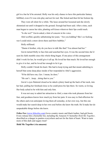girl in a bar he'd be arrested. Holly was his only chance to have this particular fantasy fulfilled, even if it was role-play and not for real. She licked and then bit her bottom lip.

They were all silent for a while. The lasso around her loosened and she slowly shimmied out until it dropped to the ground. Enough had been said. After a time, each man began to caress her skin, planting soft kisses wherever their lips could reach.

"Is she wet?" Gavin asked, a hint of concern in his voice.

Abel scoffed, quickly unbuttoning her jeans*.* "Are you kidding? She's so fucking wet I could stick a straw down there and blow bubbles."

Holly stiffened.

"Damn it brother, why do you have to talk like that? You almost had her."

Gavin turned Holly to face him and searched her eyes. It was the second time she'd seen his faith stumble since this whole thing began. If one piece of this arrangement didn't work for her, he would give it all up. He loved her that much. He loved her enough to give it to her, and he loved her enough to let it go.

Holly couldn't break his heart. She had to keep trying and that meant admitting to herself that some deep place inside of her responded to Abel's aggression.

"H-he did have me, Gav. I mean, he does."

"He can't…keep…doing that to you."

Gavin's eyes fluttered closed as he raked a jittery hand up the back of her neck, into her hair, pulling her forehead close so he could press his lips there. So warm, so loving. Her body ached to be with him and only him.

It was not easy to admit her attraction to Abel, a man who took pleasure from her fear, and goodness knows how much joy from her pain. It was easy to find affection for the others and even anticipate loving them all someday, in her own way, but this one would make her search deep in her own soul before she knew the truth. He'd make her do unspeakable things before she knew.

Felice Fox [\(www.felicefox.com\)](http://www.felicefox.com/) loves country music and black leather, bad-girl boots. Every release hits a bestseller list, including the Amazon #1 bestseller *Hold Me Together*, described as a danger to panties everywhere and not for the faint of heart*.* Want to taste more of this dark and sugary treat?

#### **Hold Me Together (via amazon)**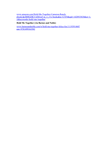[www.amazon.com/Hold-Me-Together-Cameron-Ranch](http://www.amazon.com/Hold-Me-Together-Cameron-Ranch-ebook/dp/B00GDKVAIM/ref=sr_1_1?s=books&ie=UTF8&qid=1420935838&sr=1-1&keywords=hold+me+together)[ebook/dp/B00GDKVAIM/ref=sr\\_1\\_1?s=books&ie=UTF8&qid=1420935838&sr=1-](http://www.amazon.com/Hold-Me-Together-Cameron-Ranch-ebook/dp/B00GDKVAIM/ref=sr_1_1?s=books&ie=UTF8&qid=1420935838&sr=1-1&keywords=hold+me+together) [1&keywords=hold+me+together](http://www.amazon.com/Hold-Me-Together-Cameron-Ranch-ebook/dp/B00GDKVAIM/ref=sr_1_1?s=books&ie=UTF8&qid=1420935838&sr=1-1&keywords=hold+me+together)

# **Hold Me Together (via Barnes and Noble)**

[www.barnesandnoble.com/w/hold-me-together-felice-fox/1119391460?](http://www.barnesandnoble.com/w/hold-me-together-felice-fox/1119391460?ean=9781499163582) [ean=9781499163582](http://www.barnesandnoble.com/w/hold-me-together-felice-fox/1119391460?ean=9781499163582)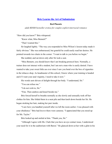### **[Brie Learns the Art of Submission](#page-3-0)**

#### **Red Phoenix**

*adult BDSM bestseller erotica for couples explicit interracial romance*

"How did you know?" Brie whispered.

"Know what, Miss Bennett?"

"That I wanted this."

Sir laughed lightly. "The way you responded to Miss Wilson's lesson today made it fairly obvious." She was embarrassed, but grateful he could easily read her desires. He pointed towards two chairs in the corner. "I want to talk to you before we begin."

She nodded, and sat down only after Sir took a seat.

"Miss Bennett, you should know that I am breaking protocol here. Normally, a trainer does not interact with a student, but I am not a man who is easily denied. I have wanted to take your sweet little ass ever since I saw you bend over the box of cigarettes in the tobacco shop. As headmaster of this school, I know where your training is headed and if I want your anal virginity, I need to take it now."

His words sent shivers of delight through her body. "I understand, Sir."

"You can refuse me."

"I do not wish to, Sir."

"Fine. Then undress and kneel beside me."

Brie forced herself to breathe normally as she slowly and sensually took off her clothes for him. She folded them in a neat pile and then knelt down beside her Sir. He began stroking her hair, making her purr inside.

"I saw how you handled yourself after we left the room earlier. I was pleased with your obedience." Brie had *known* there were cameras. "I appreciated that you stood up for Ms. Taylor."

Brie looked up and smiled at him. "Thank you, Sir."

"Although I agree with Ms. Clark that you have an eye contact issue, I understood your need for it in the auditorium with Baron." He glanced down at her with a glint in his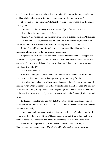eye. "I enjoyed watching you train with him tonight." He continued to play with her hair and her whole body tingled with bliss. "I have a question for you, however."

She looked deep into his eyes. Whatever he wanted to know was his for the asking. "What, Sir?"

"Tell me, what did Tono say to you at the end of your first session today?"

"He said that he would come back for me."

"Hmm…" Sir rubbed his chin thoughtfully and was silent for a moment. "It appears he, as well as another Dom, is infatuated with you. After we finish here, I want you to follow me to my office. There is something I need to give you, Miss Bennett."

Before she could respond, Sir pulled her head back and kissed her roughly. All reasoning left her when she felt his insistent lips on hers.

He picked her up in one swift motion and carried her to the table. He strapped her wrists down first, leaving no room for movement. Before he secured her ankles, he took one of her feet gently in his hand. "I see those shoes are doing a number on your pretty little feet. Does it hurt?"

"Not much," she lied.

He smiled and lightly caressed them. "My devoted little student," he murmured. Then he secured her ankles so that her legs were spread and ready for him.

Sir walked to the other side of the room and opened a door. She heard the sound of running water. When he came back, he had a wet cloth in his hand. He used it to tenderly bathe her entire body. Every time the cloth began to get cold, he went back to the room and rinsed it with warm water. By the time he was finished, she felt completely clean and fresh.

He leaned against the wall and stared at Brie—at her naked body, strapped down and eager for him. She basked in his gaze. It was just like the website photo; her fantasies were now her reality.

"Some men think they need toys to excite a woman, but I don't believe that. No, I believe firmly in the power of touch." He continued to gaze at Brie, without making a move towards her. The fact he was taking his time made her want him all the more.

When Sir finally pushed away from the wall and walked towards her, she was literally trembling in anticipation. When his hand lightly touched her stomach, she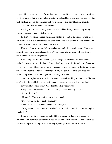gasped. All her awareness was focused on that one area. He gave her a leisurely smile as his fingers made their way up to her breasts. Brie closed her eyes when they made contact with her hard nipples. She moaned without meaning to and heard his light chuckle.

"That's it, Brie. Give in to your desire."

Hearing Sir call her by her given name affected her deeply. She began panting, unsure if she could handle his lovemaking.

He bent over her and began sucking on her left nipple. She bit her lip, trying not to cry out like a silly girl. Sir pinched her other nipple and then started sucking harder. She arched her back in response, moaning his name.

He reached one of his hands between her legs and felt her excitement. "You're one hot, little sub," he murmured seductively. "Something tells me your body is aching for me to fuck your sweet, virginal ass."

Brie whimpered and rubbed her eager pussy against his hand. He penetrated her moist depths with his middle finger. "Hot and willing, are you?" Sir pulled his finger out of her wet pussy and then pressed his tongue against her throbbing clit. He started licking the sensitive nodule as he pushed his slippery finger against her anus. She cried out passionately as he pushed his finger into her nasty little hole.

"Oh, this virgin may be tight, but she wants my cock stroking her in the ass," he said confidently. She nodded in agreement, too embarrassed to agree with him out loud.

Sir would have none of it. "What does this little virgin want?"

Brie paused a few seconds before answering. "To be taken by you, Sir."

"Beg for it, Brie."

"Please, Sir. Take my virginal ass with your cock."

"Do you want me to be gentle or rough?"

Again, she paused. "Whatever is your pleasure, Sir."

"So agreeable, like a proper submissive," he growled. "I think it pleases me to give you both…"

He quickly undid the restraints and told her to get on her hands and knees. He strapped down her wrists so that she rested her weight on her forearms. Then he buckled her ankles in place, leaving her with her legs spread apart and her ass in the air.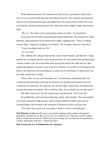With unhurried motions, Sir undressed in front of her, exposing his manly chest first. It was covered in dark hair and well-defined muscles. She watched with desperate interest as he unbuttoned his pants and pulled them off, along with his briefs. His cock was princely, perfectly proportioned with a thick base and a slightly longer than normal shaft.

"Oh, yes. This entire cock is going deep inside you today," he assured her.

Sir moved onto the table and positioned himself behind her. He caressed her round buttocks, squeezing them in his hands before lightly slapping each. "There is nothing sweeter than a virginal ass begging to be fucked. Tell me again what you want, Brie."

"I want you deep inside me, Sir."

"As you wish."

She suddenly felt cold gel drip into the crease of her buttocks, and then Sir's finger pushed the cool liquid into her warm, puckered hole. He soon replaced his probing finger with his sizable cock. He wasted little time forcing the head of his shaft into her. Brie gasped and panted as she grew used to the new sensation. Even after the butt plug the day before, she found his cock stretching her in places never tried before. It almost hurt, but her body needed him so badly.

"Relax, Brie. Let my cock dominate you," he murmured, stroking her hair. Sir reached around and began caressing her breasts as he groaned passionately in her ear. Centimeter by centimeter, Sir made his way into her tight, virginal hole. He opened her up more the deeper he pushed. "We're halfway, Brie. Do you think you can take more?"

She didn't know how, but she wanted more and answered, "All of you, Sir."

He grabbed her waist and began thrusting, slowly and sensually. The concentrated movement relaxed her tight muscles and he finally pushed his entire cock into her resistant depths. She moaned at the sensation of fullness his thick cock gave her.

"Now that I have given it to you gently, I think it is time I switched gears…"

**Red Phoenix** (redphoenix69.com) is an award-winning erotica author who gained popularity with her novel, *Brie Learns the Art of Submission*. She has won five reader choice awards for her novels. When she is not writing, you can find her on Facebook or Twitter interacting with fans. "I heart my fans!"

#### **Brie Learns the Art of Submission (via Amazon)**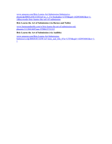[www.amazon.com/Brie-Learns-Art-Submission-Submissive](http://www.amazon.com/Brie-Learns-Art-Submission-Submissive-ebook/dp/B00AANCCOO/ref=sr_1_1?s=books&ie=UTF8&qid=1420936065&sr=1-1&keywords=brie+learns+the+art+of+submission)[ebook/dp/B00AANCCOO/ref=sr\\_1\\_1?s=books&ie=UTF8&qid=1420936065&sr=1-](http://www.amazon.com/Brie-Learns-Art-Submission-Submissive-ebook/dp/B00AANCCOO/ref=sr_1_1?s=books&ie=UTF8&qid=1420936065&sr=1-1&keywords=brie+learns+the+art+of+submission) [1&keywords=brie+learns+the+art+of+submission](http://www.amazon.com/Brie-Learns-Art-Submission-Submissive-ebook/dp/B00AANCCOO/ref=sr_1_1?s=books&ie=UTF8&qid=1420936065&sr=1-1&keywords=brie+learns+the+art+of+submission)

## **Brie Learns the Art of Submission (via Barnes and Noble)**

[www.barnesandnoble.com/w/brie-learns-the-art-of-submission-red](http://www.barnesandnoble.com/w/brie-learns-the-art-of-submission-red-phoenix/1113841469?ean=9780615731315)[phoenix/1113841469?ean=9780615731315](http://www.barnesandnoble.com/w/brie-learns-the-art-of-submission-red-phoenix/1113841469?ean=9780615731315)

### **Brie Learns the Art of Submission (via Audible)**

[www.amazon.com/Brie-Learns-Art-Submission-](http://www.amazon.com/Brie-Learns-Art-Submission-Submissive/dp/B00JOSTASW/ref=tmm_aud_title_0?ie=UTF8&qid=1420936065&sr=1-1)[Submissive/dp/B00JOSTASW/ref=tmm\\_aud\\_title\\_0?ie=UTF8&qid=1420936065&sr=1-](http://www.amazon.com/Brie-Learns-Art-Submission-Submissive/dp/B00JOSTASW/ref=tmm_aud_title_0?ie=UTF8&qid=1420936065&sr=1-1) [1](http://www.amazon.com/Brie-Learns-Art-Submission-Submissive/dp/B00JOSTASW/ref=tmm_aud_title_0?ie=UTF8&qid=1420936065&sr=1-1)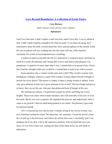# **[Love Beyond Boundaries: A Collection of Erotic Poetry](#page-3-0)**

#### **Cara Downey**

*adult romance erotic poetry erotic romance* **Submissive**

God I love this man, I didn't realize it until now how much I love him. I was so afraid at first; I didn't think I had the strength to be what he needs. It was there all along, but I continued to deny the truth, worried about the views and perceptions of the outside world. He was so patient with me, soothing me, but also stern with me, if the situation warranted. His words of encouragement are everything.

I studied as much as possible the life of a submissive, I wanted to know and learn as much as I could. His pleasure and I being able to serve and deliver that pleasure was paramount. I wanted to be more than what I was; I wanted him to be proud of me. I knew that I had the strength within me, to deliver. I wanted him to look at me with reverence.

Some question why a woman would want such a title? Why would a woman with intelligence willingly submit to a man? Why would a woman subject herself willingly to answer his every desire? The answer is simple; it takes a strong woman to submit. It not only gives pleasure to him, but it gives pleasure to her as well. The knowledge and power to know, that you are the one, who puts that gleam and look of hunger in his eyes.

My training was intense. I wanted him to push my limits, and bring me to new heights. There were times when I made mistakes, and I felt unworthy of his love or even his touch. But he was ever so patient. He explained the process, and understood, when it came to my growth. I did not mind being pushed to my limits. The pleasure I gave him, he returned tenfold.

All I've learned has now led me here. Content, strong in my service to him, I am now, kneeling waiting his return. His playroom, our sanctuary, I await his arrival. I hear the car pull up to the driveway, and I know he will be here soon. I can hardly wait; I am jumping out of my skin. I am in the respective position, with my head and eyes cast down. It is as if he is here now, trailing the back of his hand across my left cheek in admiration.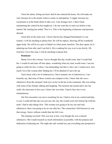I hear the alarm, letting me know that he has entered the house. He will make me wait, because he is the master when it comes to anticipation. I wiggle, because my excitement is at the brink about to take over. I am stronger now; I dial it back, maintaining the control he has taught me. I do not want this to end even before it has started. My training has ended. This is it. This is the beginning of pleasure and passions abound.

I hear him on the stairs now. I know that he has changed beforehand it is our routine. I will do anything to please him. He will be topless, showing off his wonderful upper body. He will be in a pair of faded Levi blue jeans, barefoot. The door opens, he is admiring me from afar, and I can feel it. He is making his way over to me slowly. Oh God how I love this man, I will do anything to please him.

#### **Dominant**

Damn I love this woman. I never thought this day would come, that I would find her. I would sit and stare off into space, wondering when my time would come. I am not going to settle for less, I refuse. I am demanding, but that is who I am. I realize now, how much I love this woman after finding her, I'll be damned if I give her up.

I have been with a lot of submissives; I have trained a lot of submissives. I can honestly say, that none of those women can compare to her. I knew that she was a submissive from the moment I laid eyes on her in the bar at the restaurant. She was sitting with some of her friends, talking and laughing. The moment she turned and I saw her smile, the innocence in her eyes, I knew she was mine. I had to have her it was instantaneous.

Our first encounter was nerve-wracking for me. I had to rein in my control and play it cool. I could tell that she was nervous, the way she would worry her bottom lip with her teeth. I had to take things slow. This woman was going to be my one and only submissive, there was going to be no one after her. The connection I felt between us was that strong. I knew without a doubt that she felt it too.

The training was hard. This was new to her, even though she was a natural submissive. She would research as much information as possible, with the purpose and dedication of pleasing me. The night she safe worded out, put everything into perspective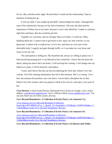for me. She cried the entire night. Worried that I would end the relationship, I had no intention of letting her go.

It was my fault. I was caught up and didn't acknowledge her needs. I damaged the trust of her submission, because of my lack of attention. The tears she shed and her statements of failure tore at my heart, because it was I who failed her. I made it a mission, right then and there, that she would be put first.

Together we overcame, and are stronger than ever before. I exited my office, thinking about her. I cannot wait to get home to her, enjoy my time with her, in our playroom. I cannot wait to explore her, to love her, and feast on every part of her delectable body. I eagerly navigate through traffic, so I can make my way home and closer to her my sub.

The anticipation is killing me. My beautiful sub, always so willing to please me, I find myself questioning how I was blessed to have found her. I know that she hears the alarm, letting her know that I am home. I will not keep her waiting. I will change into my faded Levi jeans; I will be barefoot, and topless.

I enter, and I know that she can feel me admiring her from afar. Damn I love this woman. All of her training and patience has led to this moment. She is so strong. I love how she assumes the position, eyes cast down. I never had to discipline her on that. Damn I love this woman, and I am going to relish in her service, and enjoy every part of her.

**Cara Downey** is from North Preston, Dartmouth Nova Scotia in Canada. Cara's email address: [cara.downey@gamil.com.](mailto:cara.downey@gamil.com) Cara's official website [www.caraddowney.com.](http://www.caraddowney.com/) You can also find Cara on twitter @cara\_downey.

## **Love Beyond Boundaries: A Collection of Erotic Poetry (via Amazon CA)**

[www.amazon.ca/Love-Beyond-Boundries-Collection-](http://www.amazon.ca/Love-Beyond-Boundries-Collection-Erotic/dp/1493190903/ref=sr_1_fkmr0_1?s=books&ie=UTF8&qid=1420936306&sr=1-1-fkmr0&keywords=love+beyond+boundaries+downey)[Erotic/dp/1493190903/ref=sr\\_1\\_fkmr0\\_1?s=books&ie=UTF8&qid=1420936306&sr=1-](http://www.amazon.ca/Love-Beyond-Boundries-Collection-Erotic/dp/1493190903/ref=sr_1_fkmr0_1?s=books&ie=UTF8&qid=1420936306&sr=1-1-fkmr0&keywords=love+beyond+boundaries+downey) [1-fkmr0&keywords=love+beyond+boundaries+downey](http://www.amazon.ca/Love-Beyond-Boundries-Collection-Erotic/dp/1493190903/ref=sr_1_fkmr0_1?s=books&ie=UTF8&qid=1420936306&sr=1-1-fkmr0&keywords=love+beyond+boundaries+downey)

## **Love Beyond Boundaries: A Collection of Erotic Poetry (via Amazon US)**

[www.amazon.com/Love-Beyond-Boundries-Collection-](http://www.amazon.com/Love-Beyond-Boundries-Collection-Erotic/dp/1493190903/ref=sr_1_fkmr0_1?s=books&ie=UTF8&qid=1420936263&sr=1-1-fkmr0&keywords=love+beyond+boundaries+downey) $Erotic/dp/1493190903/ref=sr1$  fkmr0 1?s=books&ie=UTF8&qid=1420936263&sr=1-[1-fkmr0&keywords=love+beyond+boundaries+downey](http://www.amazon.com/Love-Beyond-Boundries-Collection-Erotic/dp/1493190903/ref=sr_1_fkmr0_1?s=books&ie=UTF8&qid=1420936263&sr=1-1-fkmr0&keywords=love+beyond+boundaries+downey)

## **Love Beyond Boundaries: A Collection of Erotic Poetry (via Barnes and Noble)**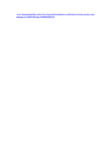[www.barnesandnoble.com/w/love-beyond-boundaries-a-collection-of-erotic-poetry-cara](http://www.barnesandnoble.com/w/love-beyond-boundaries-a-collection-of-erotic-poetry-cara-downey/1121004746?ean=2940046489576)[downey/1121004746?ean=2940046489576](http://www.barnesandnoble.com/w/love-beyond-boundaries-a-collection-of-erotic-poetry-cara-downey/1121004746?ean=2940046489576)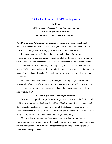# **[50 Shades of Curious: BDSM for Beginners](#page-3-0)**

### **Bo Blaze**

*BDSM education kink mentor non-fiction novice S/M*

# **Why would you name your book 50 Shades of Curious: BDSM for Beginners**

As a PCC-certified "alternative" life coach, I specialize in working with alternative sexual relationships and non-traditional lifestyles, specifically, kink, lifestyle BDSM, ethical non-monogamy (polyamory), the fetish world and LGBT issues.

I've taught and lectured all over the country at hundreds of universities, conferences, and various alternative events. I have helped thousands of people learn to practice safe, sane and consensual (SSC) BDSM over the last 10 years as the Novice Group facilitator for The Eulenspiegel Society (TES) in NYC. TES is the oldest and largest BDSM support and education group in the country. I was also recently honored to receive The Pantheon of Leather President's award for my many years of work in our community.

So it's no wonder that many of my friends, and possibly you, the reader, may wonder why after years of working within these various real worlds I'd choose to name my book as an homage to a romance novel and one of the most polarizing books in the history of BDSM?

#### *"50 Shades of Curious: BDSM for Beginners"*

To answer that question properly, we must go back to the year 1969. On June 28th, 1969, at the Stonewall Inn in Greenwich Village, NYC, a group of gay customers took a stand against police harassment and the Stonewall Riots began. These riots are now largely regarded as the catalyst for the LGBT civil rights movement in the United States. It is generally looked at as "the moment that changed everything".

The riots themselves were not the reason that things changed, but they were a moment in time that we can point to when the bubble burst; It was a tipping point, when the publicity generated from an event brought mass attention to something long ignored that was on the edge of change.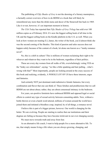The publishing of *Fifty Shades of Grey* is not the dawning of a literary masterpiece, a factually correct overview of how to do BDSM or a book that will likely be remembered any more than the drink menu and decor of the Stonewall Inn back in 1969. Like it or not, however, it's an important moment in history.

*The USA Today* has reported that *Fifty Shades of Grey Trilogy* has sold over 100 million copies as of February 2014. It's now the biggest selling book of all time in the UK and the biggest selling book on the Kindle platform in the U.S. as well. When you look at how women are treating E.L.James, the writer of the book, you'd almost think she was the second coming of the Beatles. This kind of passion and sales success does not happen solely because of the content of a book, let alone one known as a "trashy romance novel".

No, this is a shift in culture! This is millions of women reclaiming their right to be whoever and whatever they want to be in the bedroom, regardless of their politics.

These are every day women from all walks of life, overwhelmingly voting YES on the "kinky sex referendum", saying: "we like a little spanking and hair pulling…what's wrong with that?" Most importantly, people are looking around at the crazy success of this book and realizing, evidently, A WHOLE LOT OF US have these interests, urges and fantasies.

And certainly NOT just dominant male/submissive female fantasies, but every combination and flavor that one can think of. These fetishes and predilections that we call BDSM are not about abuse; rather, they are about consensual intimacy in the bedroom.

For years, sex-positive feminists have embraced BDSM and opposed legal or social efforts to control any type of sexual activity between consenting adults. Now, without a bottle thrown or even a harsh word uttered, millions of women around the world have joined them and initiated a bloodless coup, inspired, by of all things, a romance novel.

I believe this is part of a bigger picture, however. Our world is changing for the better. We are evolving. People are starting to realize that our institutions and their dogmas are failing us because they have become irrelevant in our ever changing society.

We must move towards truth and away from fear.

As an alternative life coach, I want to help people live a more alternative life. To me, that simply means living a life where you are always growing, changing, and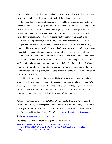evolving. Where you question, think, and create. Where you refuse to settle for what you are told to do and instead follow a path to real fulfillment and enlightenment.

How you decide to manifest that is up to you, and kinky sex is just one small way you can begin to shake things up a bit in your life. Other ways you can shake up your life: refuse to settle for the norm; do something that you perhaps have always wanted to do, but were too embarrassed or scared to embrace; explore art, music, yoga, spirituality, service to your community or a new job doing what you really were meant to do!

When you stop growing, you start dying! Let's hope this is the year that it all changed. The year that a *silly* romance novel was the catalyst for an "earth shattering kaboom"! The year that we look back on and thank the universe that people are no longer persecuted, lose their children or shunned because of consensual acts in their bedrooms.

I recently sat down to lunch with my good friend Susan Wright, who is the founder of the National Coalition For Sexual Freedom. As we excitedly compared notes on the *50 shades of Grey* phenomenon, we were united in our belief that the reaction to this book could be a Stonewall of sorts for alternative sexuality. That this could open up the lines of communication and change everything. But to do that, it's going to take a lot of education and a lot of information.

Which brings me back to the name of this book. Simply put, I'm willing to be a whore to reach the masses. There are millions people out there who have just read *Fifty Shades of Grey* and they have questions and need guidance as they begin their journey into BDSM and kinky sex. It's my mission to get them answers and do my best to keep them safe and well informed. This book is the start of that mission.

Author of *50 Shades of Curious: BDSM for Beginners*, **Bo Blaze** is a PCC certified "Alternative" Lifestyle Coach specializing in Kink, BDSM and Polyamory. For 12 years he's helped thousands learn Safe, Sane & Consensual BDSM as Novice Facilitator for The Eulenspiegel Society (TES) in NYC. Contact: [www.AlternativeLifeCoach.com](http://www.AlternativeLifeCoach.com/) Book: [www.50shadesofcurious.com/50soc](http://www.50shadesofcurious.com/50soc)

### **50 Shades of Curious: BDSM for Beginners (via Amazon)**

[www.amazon.com/50-Shades-Curious-Beginners-Americas](http://www.amazon.com/50-Shades-Curious-Beginners-Americas-ebook/dp/B00B1XI8XG/ref=sr_1_1?s=books&ie=UTF8&qid=1420936521&sr=1-1&keywords=50+shades+of+curious) $ebook/dp/B00B1XISXG/ref=sr$  1 1?s=books&ie=UTF8&qid=1420936521&sr=1-[1&keywords=50+shades+of+curious](http://www.amazon.com/50-Shades-Curious-Beginners-Americas-ebook/dp/B00B1XI8XG/ref=sr_1_1?s=books&ie=UTF8&qid=1420936521&sr=1-1&keywords=50+shades+of+curious)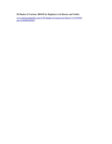# **50 Shades of Curious: BDSM for Beginners (via Barnes and Noble)**

[www.barnesandnoble.com/w/50-shades-of-curious-bo-blaze/1113516950?](http://www.barnesandnoble.com/w/50-shades-of-curious-bo-blaze/1113516950?ean=9780988500907) [ean=9780988500907](http://www.barnesandnoble.com/w/50-shades-of-curious-bo-blaze/1113516950?ean=9780988500907)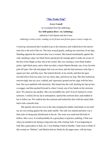# **["The Train Trip"](#page-3-0)**

**Avery Cassell**

As excerpted from the anthology, **Sex Still spoken Here: An Anthology**,

edited by Carol Queen and Jen Cross *anthology erotica erotic reading circle fiction non-fiction queer erotica rough sex*

I stood up, announced that I needed to go to the restroom, and walked down the narrow train isle to the end of the car. The train swayed gently, making me conscious of my hips. Standing opposite the restroom door was a woman. She leaned nonchalantly against the wall, smoking a cigar, her black boots spread just far enough apart to make me aware of the line of her thighs as they met at her crotch. She was wearing a worn black leather jacket, tight black jeans, and a white tee-shirt; a butch Marlon Brando, one of my favorite jerk-off types. Her salt and pepper hair was cut close, and she had sensuous curly lips, a square jaw line, and blue eyes. She looked directly at my mouth, and then her gaze traveled down from my neck over my chest, hips, and down my legs. She then looked up unswervingly into my eyes, winked, and vigorously ground out her cigar with her boot heel. Her eyes sparkled with electricity. She leaned into the wall, hitching her hip up into a swagger, and then pushed forward to where I stood, one of my hands on the restroom door. We stared at one another. She was incredibly hot, and I'd never fucked in a train restroom. I smiled, bit my lip in anticipation, opened the restroom door, and nodded at her to follow me. We walked into the restroom and locked the door with the metal slidelatch with a smooth click.

She quickly shoved me over to the sink, keeping her leather clad hands on me until my ass was resting against the faux pink marble. The sink was stained and there was a faint odor of cheap pine disinfectant in the air. The room was small and felt kind of hollow, like a cave. It would probably be a great place to practice yodeling, if that was what you needed to do during a long train trip with a boring Turk. It was beginning to look like a great place to fuck, too. I was finding it hard to breathe. I had come to think of this woman as "Marlon," and Marlon had me firmly by the upper arms, with her knee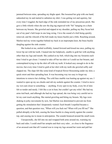jammed between mine, spreading my thighs apart. She loosened her grip with one hand, unknotted my tie and started to unbutton my shirt. I was getting wet and squirmy, but every time I wiggled, the hard edge of the sink reminded me of my precarious perch. She gave a little whistle when she saw the dog tag engraved with "Sir" hanging on a chain between my breasts. She growled and nipped at my shoulder, pulling my Boy Scout belt out of my pant's belt loops in one long swing. I love the sound of a belt being quickly removed, and the whoosh of the belt made my knees buckle just a little. Reaching around, Marlon tied my wrists together behind my back in an impromptu knot, the brass buckle dangling against the sink counter.

She looked at me, smiled wolfishly, leaned forward and kissed me once, pulling my lower lip out with her teeth. I leaned into her helplessly, unable to grab her with anything other than my legs and mouth. She yanked at my belt, which dug into my forearms each time I tried to get closer. I wanted to take off her tee-shirt so I could see her breasts, and contemplated trying to rip the shirt off with my teeth. It looked easy enough to do in the movies, but every time I tried to grab at her shirt with my teeth she growled softly and slapped me. The slaps felt like some kind of tropical flower blossoming under my skin; a quick retort and then spreading heat. It was becoming way too easy to forget my intentions to remove her clothing. The cold faux marble was heating up against my ass. I wanted to open up my ass cheeks and rub my asshole against the counter. I tried to move my wet cunt closer to something — anything. Every spot in my body, every bit of skin felt so tender and needy. I felt like a cat in heat, but couldn't get any relief. She had my arms tied back, and although she had my legs spread, she was being very careful not to let my cunt touch anything. She started growling and biting my breasts. My legs were shaking in jerky movements by now, but Marlon was determined to prevent me from getting the stimulation that I desperately wanted. Each breath I expelled became a question, and that question was, "When will you fuck me? When will you fill me?" She pulled abruptly at the belt, causing the brass buckle to clang noisily against the counter top, and causing me to moan in anticipation. The sounds bounced around the small room.

Unexpectedly, she fell into me and wrapped both arms around me, warming my back and sides. I could smell her armpits and their sexy odor…so close to the fragrance of an aroused cunt that all I wanted was to wrap my legs around her waist and pull her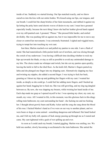inside of me. Suddenly we started kissing. Our lips matched exactly, and we threw ourselves into the kiss with our entire bodies. We kissed using our lips, our tongues, and our breath. I could feel the sharp bristles of her faint moustache, and rubbed it against my lip letting the poky hairs send electric waves of desire to my cunt. I must have groaned especially loudly, because the next thing I knew she had her leather gloved hand cupped over my still-pantied cunt. I groaned, "Please." She pressed little harder, and smiled devilishly. She was pushing full on against me, but it was impossible for me to move any closer or control her movements. I was extremely frustrated. I sighed and wiggled more, trying to tempt her into touching my wet cunt.

Just then, Marlon reached over and pulled my panties to one side. I saw a flash of metal. She had materialized a little pocket knife out of nowhere, and was slicing through the crotch of my underwear. I was having a difficult time deciding whether to rock my hips up towards the blade, or stay as still as possible to avoid any unintended damage to my bits. The choice made me whimper and twitch, but she cut my panties open quickly, leaving the knife to fall to the tiled floor. As the knife fell, Marlon's fingers parted my labia and she plunged one finger into my dripping cunt. Alternatively slapping my face and twisting my nipples, she added a second finger. I was trying to fuck her back, grunting as I thrust my hips up and grabbing her fingers with my cunt. I wanted her inside, as deeply as she could go. I could feel her adding more fingers, and I bucked up against her hand, begging her to fuck me. She was still growling, and my dog tag dangled between us. By now, she was slapping my breasts, while twisting her hand inside of me. Each slap made me gasp as I opened myself to her. I was opening my chest, my cunt, my mouth, my voice. All I wanted in life, in this moment, was this glorious fuck in this dingy rolling train bathroom; my cunt surrounding her hand - she fucking me and me fucking her. I thought about growly bears and Kathy Acker and the song she sang about the blood of his rose. I fucked Marlon's hand as if we were on our way to another planet, and we were bears or dogs or some animal - something dangerous and inflamed. Her hand fucked me, and I felt my belly roll, spasms of fuck energy passing up through me as I roared and came. My cunt tightened with a gush of wet spilling up and over.

As soon as I could catch my breath, I started giggling. Marlon was smiling, too. We held one another, slowly becoming re-acclimated to the train bathroom. She untied the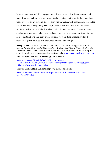belt from my arms, and filled a paper cup with water for me. My throat was sore and rough from so much carrying on, my panties lay in tatters on the spotty floor, and there was a wet spot on my trousers. Her tee-shirt was un-tucked, with a large damp spot in the center. She helped me pull my pants up, I tucked in her shirt for her, and we shared a smoke in the bathroom. We both washed our hands of our sex smell. The mirror was cracked along one side, and there were phone numbers and messages written on the wall next to the toilet. We didn't say much, but once we were done smoking, we left the restroom together. I waved bye; she turned left and I turned right.

**Avery Cassell** is a writer, painter, and cartoonist. Their work has appeared in *Best Lesbian Erotica 2015*, *Sex Still Spoken Here*, *Anything that Moves*, *Whipped: 20 Erotic Stories of Female Dominance*, *Sonic Erotica*, and *More Five Minute Erotica*. They are currently working on a memoir and an erotic novella. [www.averycassell.wordpress.com.](http://www.averycassell.wordpress.com/)

# **Sex Still Spoken Here: An Anthology (via Amazon)**

[www.amazon.com/Sex-Still-Spoken-Here-Anthology](http://www.amazon.com/Sex-Still-Spoken-Here-Anthology-ebook/dp/B00NMO24EG/ref=sr_1_1?s=books&ie=UTF8&qid=1420936665&sr=1-1&keywords=sex+still+spoken+here) $ebook/dp/B00NMO24EG/ref=sr\;1\;1?s=books&ie=UTF8&qid=1420936665&sr=1-$ [1&keywords=sex+still+spoken+here](http://www.amazon.com/Sex-Still-Spoken-Here-Anthology-ebook/dp/B00NMO24EG/ref=sr_1_1?s=books&ie=UTF8&qid=1420936665&sr=1-1&keywords=sex+still+spoken+here)

## **Sex Still Spoken Here: An Anthology (via Barnes and Noble)**

[www.barnesandnoble.com/w/sex-still-spoken-here-carol-queen/1120348247?](http://www.barnesandnoble.com/w/sex-still-spoken-here-carol-queen/1120348247?ean=9780990768500) [ean=9780990768500](http://www.barnesandnoble.com/w/sex-still-spoken-here-carol-queen/1120348247?ean=9780990768500)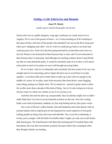# **[Girlfag: A Life Told In Sex and Musicals](#page-3-0)**

#### **Janet W. Hardy**

*gender queer memoir/biography non-fiction*

Dossie and I are in a public dungeon, a big ugly warehouse on a back street of Los Angeles. We're sort of the guests of honor - we've been teaching an S/M workshop in this space all day, and most of the people who attended it are out on the floor tying each other up or whipping each other - but we wish we could just go back to our hotel and watch pay-per-view. Each of us has been propositioned by at least three men since we arrived: Dossie is not interested in them because they're men, and I'm not interested in them because they're annoying. And although our teaching contract doesn't specifically say that we must attend this party, it would be extremely rude of us to blow it off, and at some point in each of our pasts we were well-brought-up young ladies.

So we're here. And we're exhausted, and everybody else here seems to be very very straight and not too interesting, and we figure the best way to avoid them is to play together - even these folks know better than to strike up a chat with two people in the middle of a scene. So we play, more from necessity than from desire: some flogging, some biting, putting on a flashy show. We're turned on - arousal is pretty much a reflex for us after more than a decade of this kind of thing - but we're also trying not to be too obvious when we check our watches to see if we can leave yet.

And then Jim and Jim show up, unexpectedly: they'd said they might, but we didn't really think they'd set foot in an environment as hetero as this one. Now the evening holds a new kind of potential; suddenly my feet stop hurting and my face grows warm.

Jim is one of Dossie's oldest friends, slim and handsome and white-haired, with an assured manner and an impish grin; he has bypassed my usual suspicion of rich goodlooking people by being witty and sweet and adorable. Jim, every bit as endearing, is twenty years younger, with the kind of excitable adam's-apple you only see on tall skinny dark-haired guys. We'd had brunch with them that morning and I'd watched them with fascination, the way their movements synched, the quiet smiles they exchanged when they thought nobody was looking.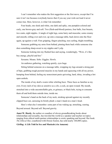I can't remember who makes the first suggestion or the first move, except that I'm sure it isn't me because everybody knows that if you say your wish out loud it never comes true. Here, however, is what I do remember:

Four heads, one sleek and white, one dark and spiky, one pumpkin-colored and curly, one brown-gray and soft. Two (flesh-and-blood) penises, four balls, four breasts, two cunts, eight nipples. A tangle of eight legs, some hairy and muscular, some creamy and smooth, rolling over and over, up onto a massage table, back down onto the floor again, up against a wall. Fists gripping, fingers pinching, toes curling, thighs trembling.

Someone grabbing my arms from behind, pinning them back while someone else does something sharp-sweet to my nipples and I yelp.

Someone looking into my flushed face and saying, wonderingly, "Wow, it's like boy energy, playful and hot."

Screams. Moans. Sobs. Giggles. Howls.

An audience gathering, watching quietly, eyes huge.

Sitting behind someone on a massage table, wrapping my legs around a strong pair of hips, grabbing tough pectoral muscles in my hands and squeezing with all my power, humping from behind, feeling my nonexistent penis quivering, hard, shiny, invading a hot open asshole.

The inside of my skull a warm white whirling buzz. Three faces as familiar as my own. Every inch of my skin as sensitive as a clit, a cock, an open wound. My mouth, stretched into a wide uncontrollable grin, or grimace, or black hole, trying to consume them all and hold them outside time, inside me.

Someone's hand on the back of my neck, stroking upward against my recently clipped buzz cut, caressing its bristly plush: a man's hand on a man's head.

Here's what else I remember: some part of me waking up, stretching, soaring. Beyond arousal. Beyond self. Beyond gravity.

**Janet W. Hardy**, the author or coauthor of eleven groundbreaking books about relationships and sexuality, has traveled the world as a speaker and teacher on topics ranging from ethical multi-partner relationships to erotic spanking and beyond. Her book *The Ethical Slut*, coauthored with Dossie Easton, has sold nearly 160,000 copies.

## **Girlfag: A Life Told In Sex and Musicals (via Amazon)**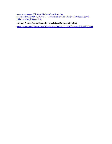[www.amazon.com/Girlfag-Life-Told-Sex-Musicals](http://www.amazon.com/Girlfag-Life-Told-Sex-Musicals-ebook/dp/B009DP2NSU/ref=sr_1_1?s=books&ie=UTF8&qid=1420936801&sr=1-1&keywords=girlfag+a+life)[ebook/dp/B009DP2NSU/ref=sr\\_1\\_1?s=books&ie=UTF8&qid=1420936801&sr=1-](http://www.amazon.com/Girlfag-Life-Told-Sex-Musicals-ebook/dp/B009DP2NSU/ref=sr_1_1?s=books&ie=UTF8&qid=1420936801&sr=1-1&keywords=girlfag+a+life) [1&keywords=girlfag+a+life](http://www.amazon.com/Girlfag-Life-Told-Sex-Musicals-ebook/dp/B009DP2NSU/ref=sr_1_1?s=books&ie=UTF8&qid=1420936801&sr=1-1&keywords=girlfag+a+life)

**Girlfag: A Life Told in Sex and Musicals (via Barnes and Noble)**

[www.barnesandnoble.com/w/girlfag-janet-w-hardy/1111718653?ean=9781938123009](http://www.barnesandnoble.com/w/girlfag-janet-w-hardy/1111718653?ean=9781938123009)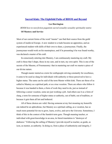# **[Sacred Kink: The Eightfold Paths of BDSM and Beyond](#page-3-0)**

#### **Lee Harrington**

*BDSM how-to non-fiction paganism sacred sexuality sexuality spirituality tantra* **Of Mastery and Service**

Most of our current forms of the word "master" can find their source from the guild system of medieval Europe. A new student to a trade became an apprentice, and an experienced student with skills of their own to share, a journeyman. Finally, the journeyman would work on his masterpiece, and if in presenting it he was found worthy, was declared a master of his craft.

In consciously entering into Mastery, I am continuously mastering my craft. My craft is those that I shape, those in my care, and in turn, my own spirit. This is one of the secrets of the Masons, of Freemasonry: that in mastering our craft we master a piece of our divine nature.

Though master started as a term for craftspeople striving constantly for excellence, it came to be used as slang for individuals with authority or those perceived to have a higher status. The same can be said of the term Master within kink. There are those of us called to Mastery as a spiritual path, or as a true vocation. There are others who follow it because it was handed to them, a form of work they need to do, just as instead of following a career vocation, some are just working a job. And others use it as a form of slang, a term for someone of higher status or authority, out of habit, out of tradition, or because it gets them all hot and bothered.

All of these choices are valid. Having someone at my feet moaning my honorific can indeed be an aphrodisiac, but Mastery as a spiritual calling, as a vocation, has so much more potential for me to grow, learn, evolve, and serve the Universe. Sometimes, I think of this in the context of the Sanskrit term guru. Though meaning teacher, or individual with great knowledge in an area, its literal translation is "destroyer of darkness." Following the calling of Mastery I provide myself as teacher, as guide, as icon, as mentor, as authority. In doing so, from a place of authenticity and integrity, I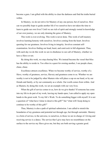become a guru. I am gifted with the ability to clear the darkness and find the truths buried within.

In Mastery, we do not strive for Mastery of any one person, but of ourselves. How can we possibly hope to guide another life if we ourselves have not taken the time to learn to guide our own lives? Until we are rich of spirit and strongly rooted in knowledge of our own journey, we are only donning the guise of Mastery.

This work is ever-evolving. This work is never done. This work of self-mastery involves learning honesty with ourselves. Involves coming from the heart. Involves questing for our greatness. Involves living in integrity. Involves constant selfexamination. Involves finding our head, heart, and cunt/cock in full alignment. Thus, with each day we do this work we are in obedience to our call of Mastery, whether we have a Slave or not.

By doing this work, we stop chasing bliss. We instead become the vessel that bliss has the ability to reside in. Too often in a quest for owning another, I see people chase, chase, chase.

Excellence attracts excellence. When we become worthy of service, worthy of a Slave, worthy of greatness, service, Slavery and greatness come to us. Whether we are worthy is not to be judged by other Masters who will place a cap on our head, or by our friends and family, or by our community as a whole. Our worth comes from within. And as Masters, by doing this work, we set an example with our very lives.

When the gift of service comes to us, how do we give thanks? If someone has come into my life to do part of my work, leaving my hands open, I am called to apply my open hands to the great work. To my life's Work. To do something bigger with myself. It is not a question of "what have I done to deserve this gift?" but "what will I keep doing to continue to be worthy of this gift?"

Thus, Mastery is also a path of spiritual submission. I am called to stretch the boundaries of my greatness and potential not through ego, but through surrender. Mastery is a form of service, to the universe, to ourselves, to those we are in charge of. Giving and receiving service is a dance. The service that I give may have no resemblance on the surface to the service my Slave gives me, but they are both serving a greater good.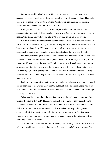For me to excel in what I give the Universe in my service, I must learn to accept service with grace. Each bow holds power, each load carried, each dish done. Their acts enable me to move forward with greatness. And how we treat those under us often determines how the Universe will treat us in turn.

Each person who comes into our care, our possession, our guidance and our ownership is a unique tool. They each have their own gifts to lay at our doorstep, and by finding their greatness, we have the ability to apply that greatness to the world.

We must learn to use the tools that come before us. If we are gifted with a violin, is it the violin's fault we cannot play it? Will it be helpful for us to beat the violin? Will this help it perform better? No. We must master the tool we are given, not try to force the instrument to bend to our will until we come to understand the ways that it bends.

Similarly, if we are given a violin, should we use it to hammer nails into a wall? We have that choice, yes. But it is neither a good allocation of resources, nor worthy of our greatness. We can change the shape of the violin, cover it with steel plating, remove its strings, distort it under pressure into the hammer we long for. But is this a testament to our Mastery? Or do we learn to play the violin (even if it may take a lifetime), or state that we don't know how to play a violin and help the violin find it's way to a place it can serve as a violin?

Each time we enter into a relationship from a place of Mastery, we sign a contract. I am not speaking of the written Slave contracts, though some find them useful as a form of communication, transparency of expectations, or as a way to connect. I am speaking of an energetic contract.

When a collar is locked on, the lock is removable, the collar can be un-done. But what of the keys to that lock? This is our contract. We commit to carry those keys, to keep them safe with us at all times, to be strong enough to hold the space they need to do their work for us. This is because when a collar is locked, we help unlock potential, energy, and spirit. We cast the circle for the work to be done within. And just as any guardian of a circle in magic working must do, we are charged with protection of that circle and seeing to its needs.

This does not need to take the form of feeding and clothing a Slave. Sometimes this is having the ability to stand up and order the Slave to feed and clothe themselves. To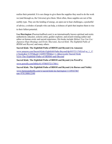realize their potential. It is our charge to give them the supplies they need to do the work we (and through us, the Universe) give them. Most often, these supplies are not of the earthly type. They are the lending of energy, an open ear to hear challenges, a pocketful of advice, a rolodex of people who can help, a richness of spirit that inspires them to rise to their fullest potential.

**Lee Harrington** (PassionAndSoul.com) is an internationally known spiritual and erotic authenticity educator, eclectic artist, gender explorer, and award-winning author and editor on human erotic and sacred experience. His books include *Shibari You Can Use: Japanese Rope Bondage and Erotic Macramé*, *Sacred Kink: The Eightfold Paths of BDSM and Beyond*, and many others.

# **Sacred Kink: The Eightfold Paths of BDSM and Beyond (via Amazon)**

[www.amazon.com/Sacred-Kink-Eightfold-Paths-Beyond/dp/055721176X/ref=sr\\_1\\_1?](http://www.amazon.com/Sacred-Kink-Eightfold-Paths-Beyond/dp/055721176X/ref=sr_1_1?s=books&ie=UTF8&qid=1420937004&sr=1-1&keywords=Sacred+Kink%3A+The+Eightfold+Paths+of+BDSM+and+Beyond) [s=books&ie=UTF8&qid=1420937004&sr=1-1&keywords=Sacred+Kink](http://www.amazon.com/Sacred-Kink-Eightfold-Paths-Beyond/dp/055721176X/ref=sr_1_1?s=books&ie=UTF8&qid=1420937004&sr=1-1&keywords=Sacred+Kink%3A+The+Eightfold+Paths+of+BDSM+and+Beyond) [%3A+The+Eightfold+Paths+of+BDSM+and+Beyond](http://www.amazon.com/Sacred-Kink-Eightfold-Paths-Beyond/dp/055721176X/ref=sr_1_1?s=books&ie=UTF8&qid=1420937004&sr=1-1&keywords=Sacred+Kink%3A+The+Eightfold+Paths+of+BDSM+and+Beyond)

**Sacred Kink: The Eightfold Paths of BDSM and Beyond (via Powell's)**

[www.powells.com/biblio/61-9780557211760-1](http://www.powells.com/biblio/61-9780557211760-1)

# **Sacred Kink: The Eightfold Paths of BDSM and Beyond (via Barnes and Noble)**

[www.barnesandnoble.com/w/sacred-kink-lee-harrington/1114916746?](http://www.barnesandnoble.com/w/sacred-kink-lee-harrington/1114916746?ean=9781300812340) [ean=9781300812340](http://www.barnesandnoble.com/w/sacred-kink-lee-harrington/1114916746?ean=9781300812340)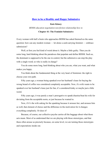# **[How to be a Healthy and Happy Submissive](#page-3-0)**

#### **Kate Kinsey**

*BDSM education negotiation non-fiction relationship how to*

### **Chapter 41: The Feminist Submissive**

Every woman with half a brain who approaches BDSM has asked themselves the same question: how can any modern woman — let alone a card-carrying feminist — embrace submission?

Well, at first you feel kind of weird about it. Maybe a little guilty. Then you do some long, hard thinking about the paradoxes that populate and define BDSM. Such as, the dominant is supposed to be the one in control, but the submissive can stop the play with a single word; so who is really in charge?

You do some more long, hard thinking about who you are, what you want, and what makes you happy.

You think about the fundamental thing at the very heart of feminism: the right to choose your own path.

Fifty years ago, a woman being spanked over her husband's knee for buying the wrong brand of coffee was considered completely acceptable. Now, if a wife wants to be spanked over her husband's knee just for fun, it's considered kinky or maybe just a little weird.

Fifty years ago, it was purely a man's prerogative to spank/chastise/beat his wife for deviating from the acceptable norm, or just because he wanted to.

Now, if it's the wife asking for the spanking because it arouses her, and arouses him as well, that element of choice and the difference in the motivation for it changes everything completely. Or does it?

Because, of course, our collective psyche carries all the baggage about what those acts mean. Most of us understand that we are playing with those stereotypes, and that these often arouse us precisely because, on some level, we are turning those stereotypes and expectations inside out.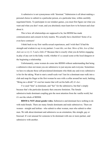A submissive is not synonymous with "doormat." Submission is all about making a personal choice to submit to a particular person, at a particular time, within carefully negotiated limits. To participate in our reindeer games, you must first figure out what you want and what you don't want, and you absolutely must learn how to be honest and clear about it.

This is how all relationships are supposed to be, but BDSM has made communication and consent its holy mantra. We actually have checklists! Some of us even have contracts!

I think back to my first vanilla sexual experiences, and I wish that I'd had the strength and wisdom to say to my partner: *I want this, not that. More of this, less of that. And can we try X, Y and a little Z?* Because that is exactly what you do before engaging in play of any sort in the kinky world, whether it's a casual scene at the local dungeon or the beginning a relationship.

Unfortunately, some women do come into BDSM without understanding that being a submissive does not mean you are submissive to just anyone and everyone. Sometimes we have to educate those self-proclaimed dominants who think any and every submissive is his for the taking. Want to start a small-scale war? Just let a dominant man walk into a club and snap his finger at the first woman he sees with a collar around her neck, barking, "Bring me a drink!" It's not her master that will cut his balls off, it's *her*.

I've used "him" as dominant, and "her" for the submissive, but that's simply because that's the particular dynamic that concerns feminism. The female submissive/male dominant coupling gets the most attention from the vanilla world, but it's not the whole of BDSM.

**BDSM is NOT about gender roles.** Submissive and dominant have nothing to do with male/female. There are many female dominants and male submissives. There are women - straight and lesbian - who submit to other women, men who submit to other men. We talk about dominant and submissive as an orientation, like straight, gay or bisexual. It's not unusual for someone to be dominant with one or more partner, and submissive with another.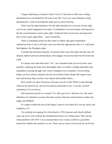I began exploring my fantasies when I was 38. I had been a rebel since college, determined not to be defined by the men in my life. Yet in my secret fantasies, being dominated by a man in the bedroom really got my juices flowing.

Then I met the right dominant. Not the right dominant for everyone, but the right one for me, and he happened to be male. I'd submitted to several women, and enjoyed it, but the sexual dynamic wasn't quite right. I'd played with several men, and enjoyed it, but it wasn't quite right either… until I found him.

There is something inside me that wants to submit, that gains tremendous satisfaction from it, but it will only come out when the right person calls to it. And when that happens, the floodgates open.

Consider the enormous intensity of emotions that come from play that taps into our deepest, darkest and most primal places, that engages not just the body but the heart and mind.

It's deeper and wider than mere "sex": new sensations that you never knew were possible, exploring the body more thoroughly than ever before, sending adrenaline and endorphins coursing through your veins to heighten every sensation. You are doing things you have always wanted to do but never before dared, things that require more trust and honesty than you have ever shared with another before…

How could I not adore the person who gave me all of that? When I came through whatever he asked of me, and saw his pleasure and pride in me, it was the sweetest satisfaction I'd ever known.

Did I question myself as a woman? Yes. But I got over it. Because isn't the surest definition of a feminist a woman who does exactly what she wants because it makes her happy and fulfilled?

It's tough to admit but one of the things I came to love about D/s was the clarity and simplicity of it.

I'm certainly not arguing for a throwback to 1954, because such clearly defined roles can never work without the wholehearted choice of a willing heart. That was the whole problem with 1954: it was assumed that every woman would be a good little housewife whether she wanted to or not. There was no choice involved at all, not for her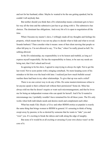and not for her husband, either. Maybe *he* wanted to be the one getting spanked, but he couldn't tell anybody that.

But neither should you think that a D/s relationship means a dominant gets to have his way all the time and the submissive just has to go along with it. The submissive has choices. The dominant has obligations. And every bit of it is open to negotiation all the time.

When I became my master's slave, I willingly made all my thoughts and feelings his property, which meant that it was not my place to decide what to hide and what to reveal. Sounds barbaric? Then consider what it means: none of that silent stewing that people so often fall pray to. I'm not allowed to say, "I'm fine," when I'm really pissed as hell. No sulking allowed.

In the D/s relationship, my responsibility is to be honest and truthful, as long as I express myself respectfully. He has the responsibility to listen, to be sure my needs are being met, that I feel valued and loved.

In agreeing to be his slave, I agreed to stop trying to always be right. Not to get the last word. Not to score points with a stinging comeback. No more keeping score of his mistakes to hit him over the head with later. I realized just how much bullshit sexual warfare there had been in my other relationships. To give that up was such a relief!

There is no one correct way to do any of this. Do some masters/mistresses refuse to let anyone speak to their collared sub without their permission? Some do. Mine has always told me that he doesn't require or want such micromanagement, and that he loves me for being an independent woman who can speak for herself. And if he'd wanted to micromanage me, I probably wouldn't have remained his for all these years. The D/s only works when both individuals needs and desires mesh and complement each other.

What has made *Fifty Shades of Grey* and other BDSM erotica so popular is exactly the same thing that brings women to BDSM in general. It's arousing to think of being swept away by passion, to be so desired by someone that he wants to "take" you and "own" you. It's exciting to break the taboos and walk along the edge of naughty.

But none of it would be at all exciting or arousing if your own choice wasn't at the core of it.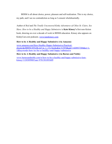BDSM is all about choice, power, pleasure and self-realization. This is my choice, my path, and I see no contradiction as long as I consent wholeheartedly.

Author of *Red* and *The Totally Uncensored Kinky Adventures of Chloe St. Claire, Sex Slave*. *How to be a Healthy and Happy Submissive* is **Kate Kinsey's** first non-fiction book, drawing on over a decade of work in BDSM education. Kinsey also appears on KinkyCast.com podcasts. [www.katekinsey.com](http://www.katekinsey.com/)

# **How to be A Healthy and Happy Submissive (via Amazon)**

[www.amazon.com/How-Healthy-Happy-Submissive-Practical](http://www.amazon.com/How-Healthy-Happy-Submissive-Practical-ebook/dp/B00NC05X2K/ref=sr_1_1?s=books&ie=UTF8&qid=1420937304&sr=1-1&keywords=how+to+be+a+healthy+and+happy+submissive)[ebook/dp/B00NC05X2K/ref=sr\\_1\\_1?s=books&ie=UTF8&qid=1420937304&sr=1-](http://www.amazon.com/How-Healthy-Happy-Submissive-Practical-ebook/dp/B00NC05X2K/ref=sr_1_1?s=books&ie=UTF8&qid=1420937304&sr=1-1&keywords=how+to+be+a+healthy+and+happy+submissive) [1&keywords=how+to+be+a+healthy+and+happy+submissive](http://www.amazon.com/How-Healthy-Happy-Submissive-Practical-ebook/dp/B00NC05X2K/ref=sr_1_1?s=books&ie=UTF8&qid=1420937304&sr=1-1&keywords=how+to+be+a+healthy+and+happy+submissive)

# **How to be A Healthy and Happy Submissive (via Barnes and Noble)**

[www.barnesandnoble.com/w/how-to-be-a-healthy-and-happy-submissive-kate](http://www.barnesandnoble.com/w/how-to-be-a-healthy-and-happy-submissive-kate-kinsey/1120389908?ean=9781501093609)[kinsey/1120389908?ean=9781501093609](http://www.barnesandnoble.com/w/how-to-be-a-healthy-and-happy-submissive-kate-kinsey/1120389908?ean=9781501093609)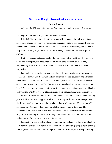# **[Sweet and Rough: Sixteen Stories of Queer Smut](#page-3-0)**

### **Sinclair Sexsmith**

*anthology BDSM erotica lesbian non-fiction queer rough sex sex-positive ethics*

Do rough sex fantasies compromise your sex-positive ethics?

I firmly believe that there is nothing wrong with my personal rough sex fantasies, nor is there anything wrong with your dirtiest fantasies. I believe that because I trust that you and I are adults who understand that fantasy is different from reality, and while we may think one thing to get ourselves off, we probably conduct our sex lives slightly differently.

Erotic stories are fantasies, yes, but they can be more than just that—they can show us a piece of the path, and encourage our erotic selves to blossom. So what's my responsibility as an erotica writer to make the stories that I write down ethical and responsible?

I am both a sex educator and a smut writer, and sometimes those worlds seem to conflict. For example, in the BDSM and sex education worlds, educators and advanced practitioners stress consent in play scenes. And not just consent—we stress *enthusiastic consent*, not just an absence of "no" but a ready joyous abundance of informed and eager "yes." We also stress safer sex practices, barriers, knowing your status, and sexual health and wellness. We stress responsible scenes, and warn about playing while intoxicated.

In some of my erotic fiction stories, these practices that are deeply held values in my personal life aren't readily apparent. That's because my stories are fantasies—you know, the things you close your eyes and think about when you're getting off all by yourself, not necessarily (though perhaps sometimes!) the things you do with lovers*.* The characters in my stories sometimes don't negotiate or have a conversation about safer sex, not because things like safer sex or negotiation are unimportant, but because the main purpose of the story is to turn you, the reader, on.

Frequently, in the sexuality education communities and conversations, we talk about how porn and erotica are different from sex education. I discourage people from learning how to give or receive a blow job from porn videos, for example, where deep throating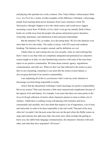and playing with ejaculate are overly common. (See Cindy Gallop's online project *Make Love, Not Porn* for a variety of other examples of the difference.) Similarly, I discourage people from learning about power dynamics from Laura Antoniou's book *The Marketplace* (though I happen to love the whole series), and would never suggest recreating a scene from *50 Shades of Grey* (don't even get me started). Both of these books are worlds away from the people who pursue and practice power dynamics, ownership, dominance, and submission in their personal relationships.

But the fantasies? We, as readers, love devouring them. We love the fantasies even more than we love the reality. The reality is messy, with STI scares and condoms breaking. The fantasies are escapist, sensual, and by definition *not real.*

I think when we start coming into our own sexually, when we start realizing that there's more to sex than what our completely antiquated and puritanical sex education system taught us as kids, we start familiarizing ourselves with some of the most basic topics in sex positive communities. We learn about consent, agency, negotiations, communication, and safer sex. When we don't see that reflected in the erotica or porn that we are consuming, sometimes it can seem like the erotica or porn fantasy is *discouraging* that kind of sex positive responsibility.

I am explaining all of this to you because I don't want my erotic fantasies to discourage you from being responsible in reality.

I know that the educational workshops I teach encourage sex positive responsibility. But in my erotica? That issue becomes a little more nuanced and complicated, because of the aspects of art and fantasy. For example, I am aware that there are some points in the *Sweet & Rough* collection of stories where characters protest or resist or drink a lot of whiskey. I think there is nothing wrong with playing with resistance and force, consensually and carefully, but I also think that requires a lot of negotiation, a lot of trust, and safewords, in order to be done responsibly in the real world. That part of the story often isn't revealed. Like the porn scene that cuts out the part where the fluffer comes on stage and someone else adds more lube, the erotic story often excludes the getting-toknow-you, the subtle body language communication, the character's histories with each other, and what they have negotiated "off screen."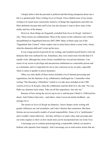I deeply believe that the personal is political and that being transparent about one's life is a spiritual path. Since writing *Sweet & Rough,* I have shifted some of my erotica writing to be much more consciously inclusive of things like negotiations and safer sex. Most definitely because that stuff is hot, but also because I want to show more of the reality and less of the fantasy.

However, those things are frequently excluded from *Sweet & Rough*. And here's why: These stories are collaborations. Most of the stories in this collection were written and published on Sugarbutch between 2007-2009. Many of them came out of the "Sugarbutch Star Contest" where readers sent in some basics about a scene (who, where, what the characters did) and I wrote up the story.

It was a huge period of growth for my writing, and I pushed myself hard to write the fantasies that were outlined for me. Sometimes, they were much more forceful than I'd usually write, although they more closely resembled my own private fantasies. I am aware of my access to privilege and unconscious entitlement as a masculine person and as a dominant, and it is important for me to stay conscious in my sex play, especially when it comes to gender or power dynamics.

Often, my early drafts of these stories included a lot of internal processing and negotiations, but the fantasies of my collaborators challenged me. I remember when writing "The Houseboy's Rebellion" (which is a b-side story included on the USB version of *Sweet & Rough*), when the collaborator read the draft of it, she said, "No way. Make my character more mean. Take out all this negotiation. Just *take* me."

Because of how strong the service top in me is, and because I liked it, I followed her desire. And I believe that story—and others, when I received similar feedback—are stronger for it.

The stories in *Sweet & Rough* are fantasies. I know fantasy erotic writing still greatly influences our real sexualities, and I don't dismiss that connection. But these fictions are not necessarily models of sexual responsibility. Some of it is "problematic," and I wouldn't claim otherwise—but they still have so much value, and can jump-start our erotic engines or show us how much more can be incorporated into our erotic lives.

I encourage you to continue practicing being a responsible, ethical, sex-positive kinkster who operates from integrity. And I encourage you to read erotica stories that are